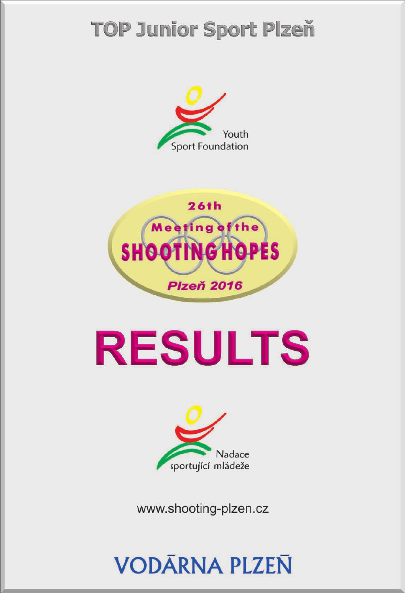# **TOP Junior Sport Plzeň**





# **RESULTS**



www.shooting-plzen.cz

# **VODĀRNA PLZEN**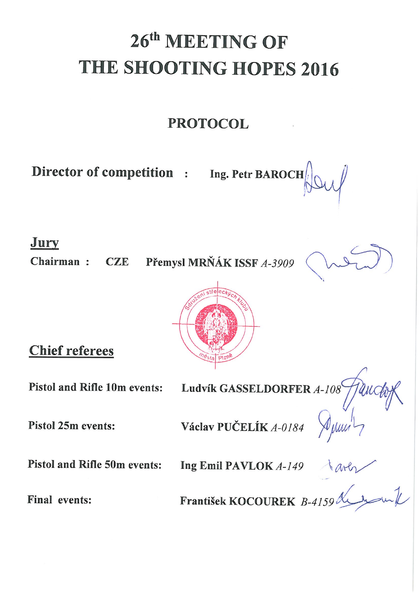# 26th MEETING OF THE SHOOTING HOPES 2016

# **PROTOCOL**

Director of competition : Ing. Petr BAROCH

Jury

Chairman:

Přemysl MRŇÁK ISSF A-3909  $CZE$ 





**Chief referees** 

**Pistol and Rifle 10m events:** 

Pistol and Rifle 50m events:

Ludvík GASSELDORFER  $A$ -108

Pistol 25m events:

Václav PUČELÍK A-0184

Ing Emil PAVLOK A-149

Final events:

František KOCOUREK B-4159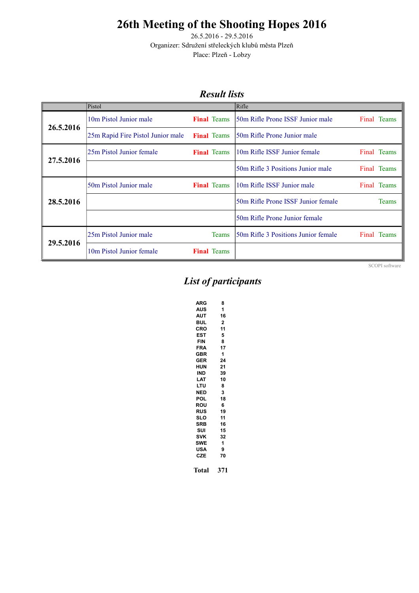26.5.2016 - 29.5.2016 Organizer: Sdružení střeleckých klubů města Plzeň Place: Plzeň - Lobzy

#### *Result lists*

<span id="page-2-0"></span>

|           | Pistol                            |                    | Rifle                                |                |
|-----------|-----------------------------------|--------------------|--------------------------------------|----------------|
| 26.5.2016 | 10m Pistol Junior male            | <b>Final Teams</b> | 50m Rifle Prone ISSF Junior male     | Final Teams    |
|           | 25m Rapid Fire Pistol Junior male | <b>Final</b> Teams | 50m Rifle Prone Junior male          |                |
|           | 25m Pistol Junior female          | <b>Final Teams</b> | 10m Rifle ISSF Junior female         | Final Teams    |
| 27.5.2016 |                                   |                    | 50m Rifle 3 Positions Junior male    | Final Teams    |
|           | 50m Pistol Junior male            | <b>Final Teams</b> | 10m Rifle ISSF Junior male           | Final Teams    |
| 28.5.2016 |                                   |                    | 50m Rifle Prone ISSF Junior female   | <b>Teams</b>   |
|           |                                   |                    | 50m Rifle Prone Junior female        |                |
|           | 25m Pistol Junior male            | <b>Teams</b>       | 150m Rifle 3 Positions Junior female | Final<br>Teams |
| 29.5.2016 | 10m Pistol Junior female          | <b>Final Teams</b> |                                      |                |

SCOPI software

## *List of participants*

| <b>ARG</b> | 8            |
|------------|--------------|
| AUS        | 1            |
| <b>AUT</b> | 16           |
| BUL        | $\mathbf{2}$ |
| CRO        | 11           |
| <b>EST</b> | 5            |
| <b>FIN</b> | 8            |
| <b>FRA</b> | 17           |
| GBR        | 1            |
| GER        | 24           |
| HUN        | 21           |
| <b>IND</b> | 39           |
| LAT        | 10           |
| LTU        | 8            |
| <b>NED</b> | 3            |
| POL        | 18           |
| ROU        | 6            |
| <b>RUS</b> | 19           |
| SLO        | 11           |
| SRB        | 16           |
| SUI        | 15           |
| <b>SVK</b> | 32           |
| SWE        | 1            |
| USA        | 9            |
| <b>CZE</b> | 70           |
| Total      | 371          |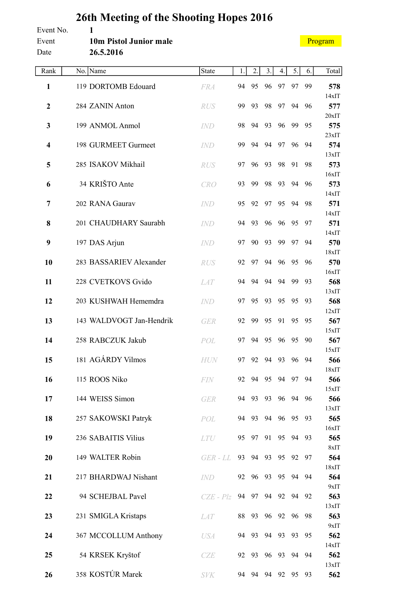#### <span id="page-3-0"></span>**26th Meeting of the Shooting Hopes 2016** Event No. **1** Event **10m Pistol Junior male**

[Program](#page-2-0)

| Date           | 26.5.2016                |             |    |       |                |          |          |       |              |
|----------------|--------------------------|-------------|----|-------|----------------|----------|----------|-------|--------------|
| Rank           | No. Name                 | State       | 1. | 2.    | 3.             | 4.       | 5.       | 6.    | Total        |
| $\mathbf{1}$   | 119 DORTOMB Edouard      | <b>FRA</b>  | 94 | 95    | 96             | 97       | 97       | 99    | 578          |
| $\mathbf{2}$   | 284 ZANIN Anton          | <b>RUS</b>  | 99 | 93    | 98             | 97       | 94       | 96    | 14xIT<br>577 |
|                |                          |             |    |       |                |          |          |       | 20xIT        |
| 3              | 199 ANMOL Anmol          | <b>IND</b>  | 98 | 94    | 93             | 96       | 99       | 95    | 575<br>23xIT |
| 4              | 198 GURMEET Gurmeet      | <b>IND</b>  | 99 | 94    | 94             | 97       | 96       | 94    | 574          |
| 5              | 285 ISAKOV Mikhail       | <b>RUS</b>  | 97 | 96    | 93             | 98       | 91       | 98    | 13xIT<br>573 |
|                |                          |             |    |       |                |          |          |       | 16xIT        |
| 6              | 34 KRIŠTO Ante           | <b>CRO</b>  | 93 | 99    | 98             | 93       | 94       | 96    | 573<br>14xIT |
| $\overline{7}$ | 202 RANA Gaurav          | <i>IND</i>  | 95 | 92    | 97             | 95       | 94       | 98    | 571          |
| 8              | 201 CHAUDHARY Saurabh    | <b>IND</b>  | 94 | 93    | 96             | 96       | 95       | 97    | 14xIT<br>571 |
|                |                          |             |    |       |                |          |          |       | 14xIT        |
| 9              | 197 DAS Arjun            | <b>IND</b>  | 97 | 90    | 93             | 99       | 97       | 94    | 570<br>18xIT |
| 10             | 283 BASSARIEV Alexander  | <b>RUS</b>  | 92 | 97    | 94             | 96       | 95       | 96    | 570          |
| 11             | 228 CVETKOVS Gvido       | <b>LAT</b>  | 94 | 94    | 94             | 94       | 99       | 93    | 16xIT<br>568 |
|                |                          |             |    |       |                |          |          |       | 13xIT        |
| 12             | 203 KUSHWAH Hememdra     | IND         | 97 | 95    | 93             | 95       | 95       | 93    | 568<br>12xIT |
| 13             | 143 WALDVOGT Jan-Hendrik | <b>GER</b>  | 92 | 99    | 95             | 91       | 95       | 95    | 567          |
| 14             | 258 RABCZUK Jakub        | POL         | 97 | 94    | 95             | 96       | 95       | 90    | 15xIT<br>567 |
|                |                          |             |    |       |                |          |          |       | 15xIT        |
| 15             | 181 AGÁRDY Vilmos        | <b>HUN</b>  | 97 | 92    | 94             | 93       | 96       | 94    | 566<br>18xIT |
| 16             | 115 ROOS Niko            | FIN         | 92 |       | 94 95 94       |          | 97       | 94    | 566          |
| 17             | 144 WEISS Simon          | <b>GER</b>  | 94 | 93    | 93             |          | 96 94 96 |       | 15xIT<br>566 |
|                |                          |             |    |       |                |          |          |       | 13xIT        |
| 18             | 257 SAKOWSKI Patryk      | POL         | 94 | 93    | 94             | 96       | 95       | 93    | 565<br>16xIT |
| 19             | 236 SABAITIS Vilius      | <b>LTU</b>  | 95 | 97    | 91             | 95       |          | 94 93 | 565          |
| 20             | 149 WALTER Robin         | GER - LL    |    |       | 93 94 93       |          | 95 92    | 97    | 8xIT<br>564  |
|                |                          |             |    |       |                |          |          |       | 18xIT        |
| 21             | 217 BHARDWAJ Nishant     | IND         | 92 |       | 96 93          |          | 95 94 94 |       | 564<br>9xIT  |
| 22             | 94 SCHEJBAL Pavel        | $CZE - Plz$ | 94 |       | 97 94          | 92       | 94       | 92    | 563          |
| 23             | 231 SMIGLA Kristaps      | <i>LAT</i>  | 88 | 93    |                | 96 92    |          | 96 98 | 13xIT<br>563 |
|                |                          |             |    |       |                |          |          |       | 9xIT         |
| 24             | 367 MCCOLLUM Anthony     | <b>USA</b>  |    | 94 93 |                | 94 93 93 |          | 95    | 562<br>14xIT |
| 25             | 54 KRSEK Kryštof         | CZE         | 92 | 93    | 96             | 93       | 94       | 94    | 562          |
| 26             | 358 KOSTÚR Marek         | <b>SVK</b>  |    |       | 94 94 94 92 95 |          |          | 93    | 13xIT<br>562 |
|                |                          |             |    |       |                |          |          |       |              |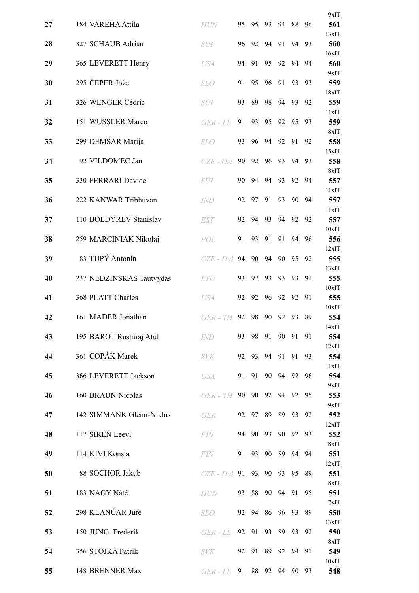|    |                          |               |    |       |    |    |       |    | 9xIT         |
|----|--------------------------|---------------|----|-------|----|----|-------|----|--------------|
| 27 | 184 VAREHA Attila        | <b>HUN</b>    | 95 | 95    | 93 | 94 | 88    | 96 | 561          |
| 28 | 327 SCHAUB Adrian        | SUI           | 96 | 92    | 94 | 91 | 94    | 93 | 13xIT<br>560 |
| 29 | 365 LEVERETT Henry       | <b>USA</b>    | 94 | 91    | 95 | 92 | 94    | 94 | 16xIT<br>560 |
| 30 | 295 ČEPER Jože           | <b>SLO</b>    | 91 | 95    | 96 | 91 | 93    | 93 | 9xIT<br>559  |
|    |                          |               |    |       |    |    |       |    | 18xIT        |
| 31 | 326 WENGER Cédric        | SUI           | 93 | 89    | 98 | 94 | 93    | 92 | 559<br>11xIT |
| 32 | 151 WUSSLER Marco        | GER - LL      | 91 | 93    | 95 | 92 | 95    | 93 | 559          |
| 33 | 299 DEMŠAR Matija        | <b>SLO</b>    | 93 | 96    | 94 | 92 | 91    | 92 | 8xIT<br>558  |
| 34 | 92 VILDOMEC Jan          | $CZE - Ost$   | 90 | 92    | 96 | 93 | 94    | 93 | 15xIT<br>558 |
| 35 | 330 FERRARI Davide       | <b>SUI</b>    | 90 | 94    | 94 | 93 | 92    | 94 | 8xIT<br>557  |
|    |                          |               |    |       |    |    |       |    | 11xIT        |
| 36 | 222 KANWAR Tribhuvan     | <i>IND</i>    | 92 | 97    | 91 | 93 | 90    | 94 | 557<br>11xIT |
| 37 | 110 BOLDYREV Stanislav   | <b>EST</b>    | 92 | 94    | 93 | 94 | 92    | 92 | 557<br>10xIT |
| 38 | 259 MARCINIAK Nikolaj    | POL           | 91 | 93    | 91 | 91 | 94    | 96 | 556          |
| 39 | 83 TUPÝ Antonín          | $CZE$ - $Duh$ | 94 | 90    | 94 | 90 | 95    | 92 | 12xIT<br>555 |
|    |                          |               |    |       |    |    |       |    | 13xIT        |
| 40 | 237 NEDZINSKAS Tautvydas | <b>LTU</b>    | 93 | 92    | 93 | 93 | 93    | 91 | 555<br>10xIT |
| 41 | 368 PLATT Charles        | <b>USA</b>    | 92 | 92    | 96 | 92 | 92    | 91 | 555          |
| 42 | 161 MADER Jonathan       | GER - TH      | 92 | 98    | 90 | 92 | 93    | 89 | 10xIT<br>554 |
| 43 | 195 BAROT Rushiraj Atul  | <b>IND</b>    | 93 | 98    | 91 | 90 | 91    | 91 | 14xIT<br>554 |
|    |                          |               |    |       |    |    |       |    | 12xIT        |
| 44 | 361 COPÁK Marek          | <b>SVK</b>    | 92 | 93    | 94 | 91 | 91    | 93 | 554<br>11xIT |
| 45 | 366 LEVERETT Jackson     | <b>USA</b>    | 91 | 91    | 90 | 94 | 92    | 96 | 554          |
| 46 | 160 BRAUN Nicolas        | $GER$ - $TH$  | 90 | 90    | 92 | 94 | 92    | 95 | 9xIT<br>553  |
| 47 | 142 SIMMANK Glenn-Niklas | <b>GER</b>    | 92 | 97    | 89 | 89 | 93    | 92 | 9xIT<br>552  |
|    |                          |               |    |       |    |    |       |    | 12xIT        |
| 48 | 117 SIRÉN Leevi          | <b>FIN</b>    | 94 | - 90  | 93 | 90 | 92    | 93 | 552<br>8xIT  |
| 49 | 114 KIVI Konsta          | <b>FIN</b>    | 91 | 93    | 90 | 89 | 94    | 94 | 551          |
| 50 | 88 SOCHOR Jakub          | $CZE$ - Duk   | 91 | 93    | 90 | 93 | 95    | 89 | 12xIT<br>551 |
| 51 | 183 NAGY Náté            | <b>HUN</b>    | 93 | 88    | 90 | 94 | 91    | 95 | 8xIT<br>551  |
|    | 298 KLANČAR Jure         |               |    |       | 86 | 96 |       |    | 7xIT         |
| 52 |                          | <b>SLO</b>    | 92 | 94    |    |    | 93    | 89 | 550<br>13xIT |
| 53 | 150 JUNG Frederik        | GER - LL      |    | 92 91 | 93 | 89 | 93    | 92 | 550<br>8xIT  |
| 54 | 356 STOJKA Patrik        | <b>SVK</b>    |    | 92 91 | 89 | 92 | 94    | 91 | 549          |
| 55 | 148 BRENNER Max          | $GER$ - $LL$  |    | 91 88 | 92 |    | 94 90 | 93 | 10xIT<br>548 |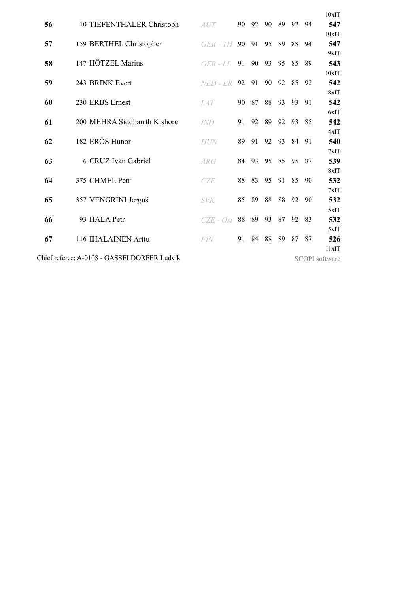|    |                                             |              |    |          |    |      |       |       | 10xIT                 |
|----|---------------------------------------------|--------------|----|----------|----|------|-------|-------|-----------------------|
| 56 | 10 TIEFENTHALER Christoph                   | AUT          |    | 90 92 90 |    | - 89 |       | 92 94 | 547                   |
|    |                                             |              |    |          |    |      |       |       | 10xIT                 |
| 57 | 159 BERTHEL Christopher                     | GER - TH     | 90 | 91       | 95 | 89   | 88    | -94   | 547                   |
| 58 | 147 HÖTZEL Marius                           |              | 91 | 90       | 93 | 95   | 85    | 89    | 9xIT<br>543           |
|    |                                             | $GER$ - $LL$ |    |          |    |      |       |       | 10xIT                 |
| 59 | 243 BRINK Evert                             | NED - ER     | 92 | 91       | 90 | 92   | 85    | 92    | 542                   |
|    |                                             |              |    |          |    |      |       |       | 8xIT                  |
| 60 | 230 ERBS Ernest                             | <i>LAT</i>   | 90 | 87       | 88 | 93   | 93    | 91    | 542                   |
|    |                                             |              |    |          |    |      |       |       | 6xIT                  |
| 61 | 200 MEHRA Siddharrth Kishore                | <b>IND</b>   | 91 | 92       | 89 | 92   | 93    | 85    | 542                   |
|    |                                             |              |    |          |    |      |       |       | 4xIT                  |
| 62 | 182 ERÖS Hunor                              | <b>HUN</b>   | 89 | 91       | 92 | 93   | 84 91 |       | 540                   |
|    |                                             |              |    |          |    |      |       |       | 7xIT                  |
| 63 | 6 CRUZ Ivan Gabriel                         | <i>ARG</i>   | 84 | 93       | 95 | 85   | 95    | 87    | 539                   |
|    |                                             |              |    |          |    |      |       |       | 8xIT                  |
| 64 | 375 CHMEL Petr                              | <b>CZE</b>   | 88 | 83       | 95 | 91   | 85    | 90    | 532                   |
|    |                                             |              |    |          |    |      |       |       | 7xIT                  |
| 65 | 357 VENGRÍNI Jerguš                         | <b>SVK</b>   | 85 | 89       | 88 | 88   | 92    | 90    | 532                   |
|    |                                             |              |    |          |    |      |       |       | 5xIT                  |
| 66 | 93 HALA Petr                                | $CZE - Ost$  | 88 | 89       | 93 | 87   | 92    | 83    | 532                   |
|    |                                             |              |    |          |    |      |       |       | 5xIT                  |
| 67 | 116 IHALAINEN Arttu                         | <b>FIN</b>   | 91 | 84       | 88 | 89   | 87    | 87    | 526                   |
|    |                                             |              |    |          |    |      |       |       | 11xIT                 |
|    | Chief referee: A-0108 - GASSELDORFER Ludvík |              |    |          |    |      |       |       | <b>SCOPI</b> software |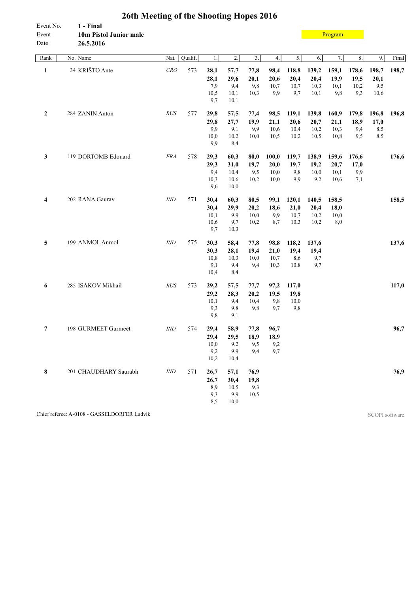<span id="page-6-0"></span>

| Event No.<br>Event<br>Date | 1 - Final<br>10m Pistol Junior male<br>26.5.2016 |                |         |      |                  |                  |       |       |       | Program |         |       |       |
|----------------------------|--------------------------------------------------|----------------|---------|------|------------------|------------------|-------|-------|-------|---------|---------|-------|-------|
| Rank                       | No. Name                                         | Nat.           | Qualif. | 1.   | $\overline{2}$ . | $\overline{3}$ . | 4.    | 5.    | 6.    | 7.      | $8. \,$ | 9.    | Final |
| $\mathbf{1}$               | 34 KRIŠTO Ante                                   | CRO            | 573     | 28,1 | 57,7             | 77,8             | 98,4  | 118,8 | 139,2 | 159,1   | 178,6   | 198,7 | 198,7 |
|                            |                                                  |                |         | 28,1 | 29,6             | 20,1             | 20,6  | 20,4  | 20,4  | 19,9    | 19,5    | 20,1  |       |
|                            |                                                  |                |         | 7,9  | 9,4              | 9,8              | 10,7  | 10,7  | 10,3  | 10,1    | 10,2    | 9,5   |       |
|                            |                                                  |                |         | 10,5 | 10,1             | 10,3             | 9,9   | 9,7   | 10,1  | 9,8     | 9,3     | 10,6  |       |
|                            |                                                  |                |         | 9,7  | 10,1             |                  |       |       |       |         |         |       |       |
| $\mathbf{2}$               | 284 ZANIN Anton                                  | RUS            | 577     | 29,8 | 57,5             | 77,4             | 98,5  | 119,1 | 139,8 | 160,9   | 179,8   | 196,8 | 196,8 |
|                            |                                                  |                |         | 29,8 | 27,7             | 19,9             | 21,1  | 20,6  | 20,7  | 21,1    | 18,9    | 17,0  |       |
|                            |                                                  |                |         | 9,9  | 9,1              | 9,9              | 10,6  | 10,4  | 10,2  | 10,3    | 9,4     | 8,5   |       |
|                            |                                                  |                |         | 10,0 | 10,2             | 10,0             | 10,5  | 10,2  | 10,5  | 10,8    | 9,5     | 8,5   |       |
|                            |                                                  |                |         | 9,9  | 8,4              |                  |       |       |       |         |         |       |       |
| 3                          | 119 DORTOMB Edouard                              | <b>FRA</b>     | 578     | 29,3 | 60,3             | 80,0             | 100,0 | 119,7 | 138,9 | 159,6   | 176,6   |       | 176,6 |
|                            |                                                  |                |         | 29,3 | 31,0             | 19,7             | 20,0  | 19,7  | 19,2  | 20,7    | 17,0    |       |       |
|                            |                                                  |                |         | 9,4  | 10,4             | 9,5              | 10,0  | 9,8   | 10,0  | 10,1    | 9,9     |       |       |
|                            |                                                  |                |         | 10,3 | 10,6             | 10,2             | 10,0  | 9,9   | 9,2   | 10,6    | 7,1     |       |       |
|                            |                                                  |                |         | 9,6  | 10,0             |                  |       |       |       |         |         |       |       |
| $\overline{\mathbf{4}}$    | 202 RANA Gaurav                                  | $\mathit{IND}$ | 571     | 30,4 | 60,3             | 80,5             | 99,1  | 120,1 | 140,5 | 158,5   |         |       | 158,5 |
|                            |                                                  |                |         | 30,4 | 29,9             | 20,2             | 18,6  | 21,0  | 20,4  | 18,0    |         |       |       |
|                            |                                                  |                |         | 10,1 | 9,9              | 10,0             | 9,9   | 10,7  | 10,2  | 10,0    |         |       |       |
|                            |                                                  |                |         | 10,6 | 9,7              | 10,2             | 8,7   | 10,3  | 10,2  | 8,0     |         |       |       |
|                            |                                                  |                |         | 9,7  | 10,3             |                  |       |       |       |         |         |       |       |
| 5                          | 199 ANMOL Anmol                                  | <b>IND</b>     | 575     | 30,3 | 58,4             | 77,8             | 98,8  | 118,2 | 137,6 |         |         |       | 137,6 |
|                            |                                                  |                |         | 30,3 | 28,1             | 19,4             | 21,0  | 19,4  | 19,4  |         |         |       |       |
|                            |                                                  |                |         | 10,8 | 10,3             | 10,0             | 10,7  | 8,6   | 9,7   |         |         |       |       |
|                            |                                                  |                |         | 9,1  | 9,4              | 9,4              | 10,3  | 10,8  | 9,7   |         |         |       |       |
|                            |                                                  |                |         | 10,4 | 8,4              |                  |       |       |       |         |         |       |       |
| 6                          | 285 ISAKOV Mikhail                               | <b>RUS</b>     | 573     | 29,2 | 57,5             | 77,7             | 97,2  | 117,0 |       |         |         |       | 117,0 |
|                            |                                                  |                |         | 29,2 | 28,3             | 20,2             | 19,5  | 19,8  |       |         |         |       |       |
|                            |                                                  |                |         | 10,1 | 9,4              | 10,4             | 9,8   | 10,0  |       |         |         |       |       |
|                            |                                                  |                |         | 9,3  | 9,8              | 9,8              | 9,7   | 9,8   |       |         |         |       |       |
|                            |                                                  |                |         | 9,8  | 9,1              |                  |       |       |       |         |         |       |       |
| $\overline{7}$             | 198 GURMEET Gurmeet                              | <b>IND</b>     | 574     | 29,4 | 58,9             | 77,8             | 96,7  |       |       |         |         |       | 96,7  |
|                            |                                                  |                |         | 29,4 | 29,5             | 18,9             | 18,9  |       |       |         |         |       |       |
|                            |                                                  |                |         | 10,0 | 9,2              | 9,5              | 9,2   |       |       |         |         |       |       |
|                            |                                                  |                |         | 9,2  | 9,9              | 9,4              | 9,7   |       |       |         |         |       |       |
|                            |                                                  |                |         | 10,2 | 10,4             |                  |       |       |       |         |         |       |       |
| 8                          | 201 CHAUDHARY Saurabh                            | $\mathit{IND}$ | 571     | 26,7 | 57,1             | 76,9             |       |       |       |         |         |       | 76,9  |
|                            |                                                  |                |         | 26,7 | 30,4             | 19,8             |       |       |       |         |         |       |       |
|                            |                                                  |                |         | 8,9  | 10,5             | 9,3              |       |       |       |         |         |       |       |
|                            |                                                  |                |         | 9,3  | 9,9              | 10,5             |       |       |       |         |         |       |       |
|                            |                                                  |                |         | 8,5  | 10,0             |                  |       |       |       |         |         |       |       |

Chief referee: A-0108 - GASSELDORFER Ludvík SCOPI software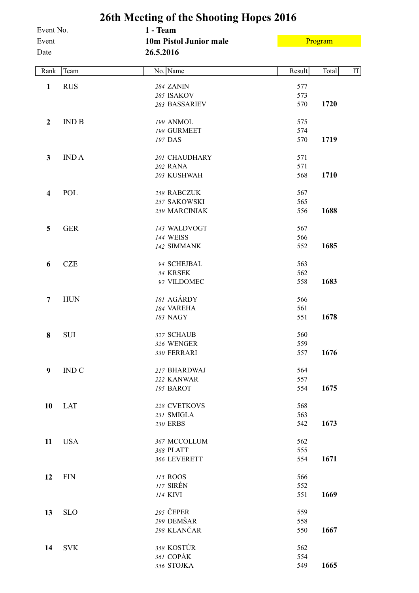<span id="page-7-0"></span>

|                            |              | 26th Meeting of the Shooting Hopes 2016         |                   |                              |
|----------------------------|--------------|-------------------------------------------------|-------------------|------------------------------|
| Event No.<br>Event<br>Date |              | 1 - Team<br>10m Pistol Junior male<br>26.5.2016 |                   | Program                      |
| Rank                       | Team         | No. Name                                        | Result            | $\operatorname{IT}$<br>Total |
| $\mathbf{1}$               | <b>RUS</b>   | 284 ZANIN<br>285 ISAKOV<br>283 BASSARIEV        | 577<br>573<br>570 | 1720                         |
| 2                          | <b>IND B</b> | 199 ANMOL<br>198 GURMEET<br>197 DAS             | 575<br>574<br>570 | 1719                         |
| 3                          | <b>INDA</b>  | 201 CHAUDHARY<br>202 RANA<br>203 KUSHWAH        | 571<br>571<br>568 | 1710                         |
| 4                          | POL          | 258 RABCZUK<br>257 SAKOWSKI<br>259 MARCINIAK    | 567<br>565<br>556 | 1688                         |
| 5                          | <b>GER</b>   | 143 WALDVOGT<br><b>144 WEISS</b><br>142 SIMMANK | 567<br>566<br>552 | 1685                         |
| 6                          | <b>CZE</b>   | 94 SCHEJBAL<br>54 KRSEK<br>92 VILDOMEC          | 563<br>562<br>558 | 1683                         |
| 7                          | <b>HUN</b>   | 181 AGÁRDY<br>184 VAREHA<br>183 NAGY            | 566<br>561<br>551 | 1678                         |
| 8                          | SUI          | 327 SCHAUB<br>326 WENGER<br>330 FERRARI         | 560<br>559<br>557 | 1676                         |
| 9                          | <b>IND C</b> | 217 BHARDWAJ<br>222 KANWAR<br>195 BAROT         | 564<br>557<br>554 | 1675                         |
| 10                         | <b>LAT</b>   | 228 CVETKOVS<br>231 SMIGLA<br>230 ERBS          | 568<br>563<br>542 | 1673                         |
| 11                         | <b>USA</b>   | 367 MCCOLLUM<br>368 PLATT<br>366 LEVERETT       | 562<br>555<br>554 | 1671                         |
| 12                         | <b>FIN</b>   | 115 ROOS<br>117 SIRÉN<br>114 KIVI               | 566<br>552<br>551 | 1669                         |
| 13                         | <b>SLO</b>   | 295 ČEPER<br>299 DEMŠAR<br>298 KLANČAR          | 559<br>558<br>550 | 1667                         |
| 14                         | <b>SVK</b>   | 358 KOSTÚR<br>361 COPÁK<br>356 STOJKA           | 562<br>554<br>549 | 1665                         |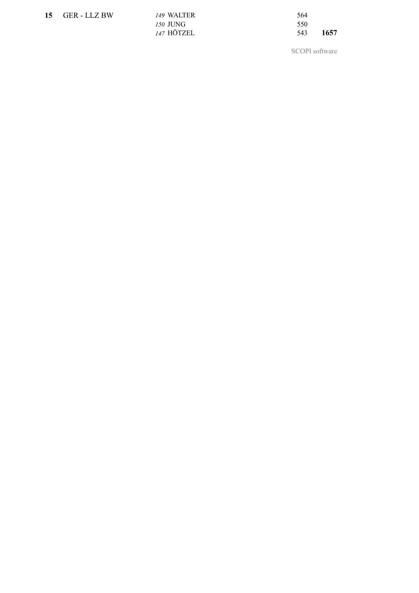| 15 GER-LLZ BW | 149 WALTER | 564         |
|---------------|------------|-------------|
|               | 150 JUNG   | 550         |
|               | 147 HÖTZEL | 1657<br>543 |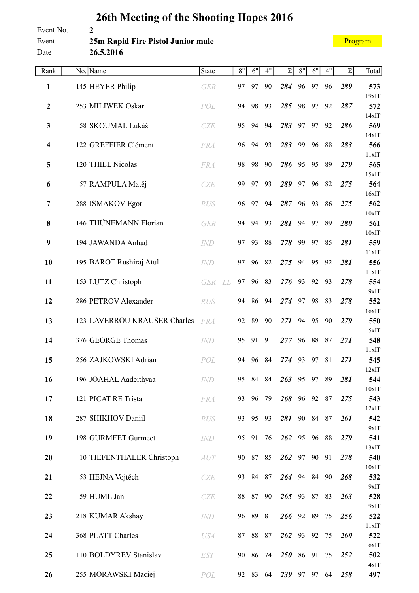#### <span id="page-9-0"></span>Event No. **2** Event **25m Rapid Fire Pistol Junior male** Date **26.5.2016**

[Program](#page-2-0)

| Rank                    | No. Name                     | State        | 8" | 6"       | 4"    | $\Sigma$     | $8"$  | 6"    | 4" | Σ   | Total           |
|-------------------------|------------------------------|--------------|----|----------|-------|--------------|-------|-------|----|-----|-----------------|
| 1                       | 145 HEYER Philip             | <b>GER</b>   | 97 | 97       | 90    | 284          | 96    | 97    | 96 | 289 | 573             |
|                         |                              |              |    |          |       |              |       |       |    |     | 19xIT           |
| $\mathbf{2}$            | 253 MILIWEK Oskar            | POL          | 94 | 98       | 93    | 285          | 98    | 97    | 92 | 287 | 572<br>14xIT    |
| $\mathbf{3}$            | 58 SKOUMAL Lukáš             | <b>CZE</b>   | 95 | 94       | 94    | 283          | 97    | 97    | 92 | 286 | 569             |
|                         |                              |              |    |          |       |              |       |       |    |     | 14xIT           |
| $\overline{\mathbf{4}}$ | 122 GREFFIER Clément         | <b>FRA</b>   | 96 | 94       | 93    | 283          | 99    | 96    | 88 | 283 | 566<br>11xIT    |
| 5                       | 120 THIEL Nicolas            | <b>FRA</b>   | 98 | 98       | 90    | 286          | 95    | 95    | 89 | 279 | 565             |
|                         |                              |              |    |          |       |              |       |       |    |     | 15xIT           |
| 6                       | 57 RAMPULA Matěj             | <b>CZE</b>   | 99 | 97       | 93    | 289          | 97    | 96    | 82 | 275 | 564<br>16xIT    |
| 7                       | 288 ISMAKOV Egor             | <b>RUS</b>   | 96 | 97       | 94    | 287          | 96    | 93    | 86 | 275 | 562             |
|                         |                              |              |    |          |       |              |       |       |    |     | $10x$ IT        |
| 8                       | 146 THÜNEMANN Florian        | <b>GER</b>   | 94 | 94       | 93    | 281          | 94    | 97    | 89 | 280 | 561             |
| 9                       | 194 JAWANDA Anhad            | <b>IND</b>   | 97 | 93       | 88    | 278          | 99    | 97    | 85 | 281 | $10x$ IT<br>559 |
|                         |                              |              |    |          |       |              |       |       |    |     | 11xIT           |
| 10                      | 195 BAROT Rushiraj Atul      | <b>IND</b>   | 97 | 96       | 82    | 275          | 94    | 95    | 92 | 281 | 556             |
| 11                      |                              |              | 97 | 96       | 83    | 276          | 93    | 92    | 93 | 278 | 11xIT<br>554    |
|                         | 153 LUTZ Christoph           | $GER$ - $LL$ |    |          |       |              |       |       |    |     | 9xIT            |
| 12                      | 286 PETROV Alexander         | <b>RUS</b>   | 94 | 86       | 94    | 274          | 97    | 98    | 83 | 278 | 552             |
|                         |                              |              |    |          |       |              |       |       |    |     | 16xIT           |
| 13                      | 123 LAVERROU KRAUSER Charles | <b>FRA</b>   | 92 | 89       | 90    | 271          | 94    | 95    | 90 | 279 | 550<br>5xIT     |
| 14                      | 376 GEORGE Thomas            | <b>IND</b>   | 95 | 91       | 91    | 277          | 96    | 88    | 87 | 271 | 548             |
|                         |                              |              |    |          |       |              |       |       |    |     | 11xIT           |
| 15                      | 256 ZAJKOWSKI Adrian         | POL          | 94 | 96       | 84    | 274          | 93    | 97    | 81 | 271 | 545<br>12xIT    |
| 16                      | 196 JOAHAL Aadeithyaa        | <b>IND</b>   | 95 | 84       | 84    | 263          | 95 97 |       | 89 | 281 | 544             |
|                         |                              |              |    |          |       |              |       |       |    |     | 10xIT           |
| 17                      | 121 PICAT RE Tristan         | <b>FRA</b>   | 93 |          | 96 79 | 268 96 92 87 |       |       |    | 275 | 543             |
| 18                      | 287 SHIKHOV Daniil           | RUS          |    | 93 95 93 |       | 281 90 84 87 |       |       |    | 261 | 12xIT<br>542    |
|                         |                              |              |    |          |       |              |       |       |    |     | 9xIT            |
| 19                      | 198 GURMEET Gurmeet          | IND          | 95 | 91       | 76    | 262 95 96    |       |       | 88 | 279 | 541             |
| 20                      | 10 TIEFENTHALER Christoph    | AUT          |    | 90 87 85 |       | 262 97 90    |       |       | 91 | 278 | 13xIT<br>540    |
|                         |                              |              |    |          |       |              |       |       |    |     | 10xIT           |
| 21                      | 53 HEJNA Vojtěch             | <b>CZE</b>   | 93 | 84 87    |       | 264 94 84    |       |       | 90 | 268 | 532             |
|                         |                              |              |    |          |       |              |       |       |    |     | 9xIT            |
| 22                      | 59 HUML Jan                  | <b>CZE</b>   | 88 | 87       | 90    | 265 93 87 83 |       |       |    | 263 | 528<br>9xIT     |
| 23                      | 218 KUMAR Akshay             | <b>IND</b>   |    | 96 89 81 |       | 266 92 89    |       |       | 75 | 256 | 522             |
|                         |                              |              |    |          |       |              |       |       |    |     | 11xIT           |
| 24                      | 368 PLATT Charles            | <b>USA</b>   | 87 | 88       | 87    | 262 93 92    |       |       | 75 | 260 | 522<br>6xIT     |
| 25                      | 110 BOLDYREV Stanislav       | <b>EST</b>   | 90 | 86 74    |       | 250 86 91    |       |       | 75 | 252 | 502             |
|                         |                              |              |    |          |       |              |       |       |    |     | 4xIT            |
| 26                      | 255 MORAWSKI Maciej          | POL          | 92 | 83       | 64    | 239          |       | 97 97 | 64 | 258 | 497             |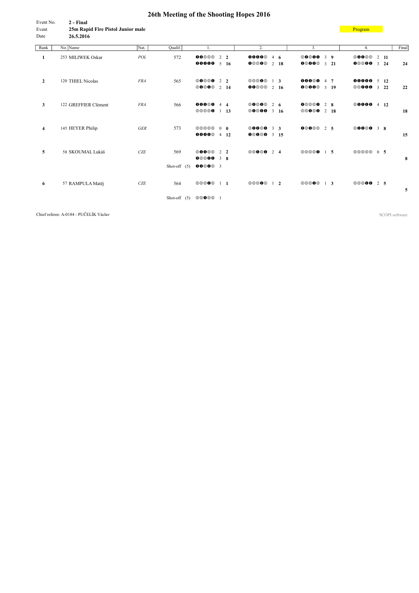<span id="page-11-0"></span>

| Event No. | 2 - Final                         |
|-----------|-----------------------------------|
| Event     | 25m Rapid Fire Pistol Junior male |
| Date      | 26.5.2016                         |

**[Program](#page-2-0)** 

| Rank           | No. Name             | Nat.       | Qualif.        | 1.                                              | 2.                                |                      | 3.                                                       | 4.                                               | Final |
|----------------|----------------------|------------|----------------|-------------------------------------------------|-----------------------------------|----------------------|----------------------------------------------------------|--------------------------------------------------|-------|
| 1              | 253 MILIWEK Oskar    | POL        | 572            | 00000<br>$2\sqrt{2}$                            | <b>0000</b> 4 6                   |                      | $\circledcirc \bullet \bullet \bullet$<br>3 <sub>9</sub> | <b>©000</b><br>$2 \quad 11$                      |       |
|                |                      |            |                | <b>00000</b> $5$ 16                             | 00000                             | $\overline{2}$<br>18 | 00000<br>$3\quad 21$                                     | $\boldsymbol{0} @ 0 \boldsymbol{0}$<br>$3 \t 24$ | 24    |
| $\overline{2}$ | 120 THIEL Nicolas    | <b>FRA</b> | 565            | $\circledcirc\circ\circ$<br>2 <sub>2</sub>      | 00000                             | $1\quad 3$           | 00000<br>$4 \overline{7}$                                | 00000 5 12                                       |       |
|                |                      |            |                | $\circledcirc\bullet\circledcirc$<br>2 14       | 00000                             | $2 \t16$             | 0@00@<br>$3 - 19$                                        | <b>©©000</b><br>$3\quad 22$                      | 22    |
| 3              | 122 GREFFIER Clément | <b>FRA</b> | 566            | 00000<br>$4\quad 4$                             | <b>00000</b> 2 6                  |                      | 00000<br>$2 \quad 8$                                     | <b>00000</b> 4 12                                |       |
|                |                      |            |                | 00000<br>$1 \quad 13$                           | <b>©0©00</b> 3 16                 |                      | $\circledcirc\bullet\circ\bullet$<br>$2 \quad 18$        |                                                  | 18    |
| $\overline{4}$ | 145 HEYER Philip     | <b>GER</b> | 573            | 00000<br>$0\quad 0$                             | <b>©0000</b> 3 3                  |                      | 0@0@@<br>2 5                                             | <b>00000</b> 3 8                                 |       |
|                |                      |            |                | 00000<br>$4 \t12$                               | $000003$ 3 15                     |                      |                                                          |                                                  | 15    |
| 5              | 58 SKOUMAL Lukáš     | CZE        | 569            | $\circledcirc\bullet\bullet\circledcirc$<br>2 2 | $\circledcirc\bullet\circ\bullet$ | 2 4                  | 00000<br>$1\quad5$                                       | 00000<br>0 <sub>5</sub>                          |       |
|                |                      |            |                | 0000038                                         |                                   |                      |                                                          |                                                  | 8     |
|                |                      |            | Shot-off $(5)$ | 000003                                          |                                   |                      |                                                          |                                                  |       |
| -6             | 57 RAMPULA Matěj     | <b>CZE</b> | 564            | 00000<br>$\frac{1}{1}$                          | 00000                             | $1\quad 2$           | 00000<br>$1\quad 3$                                      | 00000 2 5                                        | 5     |
|                |                      |            | Shot-off $(5)$ | 00000 1                                         |                                   |                      |                                                          |                                                  |       |

Chief referee: A-0184 - PUČELÍK Václav SCOPI software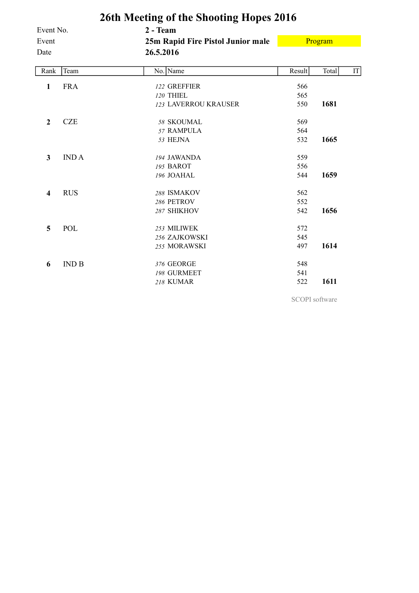<span id="page-12-0"></span>

|                  | 26th Meeting of the Shooting Hopes 2016 |                                   |        |         |    |  |  |  |  |  |  |  |  |
|------------------|-----------------------------------------|-----------------------------------|--------|---------|----|--|--|--|--|--|--|--|--|
| Event No.        |                                         | 2 - Team                          |        |         |    |  |  |  |  |  |  |  |  |
| Event            |                                         | 25m Rapid Fire Pistol Junior male |        | Program |    |  |  |  |  |  |  |  |  |
| Date             |                                         | 26.5.2016                         |        |         |    |  |  |  |  |  |  |  |  |
| Rank             | Team                                    | No. Name                          | Result | Total   | IT |  |  |  |  |  |  |  |  |
| 1                | <b>FRA</b>                              | 122 GREFFIER                      | 566    |         |    |  |  |  |  |  |  |  |  |
|                  |                                         | 120 THIEL                         | 565    |         |    |  |  |  |  |  |  |  |  |
|                  |                                         | 123 LAVERROU KRAUSER              | 550    | 1681    |    |  |  |  |  |  |  |  |  |
| $\boldsymbol{2}$ | <b>CZE</b>                              | 58 SKOUMAL                        | 569    |         |    |  |  |  |  |  |  |  |  |
|                  |                                         | 57 RAMPULA                        | 564    |         |    |  |  |  |  |  |  |  |  |
|                  |                                         | 53 HEJNA                          | 532    | 1665    |    |  |  |  |  |  |  |  |  |
| 3                | <b>INDA</b>                             | 194 JAWANDA                       | 559    |         |    |  |  |  |  |  |  |  |  |
|                  |                                         | 195 BAROT                         | 556    |         |    |  |  |  |  |  |  |  |  |
|                  |                                         | 196 JOAHAL                        | 544    | 1659    |    |  |  |  |  |  |  |  |  |
| $\boldsymbol{4}$ | <b>RUS</b>                              | 288 ISMAKOV                       | 562    |         |    |  |  |  |  |  |  |  |  |
|                  |                                         | 286 PETROV                        | 552    |         |    |  |  |  |  |  |  |  |  |
|                  |                                         | 287 SHIKHOV                       | 542    | 1656    |    |  |  |  |  |  |  |  |  |
| 5                | POL                                     | 253 MILIWEK                       | 572    |         |    |  |  |  |  |  |  |  |  |
|                  |                                         | 256 ZAJKOWSKI                     | 545    |         |    |  |  |  |  |  |  |  |  |
|                  |                                         | 255 MORAWSKI                      | 497    | 1614    |    |  |  |  |  |  |  |  |  |
| 6                | IND B                                   | 376 GEORGE                        | 548    |         |    |  |  |  |  |  |  |  |  |
|                  |                                         | 198 GURMEET                       | 541    |         |    |  |  |  |  |  |  |  |  |
|                  |                                         | <b>218 KUMAR</b>                  | 522    | 1611    |    |  |  |  |  |  |  |  |  |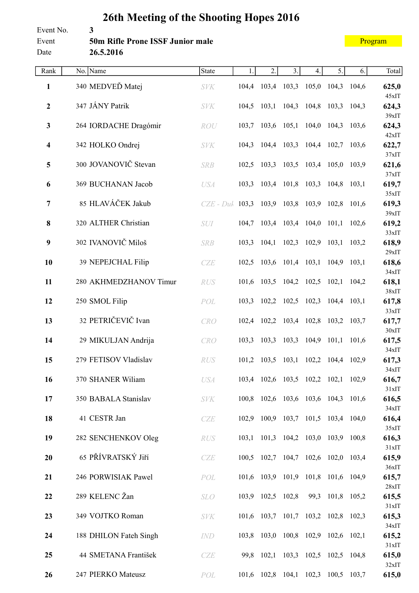#### <span id="page-13-0"></span>Event No. **3** Event **50m Rifle Prone ISSF Junior male** Date **26.5.2016**

| Rank                    | No. Name               | State                                           | 1.    | 2.                | 3.                                  | 4. | 5.               | 6. | Total          |
|-------------------------|------------------------|-------------------------------------------------|-------|-------------------|-------------------------------------|----|------------------|----|----------------|
| 1                       | 340 MEDVEĎ Matej       | <b>SVK</b>                                      |       |                   | 104,4 103,4 103,3 105,0 104,3 104,6 |    |                  |    | 625,0          |
| $\boldsymbol{2}$        | 347 JÁNY Patrik        | <b>SVK</b>                                      |       |                   | 104,5 103,1 104,3 104,8 103,3 104,3 |    |                  |    | 45xIT<br>624,3 |
| $\mathbf{3}$            | 264 IORDACHE Dragómir  | ROU                                             |       |                   | 103,7 103,6 105,1 104,0 104,3 103,6 |    |                  |    | 39xIT<br>624,3 |
| $\overline{\mathbf{4}}$ | 342 HOLKO Ondrej       | <b>SVK</b>                                      |       |                   | 104,3 104,4 103,3 104,4 102,7 103,6 |    |                  |    | 42xIT<br>622,7 |
| $\overline{\mathbf{5}}$ | 300 JOVANOVIČ Stevan   | <b>SRB</b>                                      |       |                   | 102,5 103,3 103,5 103,4 105,0 103,9 |    |                  |    | 37xIT<br>621,6 |
| 6                       | 369 BUCHANAN Jacob     | <b>USA</b>                                      | 103,3 |                   | 103,4 101,8 103,3                   |    | 104,8 103,1      |    | 37xIT<br>619,7 |
| $\overline{7}$          | 85 HLAVÁČEK Jakub      | $CZE - Duh$ 103,3 103,9 103,8 103,9 102,8 101,6 |       |                   |                                     |    |                  |    | 35xIT<br>619,3 |
| 8                       | 320 ALTHER Christian   | <i>SUI</i>                                      |       |                   | 104,7 103,4 103,4 104,0 101,1 102,6 |    |                  |    | 39xIT<br>619,2 |
|                         |                        |                                                 |       |                   |                                     |    |                  |    | 33xIT          |
| $\boldsymbol{9}$        | 302 IVANOVIČ Miloš     | <b>SRB</b>                                      |       |                   | 103,3 104,1 102,3 102,9 103,1 103,2 |    |                  |    | 618,9<br>29xIT |
| 10                      | 39 NEPEJCHAL Filip     | CZE                                             |       |                   | 102,5 103,6 101,4 103,1 104,9 103,1 |    |                  |    | 618,6          |
| 11                      | 280 AKHMEDZHANOV Timur | RUS                                             |       |                   | 101,6 103,5 104,2 102,5 102,1 104,2 |    |                  |    | 34xIT<br>618,1 |
| 12                      | 250 SMOL Filip         | POL                                             | 103,3 |                   | 102,2 102,5 102,3                   |    | $104,4$ $103,1$  |    | 38xIT<br>617,8 |
| 13                      | 32 PETRIČEVIČ Ivan     | CRO                                             |       |                   | 102,4 102,2 103,4 102,8 103,2 103,7 |    |                  |    | 33xIT<br>617,7 |
| 14                      | 29 MIKULJAN Andrija    | CRO                                             |       |                   | 103,3 103,3 103,3 104,9 101,1 101,6 |    |                  |    | 30xIT<br>617,5 |
| 15                      | 279 FETISOV Vladislav  | <b>RUS</b>                                      |       |                   | 101,2 103,5 103,1 102,2 104,4 102,9 |    |                  |    | 34xIT<br>617,3 |
| 16                      | 370 SHANER Wiliam      | <b>USA</b>                                      |       |                   | 103,4 102,6 103,5 102,2 102,1 102,9 |    |                  |    | 34xIT<br>616,7 |
| 17                      | 350 BABALA Stanislav   | <b>SVK</b>                                      |       |                   | 100,8 102,6 103,6 103,6 104,3 101,6 |    |                  |    | 31xIT<br>616,5 |
| 18                      | 41 CESTR Jan           | CZE                                             |       |                   | 102,9 100,9 103,7 101,5 103,4 104,0 |    |                  |    | 34xIT<br>616,4 |
|                         |                        |                                                 |       |                   |                                     |    |                  |    | 35xIT          |
| 19                      | 282 SENCHENKOV Oleg    | RUS                                             |       |                   | 103,1 101,3 104,2 103,0 103,9 100,8 |    |                  |    | 616,3<br>31xIT |
| 20                      | 65 PŘÍVRATSKÝ Jiří     | CZE                                             |       |                   | 100,5 102,7 104,7 102,6 102,0 103,4 |    |                  |    | 615,9<br>36xIT |
| 21                      | 246 PORWISIAK Pawel    | POL                                             |       |                   | 101,6 103,9 101,9 101,8 101,6 104,9 |    |                  |    | 615,7<br>28xIT |
| 22                      | 289 KELENC Žan         | <b>SLO</b>                                      |       | 103,9 102,5 102,8 |                                     |    | 99,3 101,8 105,2 |    | 615,5          |
| 23                      | 349 VOJTKO Roman       | <b>SVK</b>                                      |       |                   | 101,6 103,7 101,7 103,2 102,8 102,3 |    |                  |    | 31xIT<br>615,3 |
| 24                      | 188 DHILON Fateh Singh | IND                                             | 103,8 |                   | 103,0 100,8 102,9 102,6 102,1       |    |                  |    | 34xIT<br>615,2 |
| 25                      | 44 SMETANA František   | CZE                                             |       |                   | 99,8 102,1 103,3 102,5 102,5 104,8  |    |                  |    | 31xIT<br>615,0 |
| 26                      | 247 PIERKO Mateusz     | POL                                             |       |                   | 101,6 102,8 104,1 102,3 100,5 103,7 |    |                  |    | 32xIT<br>615,0 |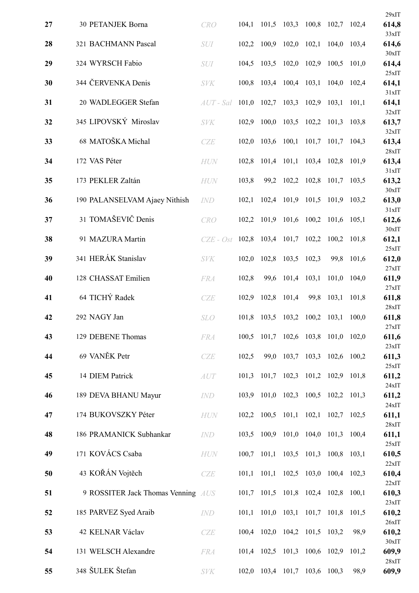|    |                                    |             |       |                   |                               |       |                                     |       | $29x$ IT                |
|----|------------------------------------|-------------|-------|-------------------|-------------------------------|-------|-------------------------------------|-------|-------------------------|
| 27 | 30 PETANJEK Borna                  | <b>CRO</b>  | 104,1 |                   | 101,5 103,3                   | 100,8 | $102,7$ 102,4                       |       | 614,8<br>33xIT          |
| 28 | 321 BACHMANN Pascal                | <b>SUI</b>  | 102,2 | 100,9             | 102,0                         | 102,1 | 104,0 103,4                         |       | 614,6                   |
| 29 | 324 WYRSCH Fabio                   | SUI         | 104,5 |                   | 103,5 102,0                   | 102,9 | 100,5                               | 101,0 | 30xIT<br>614,4          |
| 30 | 344 ČERVENKA Denis                 | <b>SVK</b>  | 100,8 |                   | 103,4 100,4                   | 103,1 | 104,0                               | 102,4 | 25xIT<br>614,1          |
| 31 | 20 WADLEGGER Stefan                | $AUT$ - Sal | 101,0 | 102,7             | 103,3                         | 102,9 | 103,1                               | 101,1 | 31xIT<br>614,1          |
| 32 | 345 LIPOVSKÝ Miroslav              | <b>SVK</b>  | 102,9 | 100,0             | 103,5                         |       | 102,2 101,3 103,8                   |       | 32xIT<br>613,7          |
| 33 | 68 MATOŠKA Michal                  | CZE         | 102,0 | 103,6             | 100,1                         |       | $101,7$ 101,7                       | 104,3 | 32xIT<br>613,4          |
| 34 | 172 VAS Péter                      | <b>HUN</b>  | 102,8 |                   | 101,4 101,1                   | 103,4 | 102,8                               | 101,9 | 28xIT<br>613,4          |
| 35 | 173 PEKLER Zaltán                  | <b>HUN</b>  | 103,8 |                   | 99,2 102,2                    | 102,8 | 101,7 103,5                         |       | 31xIT<br>613,2          |
| 36 | 190 PALANSELVAM Ajaey Nithish      | <b>IND</b>  | 102,1 |                   | 102,4 101,9                   | 101,5 | 101,9                               | 103,2 | $30x$ IT<br>613,0       |
| 37 | 31 TOMAŠEVIČ Denis                 | <b>CRO</b>  | 102,2 |                   | 101,9 101,6                   | 100,2 | 101,6                               | 105,1 | 31xIT<br>612,6          |
| 38 | 91 MAZURA Martin                   | $CZE - Ost$ | 102,8 |                   | 103,4 101,7                   | 102,2 | 100,2                               | 101,8 | 30xIT<br>612,1          |
| 39 | 341 HERÁK Stanislav                | <b>SVK</b>  | 102,0 |                   | 102,8 103,5                   | 102,3 | 99,8                                | 101,6 | 25xIT<br>612,0          |
| 40 | 128 CHASSAT Emilien                | <b>FRA</b>  | 102,8 | 99,6              | 101,4                         | 103,1 | 101,0                               | 104,0 | 27xIT<br>611,9<br>27xIT |
| 41 | 64 TICHÝ Radek                     | <b>CZE</b>  | 102,9 | 102,8             | 101,4                         | 99,8  | 103,1                               | 101,8 | 611,8<br>28xIT          |
| 42 | 292 NAGY Jan                       | <b>SLO</b>  | 101,8 | 103,5             | 103,2                         | 100,2 | 103,1                               | 100,0 | 611,8                   |
| 43 | 129 DEBENE Thomas                  | <b>FRA</b>  | 100,5 |                   |                               |       | 101,7 102,6 103,8 101,0 102,0       |       | 27xIT<br>611,6<br>23xIT |
| 44 | 69 VANĚK Petr                      | CZE         | 102,5 | 99,0              |                               |       | 103,7 103,3 102,6 100,2             |       | 611,3<br>25xIT          |
| 45 | 14 DIEM Patrick                    | AUT         | 101,3 |                   | 101,7 102,3                   |       | 101,2 102,9 101,8                   |       | 611,2<br>24xIT          |
| 46 | 189 DEVA BHANU Mayur               | <b>IND</b>  | 103,9 |                   |                               |       | 101,0 102,3 100,5 102,2 101,3       |       | 611,2<br>24xIT          |
| 47 | 174 BUKOVSZKY Péter                | <b>HUN</b>  | 102,2 |                   | $100,5$ $101,1$ $102,1$       |       | 102,7 102,5                         |       | 611,1<br>28xIT          |
| 48 | 186 PRAMANICK Subhankar            | IND         | 103,5 |                   | 100,9 101,0 104,0             |       | 101,3                               | 100,4 | 611,1<br>25xIT          |
| 49 | 171 KOVÁCS Csaba                   | <b>HUN</b>  |       |                   |                               |       | 100,7 101,1 103,5 101,3 100,8 103,1 |       | 610,5<br>22xIT          |
| 50 | 43 KOŘÁN Vojtěch                   | CZE         | 101,1 |                   |                               |       | 101,1 102,5 103,0 100,4 102,3       |       | 610,4<br>22xIT          |
| 51 | 9 ROSSITER Jack Thomas Venning AUS |             | 101,7 |                   | 101,5 101,8 102,4 102,8       |       |                                     | 100,1 | 610,3<br>23xIT          |
| 52 | 185 PARVEZ Syed Araib              | <b>IND</b>  | 101,1 |                   |                               |       | 101,0 103,1 101,7 101,8 101,5       |       | 610,2<br>26xIT          |
| 53 | 42 KELNAR Václav                   | CZE         |       |                   | 100,4 102,0 104,2 101,5 103,2 |       |                                     | 98,9  | 610,2<br>30xIT          |
| 54 | 131 WELSCH Alexandre               | <b>FRA</b>  |       | 101,4 102,5 101,3 |                               |       | 100,6 102,9                         | 101,2 | 609,9                   |
| 55 | 348 ŠULEK Štefan                   | <b>SVK</b>  | 102,0 |                   | 103,4 101,7                   | 103,6 | 100,3                               | 98,9  | 28xIT<br>609,9          |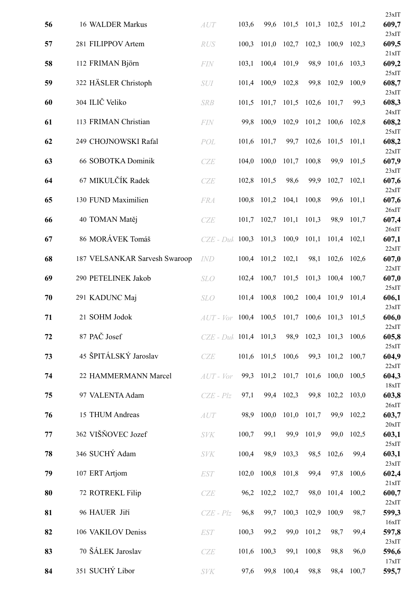|    |                               |                         |       |                   |                                     |       |                                 |             | 23xIT          |
|----|-------------------------------|-------------------------|-------|-------------------|-------------------------------------|-------|---------------------------------|-------------|----------------|
| 56 | 16 WALDER Markus              | AUT                     | 103,6 | 99,6              |                                     |       | $101,5$ $101,3$ $102,5$ $101,2$ |             | 609,7          |
| 57 | 281 FILIPPOV Artem            | <b>RUS</b>              | 100.3 | 101,0             | 102,7                               | 102,3 | 100,9                           | 102,3       | 23xIT<br>609,5 |
| 58 | 112 FRIMAN Björn              | <b>FIN</b>              | 103,1 |                   | 100,4 101,9                         | 98,9  | 101,6 103,3                     |             | 21xIT<br>609,2 |
| 59 | 322 HÄSLER Christoph          | SUI                     | 101,4 |                   | 100,9 102,8                         | 99,8  | 102,9                           | 100,9       | 25xIT<br>608,7 |
| 60 | 304 ILIČ Veliko               | <b>SRB</b>              | 101,5 | 101,7             | 101,5                               | 102,6 | 101,7                           | 99,3        | 23xIT<br>608,3 |
| 61 | 113 FRIMAN Christian          | <b>FIN</b>              | 99,8  | 100,9             | 102,9                               | 101,2 | 100,6                           | 102,8       | 24xIT<br>608,2 |
| 62 | 249 CHOJNOWSKI Rafal          | POL                     |       | 101,6 101,7       | 99,7                                | 102,6 | $101,5$ 101,1                   |             | 25xIT<br>608,2 |
| 63 | 66 SOBOTKA Dominik            | CZE                     | 104,0 | 100,0             | 101,7                               | 100,8 | 99,9                            | 101,5       | 22xIT<br>607,9 |
| 64 | 67 MIKULČÍK Radek             | CZE                     | 102,8 | 101,5             | 98,6                                | 99,9  | 102,7                           | 102,1       | 23xIT<br>607,6 |
| 65 | 130 FUND Maximilien           | <b>FRA</b>              | 100.8 | 101,2             | 104,1                               | 100,8 | 99,6                            | 101,1       | 22xIT<br>607,6 |
| 66 | 40 TOMAN Matěj                | CZE                     | 101,7 | 102,7             | 101,1                               | 101,3 | 98,9                            | 101,7       | 26xIT<br>607,4 |
| 67 | 86 MORÁVEK Tomáš              | $CZE$ - $Duk$           | 100,3 |                   | 101,3 100,9                         | 101,1 | 101,4 102,1                     |             | 26xIT<br>607,1 |
| 68 | 187 VELSANKAR Sarvesh Swaroop | <b>IND</b>              |       | 100,4 101,2 102,1 |                                     | 98,1  |                                 | 102,6 102,6 | 22xIT<br>607,0 |
| 69 | 290 PETELINEK Jakob           | <b>SLO</b>              | 102,4 | 100,7             | 101,5                               | 101,3 | 100,4                           | 100,7       | 22xIT<br>607,0 |
| 70 | 291 KADUNC Maj                | <b>SLO</b>              | 101,4 | 100,8             | 100,2                               |       | 100,4 101,9                     | 101,4       | 25xIT<br>606,1 |
| 71 | 21 SOHM Jodok                 | $AUT$ - $Vor$           |       |                   | 100,4 100,5 101,7 100,6 101,3 101,5 |       |                                 |             | 23xIT<br>606,0 |
| 72 | 87 PAČ Josef                  | $CZE$ - Duk 101,4 101,3 |       |                   | 98,9                                | 102,3 | 101,3                           | 100,6       | 22xIT<br>605,8 |
| 73 | 45 ŠPITÁLSKÝ Jaroslav         | CZE                     |       | 101,6 101,5 100,6 |                                     |       | 99,3 101,2 100,7                |             | 25xIT<br>604,9 |
| 74 | 22 HAMMERMANN Marcel          | $AUT$ - $Vor$           | 99,3  |                   | 101,2 101,7                         | 101,6 | 100,0                           | 100,5       | 22xIT<br>604,3 |
| 75 | 97 VALENTA Adam               | $CZE - Plz$             | 97,1  |                   | 99,4 102,3                          | 99,8  | 102,2 103,0                     |             | 18xIT<br>603,8 |
| 76 | 15 THUM Andreas               | AUT                     | 98,9  | 100,0             | 101,0                               | 101,7 | 99,9                            | 102,2       | 26xIT<br>603,7 |
| 77 | 362 VIŠŇOVEC Jozef            | <b>SVK</b>              | 100,7 | 99,1              | 99,9                                | 101,9 | 99,0                            | 102,5       | 20xIT<br>603,1 |
| 78 | 346 SUCHÝ Adam                | <b>SVK</b>              | 100,4 | 98,9              | 103,3                               | 98,5  | 102,6                           | 99,4        | 25xIT<br>603,1 |
| 79 | 107 ERT Artjom                | <b>EST</b>              | 102,0 |                   | 100,8 101,8                         | 99,4  | 97,8                            | 100,6       | 23xIT<br>602,4 |
| 80 | 72 ROTREKL Filip              | CZE                     | 96,2  |                   | 102,2 102,7                         | 98,0  | 101,4 100,2                     |             | 21xIT<br>600,7 |
| 81 | 96 HAUER Jiří                 | $CZE - Plz$             | 96,8  | 99,7              | 100,3                               | 102,9 | 100,9                           | 98,7        | 22xIT<br>599,3 |
| 82 | 106 VAKILOV Deniss            | <b>EST</b>              | 100,3 | 99,2              | 99,0                                | 101,2 | 98,7                            | 99,4        | 16xIT<br>597,8 |
| 83 | 70 ŠÁLEK Jaroslav             | CZE                     | 101,6 | 100,3             | 99,1                                | 100,8 | 98,8                            | 96,0        | 23xIT<br>596,6 |
| 84 | 351 SUCHÝ Libor               | <b>SVK</b>              | 97,6  | 99,8              | 100,4                               | 98,8  | 98,4                            | 100,7       | 17xIT<br>595,7 |
|    |                               |                         |       |                   |                                     |       |                                 |             |                |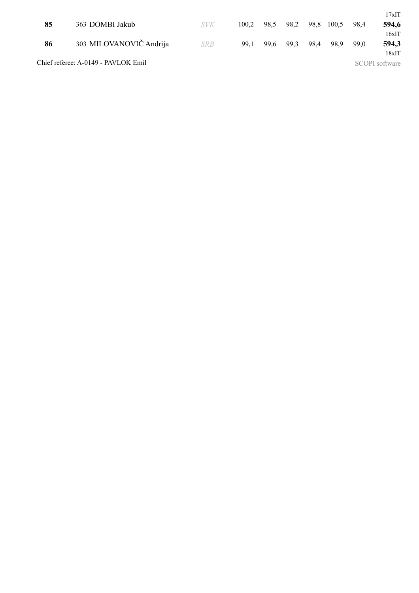| 85 | 363 DOMBI Jakub                     | <b>SVK</b> | 100.2 | 98.5 | 98,2 | 98,8 | 100.5 | 98.4 | 17xIT<br>594,6          |
|----|-------------------------------------|------------|-------|------|------|------|-------|------|-------------------------|
| 86 | 303 MILOVANOVIČ Andrija             | <b>SRB</b> | 99.1  | 99.6 | 99.3 | 98,4 | 98.9  | 99.0 | 16xIT<br>594,3          |
|    | Chief referee: A-0149 - PAVLOK Emil |            |       |      |      |      |       |      | 18xIT<br>SCOPI software |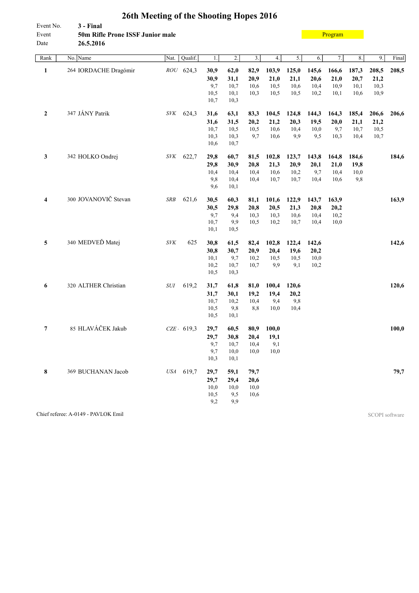<span id="page-17-0"></span>

| Event No.<br>Event<br>Date | 3 - Final<br>50m Rifle Prone ISSF Junior male<br>26.5.2016 |                                    |              |                  |                  |       |       |       | Program |       |       |       |
|----------------------------|------------------------------------------------------------|------------------------------------|--------------|------------------|------------------|-------|-------|-------|---------|-------|-------|-------|
| Rank                       | No. Name                                                   | Qualif.<br>Nat.                    | 1.           | $\overline{2}$ . | $\overline{3}$ . | 4.    | 5.    | 6.    | 7.      | 8.    | 9.    | Final |
| $\mathbf{1}$               | 264 IORDACHE Dragómir                                      | ROU 624,3                          | 30,9         | 62,0             | 82,9             | 103,9 | 125,0 | 145,6 | 166,6   | 187,3 | 208,5 | 208,5 |
|                            |                                                            |                                    | 30,9         | 31,1             | 20,9             | 21,0  | 21,1  | 20,6  | 21,0    | 20,7  | 21,2  |       |
|                            |                                                            |                                    | 9,7          | 10,7             | 10,6             | 10,5  | 10,6  | 10,4  | 10,9    | 10,1  | 10,3  |       |
|                            |                                                            |                                    | 10,5         | 10,1             | 10,3             | 10,5  | 10,5  | 10,2  | 10,1    | 10,6  | 10,9  |       |
|                            |                                                            |                                    | 10,7         | 10,3             |                  |       |       |       |         |       |       |       |
| $\mathbf{2}$               | 347 JÁNY Patrik                                            | SVK<br>624,3                       | 31,6         | 63,1             | 83,3             | 104,5 | 124,8 | 144,3 | 164,3   | 185,4 | 206,6 | 206,6 |
|                            |                                                            |                                    | 31,6         | 31,5             | 20,2             | 21,2  | 20,3  | 19,5  | 20,0    | 21,1  | 21,2  |       |
|                            |                                                            |                                    | 10,7         | 10,5             | 10,5             | 10,6  | 10,4  | 10,0  | 9,7     | 10,7  | 10,5  |       |
|                            |                                                            |                                    | 10,3         | 10,3             | 9,7              | 10,6  | 9,9   | 9,5   | 10,3    | 10,4  | 10,7  |       |
|                            |                                                            |                                    | 10,6         | 10,7             |                  |       |       |       |         |       |       |       |
| 3                          | 342 HOLKO Ondrej                                           | 622,7<br><b>SVK</b>                | 29,8         | 60,7             | 81,5             | 102,8 | 123,7 | 143,8 | 164,8   | 184,6 |       | 184,6 |
|                            |                                                            |                                    | 29,8         | 30,9             | 20,8             | 21,3  | 20,9  | 20,1  | 21,0    | 19,8  |       |       |
|                            |                                                            |                                    | 10,4         | 10,4             | 10,4             | 10,6  | 10,2  | 9,7   | 10,4    | 10,0  |       |       |
|                            |                                                            |                                    | 9,8          | 10,4             | 10,4             | 10,7  | 10,7  | 10,4  | 10,6    | 9,8   |       |       |
|                            |                                                            |                                    | 9,6          | 10,1             |                  |       |       |       |         |       |       |       |
| $\overline{\mathbf{4}}$    | 300 JOVANOVIČ Stevan                                       | 621,6<br><b>SRB</b>                | 30,5         | 60,3             | 81,1             | 101,6 | 122,9 | 143,7 | 163,9   |       |       | 163,9 |
|                            |                                                            |                                    | 30,5         | 29,8             | 20,8             | 20,5  | 21,3  | 20,8  | 20,2    |       |       |       |
|                            |                                                            |                                    | 9,7          | 9,4              | 10,3             | 10,3  | 10,6  | 10,4  | 10,2    |       |       |       |
|                            |                                                            |                                    | 10,7         | 9,9              | 10,5             | 10,2  | 10,7  | 10,4  | 10,0    |       |       |       |
|                            |                                                            |                                    | 10,1         | 10,5             |                  |       |       |       |         |       |       |       |
| 5                          | 340 MEDVEĎ Matej                                           | $\ensuremath{\textit{SVK}}$<br>625 | 30,8         | 61,5             | 82,4             | 102,8 | 122,4 | 142,6 |         |       |       | 142,6 |
|                            |                                                            |                                    | 30,8         | 30,7             | 20,9             | 20,4  | 19,6  | 20,2  |         |       |       |       |
|                            |                                                            |                                    | 10,1         | 9,7              | 10,2             | 10,5  | 10,5  | 10,0  |         |       |       |       |
|                            |                                                            |                                    | 10,2<br>10,5 | 10,7             | 10,7             | 9,9   | 9,1   | 10,2  |         |       |       |       |
|                            |                                                            |                                    |              | 10,3             |                  |       |       |       |         |       |       |       |
| 6                          | 320 ALTHER Christian                                       | 619,2<br>$\cal SUI$                | 31,7         | 61,8             | 81,0             | 100,4 | 120,6 |       |         |       |       | 120,6 |
|                            |                                                            |                                    | 31,7         | 30,1             | 19,2             | 19,4  | 20,2  |       |         |       |       |       |
|                            |                                                            |                                    | 10,7         | 10,2             | 10,4             | 9,4   | 9,8   |       |         |       |       |       |
|                            |                                                            |                                    | 10,5         | 9,8              | 8,8              | 10,0  | 10,4  |       |         |       |       |       |
|                            |                                                            |                                    | 10,5         | 10,1             |                  |       |       |       |         |       |       |       |
| 7                          | 85 HLAVÁČEK Jakub                                          | $CZE$ $-619,3$                     | 29,7         | 60,5             | 80,9             | 100,0 |       |       |         |       |       | 100,0 |
|                            |                                                            |                                    | 29,7         | 30,8             | 20,4             | 19,1  |       |       |         |       |       |       |
|                            |                                                            |                                    | 9,7          | 10,7             | 10,4             | 9,1   |       |       |         |       |       |       |
|                            |                                                            |                                    | 9,7          | 10,0             | 10,0             | 10,0  |       |       |         |       |       |       |
|                            |                                                            |                                    | 10,3         | 10,1             |                  |       |       |       |         |       |       |       |
| 8                          | 369 BUCHANAN Jacob                                         | USA 619,7                          | 29,7         | 59,1             | 79,7             |       |       |       |         |       |       | 79,7  |
|                            |                                                            |                                    | 29,7         | 29,4             | 20,6             |       |       |       |         |       |       |       |
|                            |                                                            |                                    | 10,0         | 10,0             | 10,0             |       |       |       |         |       |       |       |
|                            |                                                            |                                    | 10,5         | 9,5              | 10,6             |       |       |       |         |       |       |       |
|                            |                                                            |                                    | 9,2          | 9,9              |                  |       |       |       |         |       |       |       |

Chief referee: A-0149 - PAVLOK Emil SCOPI software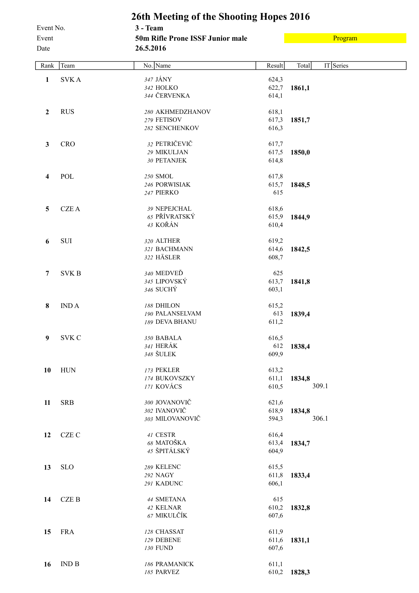#### <span id="page-18-0"></span>**26th Meeting of the Shooting Hopes 2016** Event No. **3 - Team** Event **50m Rifle Prone ISSF Junior male** Date **26.5.2016**

[Program](#page-2-0)

| Rank             | Team                          | No. Name         | Result | Total  | IT Series |
|------------------|-------------------------------|------------------|--------|--------|-----------|
| 1                | <b>SVKA</b>                   | 347 JÁNY         | 624,3  |        |           |
|                  |                               | 342 HOLKO        | 622,7  | 1861,1 |           |
|                  |                               | 344 ČERVENKA     | 614,1  |        |           |
| $\overline{2}$   | <b>RUS</b>                    | 280 AKHMEDZHANOV | 618,1  |        |           |
|                  |                               | 279 FETISOV      | 617,3  | 1851,7 |           |
|                  |                               | 282 SENCHENKOV   | 616,3  |        |           |
| $\mathbf{3}$     | CRO                           | 32 PETRIČEVIČ    | 617,7  |        |           |
|                  |                               | 29 MIKULJAN      | 617,5  | 1850,0 |           |
|                  |                               | 30 PETANJEK      | 614,8  |        |           |
| 4                | POL                           | 250 SMOL         | 617,8  |        |           |
|                  |                               | 246 PORWISIAK    | 615,7  | 1848,5 |           |
|                  |                               | 247 PIERKO       | 615    |        |           |
| 5                | <b>CZEA</b>                   | 39 NEPEJCHAL     | 618,6  |        |           |
|                  |                               | 65 PŘÍVRATSKÝ    | 615,9  | 1844,9 |           |
|                  |                               | 43 KOŘÁN         | 610,4  |        |           |
| 6                | SUI                           | 320 ALTHER       | 619,2  |        |           |
|                  |                               | 321 BACHMANN     | 614,6  | 1842,5 |           |
|                  |                               | 322 HÄSLER       | 608,7  |        |           |
| 7                | <b>SVKB</b>                   | 340 MEDVEĎ       | 625    |        |           |
|                  |                               | 345 LIPOVSKÝ     | 613,7  | 1841,8 |           |
|                  |                               | 346 SUCHÝ        | 603,1  |        |           |
| $\bf{8}$         | <b>INDA</b>                   | 188 DHILON       | 615,2  |        |           |
|                  |                               | 190 PALANSELVAM  | 613    | 1839,4 |           |
|                  |                               | 189 DEVA BHANU   | 611,2  |        |           |
| $\boldsymbol{9}$ | <b>SVK C</b>                  | 350 BABALA       | 616,5  |        |           |
|                  |                               | 341 HERÁK        | 612    | 1838,4 |           |
|                  |                               | 348 ŠULEK        | 609,9  |        |           |
| 10               | <b>HUN</b>                    | 173 PEKLER       | 613,2  |        |           |
|                  |                               | 174 BUKOVSZKY    | 611,1  | 1834,8 |           |
|                  |                               | 171 KOVÁCS       | 610,5  |        | 309.1     |
| 11               | <b>SRB</b>                    | 300 JOVANOVIČ    | 621,6  |        |           |
|                  |                               | 302 IVANOVIČ     | 618,9  | 1834,8 |           |
|                  |                               | 303 MILOVANOVIČ  | 594,3  |        | 306.1     |
| 12               | CZE C                         | 41 CESTR         | 616,4  |        |           |
|                  |                               | 68 MATOŠKA       | 613,4  | 1834,7 |           |
|                  |                               | 45 ŠPITÁLSKÝ     | 604,9  |        |           |
| 13               | <b>SLO</b>                    | 289 KELENC       | 615,5  |        |           |
|                  |                               | 292 NAGY         | 611,8  | 1833,4 |           |
|                  |                               | 291 KADUNC       | 606,1  |        |           |
| 14               | CZE B                         | 44 SMETANA       | 615    |        |           |
|                  |                               | 42 KELNAR        | 610,2  | 1832,8 |           |
|                  |                               | 67 MIKULČÍK      | 607,6  |        |           |
| 15               | <b>FRA</b>                    | 128 CHASSAT      | 611,9  |        |           |
|                  |                               | 129 DEBENE       | 611,6  | 1831,1 |           |
|                  |                               | 130 FUND         | 607,6  |        |           |
| 16               | $\mathop{\rm IND}\nolimits$ B | 186 PRAMANICK    | 611,1  |        |           |
|                  |                               | 185 PARVEZ       | 610,2  | 1828,3 |           |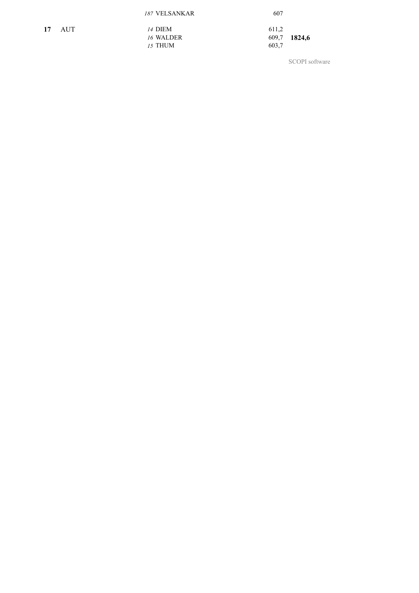|    |     | 187 VELSANKAR  | 607   |              |
|----|-----|----------------|-------|--------------|
| 17 | AUT | <i>14 DIEM</i> | 611.2 |              |
|    |     | 16 WALDER      |       | 609,7 1824,6 |
|    |     | 15 THUM        | 603,7 |              |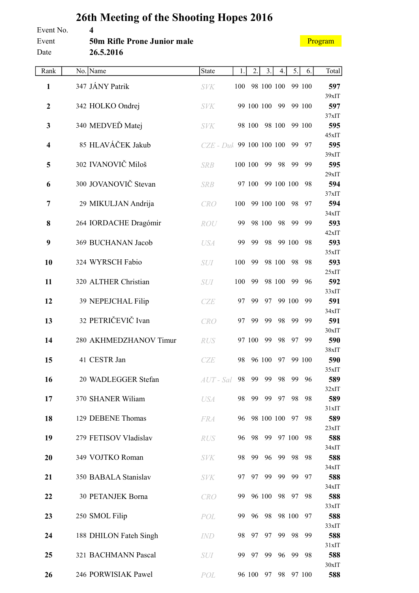<span id="page-20-0"></span>

| Event No.               | 4                                  |               |     |                |        |               |        |        |                       |
|-------------------------|------------------------------------|---------------|-----|----------------|--------|---------------|--------|--------|-----------------------|
| Event                   | <b>50m Rifle Prone Junior male</b> |               |     |                |        |               |        |        | Program               |
| Date                    | 26.5.2016                          |               |     |                |        |               |        |        |                       |
| Rank                    | No. Name                           | State         | 1.  | 2.             | 3.     | 4.            | 5.     | 6.     | Total                 |
| $\mathbf{1}$            | 347 JÁNY Patrik                    | <b>SVK</b>    | 100 |                |        | 98 100 100    |        | 99 100 | 597                   |
| $\boldsymbol{2}$        | 342 HOLKO Ondrej                   | <b>SVK</b>    |     | 99 100 100     |        | 99            |        | 99 100 | 39xIT<br>597          |
| 3                       | 340 MEDVEĎ Matej                   | <b>SVK</b>    |     | 98 100         |        | 98 100        |        | 99 100 | 37xIT<br>595          |
| $\overline{\mathbf{4}}$ | 85 HLAVÁČEK Jakub                  | $CZE$ - $Duh$ |     | 99 100 100 100 |        |               | 99     | 97     | 45xIT<br>595          |
| 5                       | 302 IVANOVIČ Miloš                 | <b>SRB</b>    |     | 100 100        | 99     | 98            | 99     | 99     | 39xIT<br>595          |
| 6                       | 300 JOVANOVIČ Stevan               | <b>SRB</b>    |     | 97 100         |        | 99 100 100    |        | 98     | 29xIT<br>594          |
| 7                       | 29 MIKULJAN Andrija                | <b>CRO</b>    | 100 |                |        | 99 100 100    | 98     | 97     | 37xIT<br>594          |
| 8                       | 264 IORDACHE Dragómir              | <b>ROU</b>    | 99  |                | 98 100 | 98            | 99     | 99     | 34xIT<br>593<br>42xIT |
| 9                       | 369 BUCHANAN Jacob                 | <b>USA</b>    | 99  | 99             | 98     |               | 99 100 | 98     | 593<br>35xIT          |
| 10                      | 324 WYRSCH Fabio                   | <b>SUI</b>    | 100 | 99             |        | 98 100        | 98     | 98     | 593<br>25xIT          |
| 11                      | 320 ALTHER Christian               | <b>SUI</b>    | 100 | 99             |        | 98 100        | 99     | 96     | 592<br>33xIT          |
| 12                      | 39 NEPEJCHAL Filip                 | <b>CZE</b>    | 97  | 99             | 97     |               | 99 100 | 99     | 591<br>34xIT          |
| 13                      | 32 PETRIČEVIČ Ivan                 | <b>CRO</b>    | 97  | 99             | 99     | 98            | 99     | 99     | 591<br>30xIT          |
| 14                      | 280 AKHMEDZHANOV Timur             | RUS           |     | 97 100 99      |        |               | 98 97  | 99     | 590<br>38xIT          |
| 15                      | 41 CESTR Jan                       | CZE           | 98  |                | 96 100 | 97            |        | 99 100 | 590<br>35xIT          |
| 16                      | 20 WADLEGGER Stefan                | $AUT$ - Sal   | 98  |                | 99 99  | 98            | 99     | 96     | 589<br>32xIT          |
| 17                      | 370 SHANER Wiliam                  | <b>USA</b>    | 98  |                | 99 99  | 97            | 98     | 98     | 589<br>31xIT          |
| 18                      | 129 DEBENE Thomas                  | <b>FRA</b>    | 96  |                |        | 98 100 100 97 |        | 98     | 589<br>23xIT          |
| 19                      | 279 FETISOV Vladislav              | RUS           | 96  | 98             | 99     |               | 97 100 | 98     | 588<br>34xIT          |
| 20                      | 349 VOJTKO Roman                   | <b>SVK</b>    | 98  | 99             | 96     | 99            | 98     | 98     | 588<br>34xIT          |
| 21                      | 350 BABALA Stanislav               | <b>SVK</b>    | 97  |                | 97 99  | 99            | - 99   | 97     | 588<br>34xIT          |
| 22                      | 30 PETANJEK Borna                  | CRO           | 99  |                | 96 100 | 98            | - 97   | 98     | 588<br>33xIT          |
| 23                      | 250 SMOL Filip                     | POL           | 99  |                | 96 98  |               | 98 100 | 97     | 588<br>33xIT          |
| 24                      | 188 DHILON Fateh Singh             | <i>IND</i>    | 98  | 97             | 97     | 99            | 98     | 99     | 588<br>31xIT          |
| 25                      | 321 BACHMANN Pascal                | <i>SUI</i>    | 99  | 97             | 99     | 96            | - 99   | 98     | 588<br>30xIT          |

**26** 246 PORWISIAK Pawel *POL* 96 100 97 98 97 100 **588**

# **26th Meeting of the Shooting Hopes 2016**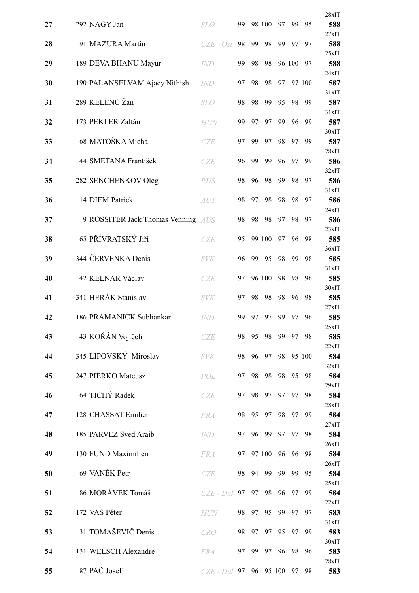|    |                                    |                        |    |    |        |    |        |        | 28xIT        |
|----|------------------------------------|------------------------|----|----|--------|----|--------|--------|--------------|
| 27 | 292 NAGY Jan                       | <b>SLO</b>             | 99 |    | 98 100 | 97 | 99     | 95     | 588          |
| 28 | 91 MAZURA Martin                   | $CZE - Ost$            | 98 | 99 | 98     | 99 | 97     | 97     | 27xIT<br>588 |
| 29 | 189 DEVA BHANU Mayur               | <b>IND</b>             | 99 | 98 | 98     |    | 96 100 | 97     | 25xIT<br>588 |
|    |                                    |                        |    |    |        |    |        |        | 24xIT        |
| 30 | 190 PALANSELVAM Ajaey Nithish      | <b>IND</b>             | 97 | 98 | 98     | 97 |        | 97 100 | 587<br>31xIT |
| 31 | 289 KELENC Žan                     | <b>SLO</b>             | 98 | 98 | 99     | 95 | 98     | 99     | 587          |
| 32 | 173 PEKLER Zaltán                  | <b>HUN</b>             | 99 | 97 | 97     | 99 | 96     | 99     | 31xIT<br>587 |
| 33 | 68 MATOŠKA Michal                  | <b>CZE</b>             | 97 | 99 | 97     | 98 | 97     | 99     | 30xIT<br>587 |
|    |                                    |                        |    |    |        |    |        |        | 28xIT        |
| 34 | 44 SMETANA František               | <b>CZE</b>             | 96 | 99 | 99     | 96 | 97     | 99     | 586<br>32xIT |
| 35 | 282 SENCHENKOV Oleg                | <b>RUS</b>             | 98 | 96 | 98     | 99 | 98     | 97     | 586          |
| 36 | 14 DIEM Patrick                    | AUT                    | 98 | 97 | 98     | 98 | 98     | 97     | 31xIT<br>586 |
|    |                                    |                        |    |    |        |    |        |        | 24xIT        |
| 37 | 9 ROSSITER Jack Thomas Venning AUS |                        | 98 | 98 | 98     | 97 | 98     | 97     | 586<br>23xIT |
| 38 | 65 PŘÍVRATSKÝ Jiří                 | CZE                    | 95 |    | 99 100 | 97 | 96     | 98     | 585          |
| 39 | 344 ČERVENKA Denis                 | <b>SVK</b>             | 96 | 99 | 95     | 98 | 99     | 98     | 36xIT<br>585 |
| 40 | 42 KELNAR Václav                   | CZE                    | 97 |    | 96 100 | 98 | 98     | 96     | 31xIT<br>585 |
|    |                                    |                        |    |    |        |    |        |        | 30xIT        |
| 41 | 341 HERÁK Stanislav                | <b>SVK</b>             | 97 | 98 | 98     | 98 | 96     | 98     | 585<br>27xIT |
| 42 | 186 PRAMANICK Subhankar            | <i>IND</i>             | 99 | 97 | 97     | 99 | 97     | 96     | 585          |
| 43 | 43 KOŘÁN Vojtěch                   | CZE                    | 98 | 95 | 98     | 99 | 97     | 98     | 25xIT<br>585 |
|    |                                    |                        |    |    |        |    |        |        | 22xIT        |
| 44 | 345 LIPOVSKÝ Miroslav              | <b>SVK</b>             | 98 | 96 | 97     | 98 |        | 95 100 | 584<br>32xIT |
| 45 | 247 PIERKO Mateusz                 | POL                    | 97 | 98 | 98     | 98 | 95     | 98     | 584          |
| 46 | 64 TICHÝ Radek                     | CZE                    | 97 | 98 | 97     | 97 | 97     | 98     | 29xIT<br>584 |
| 47 | 128 CHASSAT Emilien                | <b>FRA</b>             | 98 | 95 | 97     | 98 | 97     | 99     | 28xIT<br>584 |
|    |                                    |                        |    |    |        |    |        |        | 27xIT        |
| 48 | 185 PARVEZ Syed Araib              | <b>IND</b>             | 97 | 96 | 99     | 97 | 97     | 98     | 584<br>26xIT |
| 49 | 130 FUND Maximilien                | <b>FRA</b>             | 97 |    | 97 100 | 96 | 96     | 98     | 584          |
| 50 | 69 VANĚK Petr                      | CZE                    | 98 | 94 | 99     | 99 | 99     | 95     | 26xIT<br>584 |
|    |                                    |                        |    |    |        |    |        |        | 25xIT        |
| 51 | 86 MORÁVEK Tomáš                   | $CZE$ - $Duk$          | 97 | 97 | 98     | 96 | 97     | 99     | 584<br>22xIT |
| 52 | 172 VAS Péter                      | <b>HUN</b>             | 98 | 97 | 95     | 99 | 97     | 97     | 583<br>31xIT |
| 53 | 31 TOMAŠEVIČ Denis                 | CRO                    | 98 | 97 | 97     | 95 | 97     | 99     | 583          |
| 54 | 131 WELSCH Alexandre               | <b>FRA</b>             | 97 | 99 | 97     | 96 | 98     | 96     | 30xIT<br>583 |
|    |                                    |                        |    |    |        |    |        |        | 28xIT        |
| 55 | 87 PAČ Josef                       | CZE - Duk 97 96 95 100 |    |    |        |    | - 97   | 98     | 583          |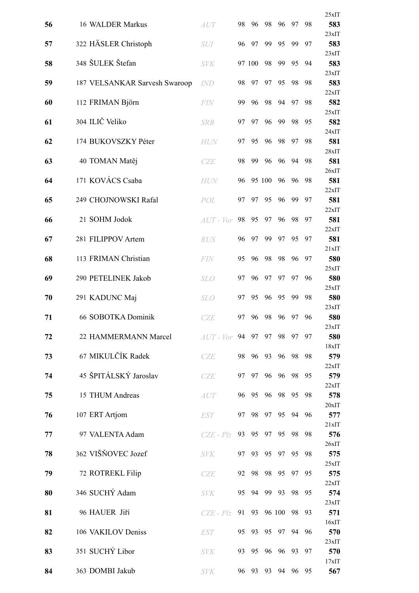|    |                               |             |    |        |        |        |    |    | 25xIT           |
|----|-------------------------------|-------------|----|--------|--------|--------|----|----|-----------------|
| 56 | 16 WALDER Markus              | <b>AUT</b>  | 98 | 96     | 98     | 96     | 97 | 98 | 583             |
| 57 | 322 HÄSLER Christoph          | <b>SUI</b>  | 96 | 97     | 99     | 95     | 99 | 97 | 23xIT<br>583    |
| 58 | 348 ŠULEK Štefan              | <b>SVK</b>  |    | 97 100 | 98     | 99     | 95 | 94 | 23xIT<br>583    |
|    |                               |             |    |        |        |        |    |    | 23xIT           |
| 59 | 187 VELSANKAR Sarvesh Swaroop | <i>IND</i>  | 98 | 97     | 97     | 95     | 98 | 98 | 583<br>22xIT    |
| 60 | 112 FRIMAN Björn              | FIN         | 99 | 96     | 98     | 94     | 97 | 98 | 582<br>25xIT    |
| 61 | 304 ILIČ Veliko               | <b>SRB</b>  | 97 | 97     | 96     | 99     | 98 | 95 | 582             |
| 62 | 174 BUKOVSZKY Péter           | <b>HUN</b>  | 97 | 95     | 96     | 98     | 97 | 98 | 24xIT<br>581    |
| 63 | 40 TOMAN Matěj                | CZE         | 98 | 99     | 96     | 96     | 94 | 98 | 28xIT<br>581    |
|    |                               |             |    |        |        |        |    |    | 26xIT           |
| 64 | 171 KOVÁCS Csaba              | <b>HUN</b>  | 96 |        | 95 100 | 96     | 96 | 98 | 581<br>22xIT    |
| 65 | 249 CHOJNOWSKI Rafal          | POL         | 97 | 97     | 95     | 96     | 99 | 97 | 581             |
| 66 | 21 SOHM Jodok                 | $AIT - Vor$ | 98 | 95     | 97     | 96     | 98 | 97 | 22xIT<br>581    |
|    |                               |             |    |        |        |        |    |    | 22xIT           |
| 67 | 281 FILIPPOV Artem            | <b>RUS</b>  | 96 | 97     | 99     | 97     | 95 | 97 | 581<br>21xIT    |
| 68 | 113 FRIMAN Christian          | <b>FIN</b>  | 95 | 96     | 98     | 98     | 96 | 97 | 580             |
| 69 | 290 PETELINEK Jakob           | <b>SLO</b>  | 97 | 96     | 97     | 97     | 97 | 96 | 25xIT<br>580    |
|    |                               |             |    |        |        |        |    |    | 25xIT           |
| 70 | 291 KADUNC Maj                | <b>SLO</b>  | 97 | 95     | 96     | 95     | 99 | 98 | 580<br>23xIT    |
| 71 | 66 SOBOTKA Dominik            | CZE         | 97 | 96     | 98     | 96     | 97 | 96 | 580             |
| 72 | 22 HAMMERMANN Marcel          | $AIT - Vor$ |    | 94 97  | 97     | 98     | 97 | 97 | 23xIT<br>580    |
| 73 | 67 MIKULČÍK Radek             | <b>CZE</b>  | 98 | 96     | 93     | 96     | 98 | 98 | 18xIT<br>579    |
|    |                               |             |    |        |        |        |    |    | 22xIT           |
| 74 | 45 ŠPITÁLSKÝ Jaroslav         | CZE         | 97 | 97     | 96     | 96     | 98 | 95 | 579<br>22xIT    |
| 75 | 15 THUM Andreas               | AUT         | 96 | 95     | 96     | 98     | 95 | 98 | 578             |
| 76 | 107 ERT Artjom                | <b>EST</b>  | 97 | 98     | 97     | 95     | 94 | 96 | $20x$ IT<br>577 |
|    |                               |             |    |        |        |        |    |    | 21xIT           |
| 77 | 97 VALENTA Adam               | $CZE - Plz$ | 93 | 95     | 97     | 95     | 98 | 98 | 576<br>26xIT    |
| 78 | 362 VIŠŇOVEC Jozef            | <b>SVK</b>  | 97 | 93     | 95     | 97     | 95 | 98 | 575             |
| 79 | 72 ROTREKL Filip              | <b>CZE</b>  | 92 | 98     | 98     | 95     | 97 | 95 | 25xIT<br>575    |
| 80 | 346 SUCHÝ Adam                | <b>SVK</b>  | 95 | 94     | 99     | 93     | 98 | 95 | 22xIT<br>574    |
|    |                               |             |    |        |        |        |    |    | 23xIT           |
| 81 | 96 HAUER Jiří                 | $CZE - Plz$ | 91 | 93     |        | 96 100 | 98 | 93 | 571<br>16xIT    |
| 82 | 106 VAKILOV Deniss            | <b>EST</b>  | 95 | 93     | 95     | 97     | 94 | 96 | 570             |
| 83 | 351 SUCHY Libor               | <b>SVK</b>  | 93 | 95     | 96     | 96     | 93 | 97 | 23xIT<br>570    |
| 84 | 363 DOMBI Jakub               | <b>SVK</b>  | 96 | 93     | 93     | 94     | 96 | 95 | 17xIT<br>567    |
|    |                               |             |    |        |        |        |    |    |                 |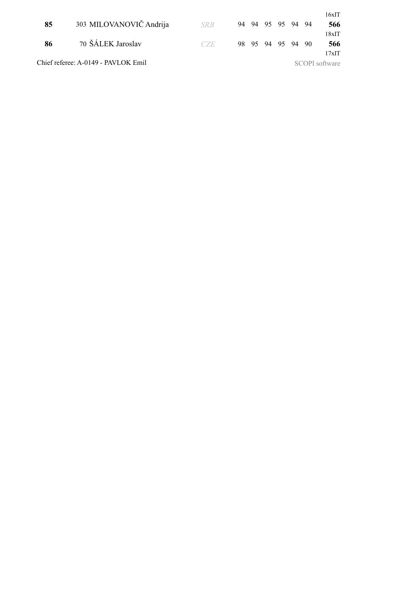|    |                                     |            |  |                   |  | 16xIT          |
|----|-------------------------------------|------------|--|-------------------|--|----------------|
| 85 | 303 MILOVANOVIČ Andrija             | <b>SRB</b> |  | 94 94 95 95 94 94 |  | 566            |
|    |                                     |            |  |                   |  | $18x$ IT       |
| 86 | 70 ŠÁLEK Jaroslav                   | CZE.       |  | 98 95 94 95 94 90 |  | 566            |
|    |                                     |            |  |                   |  | $17x$ IT       |
|    | Chief referee: A-0149 - PAVLOK Emil |            |  |                   |  | SCOPI software |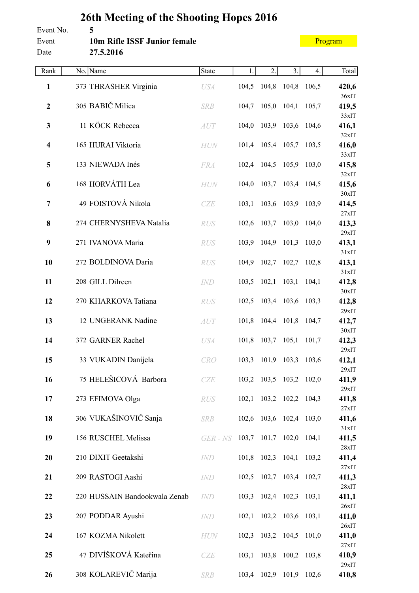#### <span id="page-24-0"></span>**26th Meeting of the Shooting Hopes 2016** Event No. **5** Event **10m Rifle ISSF Junior female** Date **27.5.2016**

#### [Program](#page-2-0)

| Rank                    | No. Name                      | State        | 1.    | 2.                      | 3.    | 4.    | Total             |
|-------------------------|-------------------------------|--------------|-------|-------------------------|-------|-------|-------------------|
| $\mathbf{1}$            | 373 THRASHER Virginia         | <b>USA</b>   | 104,5 | 104,8                   | 104,8 | 106,5 | 420,6             |
| $\boldsymbol{2}$        | 305 BABIČ Milica              | <b>SRB</b>   | 104,7 | 105,0                   | 104,1 | 105,7 | 36xIT<br>419,5    |
| $\mathbf{3}$            | 11 KÖCK Rebecca               | AUT          | 104,0 | 103,9                   | 103,6 | 104,6 | 33xIT<br>416,1    |
| $\overline{\mathbf{4}}$ | 165 HURAI Viktoria            | HUN          |       | 101,4 105,4             | 105,7 | 103,5 | 32xIT<br>416,0    |
| 5                       | 133 NIEWADA Inés              | <b>FRA</b>   | 102,4 | 104,5                   | 105,9 | 103,0 | 33xIT<br>415,8    |
| 6                       | 168 HORVÁTH Lea               | <b>HUN</b>   | 104,0 | 103,7                   | 103,4 | 104,5 | 32xIT<br>415,6    |
| $\overline{7}$          | 49 FOISTOVÁ Nikola            | CZE          | 103,1 | 103,6                   | 103,9 | 103,9 | $30x$ IT<br>414,5 |
| 8                       | 274 CHERNYSHEVA Natalia       | RUS          | 102,6 | 103,7                   | 103,0 | 104,0 | 27xIT<br>413,3    |
| 9                       | 271 IVANOVA Maria             | <b>RUS</b>   | 103,9 | 104,9                   | 101,3 | 103,0 | 29xIT<br>413,1    |
| 10                      | 272 BOLDINOVA Daria           | <b>RUS</b>   | 104,9 | 102,7                   | 102,7 | 102,8 | 31xIT<br>413,1    |
| 11                      | 208 GILL Dilreen              | IND          | 103,5 | 102,1                   | 103,1 | 104,1 | 31xIT<br>412,8    |
| 12                      | 270 KHARKOVA Tatiana          | RUS          | 102,5 | 103,4                   | 103,6 | 103,3 | 30xIT<br>412,8    |
| 13                      | 12 UNGERANK Nadine            | AUT          | 101,8 | 104,4                   | 101,8 | 104,7 | 29xIT<br>412,7    |
| 14                      | 372 GARNER Rachel             | <b>USA</b>   | 101,8 | 103,7                   | 105,1 | 101,7 | $30x$ IT<br>412,3 |
| 15                      | 33 VUKADIN Danijela           | CRO          | 103,3 | 101,9                   | 103,3 | 103,6 | 29xIT<br>412,1    |
| 16                      | 75 HELEŠICOVÁ Barbora         | <b>CZE</b>   |       | 103,2 103,5 103,2 102,0 |       |       | 29xIT<br>411,9    |
| 17                      | 273 EFIMOVA Olga              | RUS          |       | 102,1 103,2 102,2 104,3 |       |       | 29xIT<br>411,8    |
| 18                      | 306 VUKAŠINOVIČ Sanja         | <b>SRB</b>   |       | 102,6 103,6 102,4 103,0 |       |       | 27xIT<br>411,6    |
| 19                      | 156 RUSCHEL Melissa           | $GER$ - $NS$ |       | 103,7 101,7 102,0       |       | 104,1 | 31xIT<br>411,5    |
| 20                      | 210 DIXIT Geetakshi           | IND          |       | 101,8 102,3             | 104,1 | 103,2 | 28xIT<br>411,4    |
| 21                      | 209 RASTOGI Aashi             | IND          |       | 102,5 102,7 103,4 102,7 |       |       | 27xIT<br>411,3    |
| 22                      | 220 HUSSAIN Bandookwala Zenab | IND          |       | 103,3 102,4 102,3       |       | 103,1 | 28xIT<br>411,1    |
| 23                      | 207 PODDAR Ayushi             | <i>IND</i>   | 102,1 | 102,2 103,6             |       | 103,1 | 26xIT<br>411,0    |
| 24                      | 167 KOZMA Nikolett            | <b>HUN</b>   |       | 102,3 103,2 104,5       |       | 101,0 | 26xIT<br>411,0    |
| 25                      | 47 DIVÍŠKOVÁ Kateřina         | CZE          |       | 103,1 103,8 100,2 103,8 |       |       | 27xIT<br>410,9    |
| 26                      | 308 KOLAREVIČ Marija          | <b>SRB</b>   |       | 103,4 102,9             | 101,9 | 102,6 | 29xIT<br>410,8    |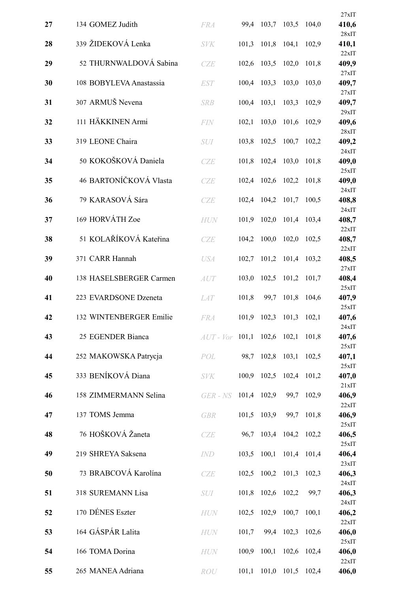|    |                         |                                     |             |                  |                         |       | 27xIT          |
|----|-------------------------|-------------------------------------|-------------|------------------|-------------------------|-------|----------------|
| 27 | 134 GOMEZ Judith        | <b>FRA</b>                          | 99,4        | 103,7            | 103,5                   | 104,0 | 410,6<br>28xIT |
| 28 | 339 ŽIDEKOVÁ Lenka      | <b>SVK</b>                          | 101,3       | 101,8            | 104,1                   | 102,9 | 410,1          |
| 29 | 52 THURNWALDOVÁ Sabina  | CZE                                 | 102,6       | 103,5            | 102,0                   | 101,8 | 22xIT<br>409,9 |
| 30 | 108 BOBYLEVA Anastassia | <b>EST</b>                          | 100,4       | 103,3            | 103,0                   | 103,0 | 27xIT<br>409,7 |
| 31 | 307 ARMUŠ Nevena        | <b>SRB</b>                          | 100,4       | 103,1            | 103,3                   | 102,9 | 27xIT<br>409,7 |
| 32 | 111 HÄKKINEN Armi       | <b>FIN</b>                          | 102,1       | 103,0            | 101,6                   | 102,9 | 29xIT<br>409,6 |
| 33 | 319 LEONE Chaira        | <b>SUI</b>                          | 103,8       | 102,5            | 100,7                   | 102,2 | 28xIT<br>409,2 |
| 34 | 50 KOKOŠKOVÁ Daniela    | <b>CZE</b>                          | 101,8       | 102,4            | 103,0                   | 101,8 | 24xIT<br>409,0 |
| 35 | 46 BARTONÍČKOVÁ Vlasta  | CZE                                 | 102,4       | 102,6            | 102,2                   | 101,8 | 25xIT<br>409,0 |
| 36 | 79 KARASOVÁ Sára        | CZE                                 | 102,4       | 104,2            | 101,7                   | 100,5 | 24xIT<br>408,8 |
| 37 | 169 HORVÁTH Zoe         | <b>HUN</b>                          | 101,9       | 102,0            | 101,4                   | 103,4 | 24xIT<br>408,7 |
| 38 | 51 KOLAŘÍKOVÁ Kateřina  | CZE                                 | 104,2       | 100,0            | 102,0                   | 102,5 | 22xIT<br>408,7 |
| 39 | 371 CARR Hannah         | <b>USA</b>                          | 102,7       | 101,2            | 101,4                   | 103,2 | 22xIT<br>408,5 |
| 40 | 138 HASELSBERGER Carmen | AUT                                 | 103,0       | 102,5            | 101,2                   | 101,7 | 27xIT<br>408,4 |
| 41 | 223 EVARDSONE Dzeneta   | <b>LAT</b>                          | 101,8       | 99,7             | 101,8                   | 104,6 | 25xIT<br>407,9 |
|    |                         |                                     |             |                  |                         |       | 25xIT          |
| 42 | 132 WINTENBERGER Emilie | <b>FRA</b>                          | 101,9       | 102,3            | 101,3                   | 102,1 | 407,6<br>24xIT |
| 43 | 25 EGENDER Bianca       | $AUT - Vor$ 101,1 102,6 102,1 101,8 |             |                  |                         |       | 407,6<br>25xIT |
| 44 | 252 MAKOWSKA Patrycja   | POL                                 |             | 98,7 102,8 103,1 |                         | 102,5 | 407,1<br>25xIT |
| 45 | 333 BENÍKOVÁ Diana      | <b>SVK</b>                          | 100,9       | 102,5            | 102,4                   | 101,2 | 407,0<br>21xIT |
| 46 | 158 ZIMMERMANN Selina   | $GER$ - $NS$                        | 101,4 102,9 |                  | 99,7                    | 102,9 | 406,9          |
| 47 | 137 TOMS Jemma          | <b>GBR</b>                          | 101,5       | 103,9            | 99,7                    | 101,8 | 22xIT<br>406,9 |
| 48 | 76 HOŠKOVÁ Žaneta       | CZE                                 | 96,7        |                  | 103,4 104,2             | 102,2 | 25xIT<br>406,5 |
| 49 | 219 SHREYA Saksena      | IND                                 | 103,5       |                  | 100,1 101,4 101,4       |       | 25xIT<br>406,4 |
| 50 | 73 BRABCOVÁ Karolína    | CZE                                 | 102,5       | 100,2            | 101,3                   | 102,3 | 23xIT<br>406,3 |
| 51 | 318 SUREMANN Lisa       | <i>SUI</i>                          | 101,8       | 102,6 102,2      |                         | 99,7  | 24xIT<br>406,3 |
| 52 | 170 DÉNES Eszter        | HUN                                 | 102,5       | 102,9 100,7      |                         | 100,1 | 24xIT<br>406,2 |
| 53 | 164 GÁSPÁR Lalita       | <b>HUN</b>                          | 101,7       | 99,4             | 102,3                   | 102,6 | 22xIT<br>406,0 |
| 54 | 166 TOMA Dorina         | <b>HUN</b>                          | 100,9       | 100,1            | 102,6                   | 102,4 | 25xIT<br>406,0 |
| 55 | 265 MANEA Adriana       | ROU                                 |             |                  | 101,1 101,0 101,5 102,4 |       | 22xIT<br>406,0 |
|    |                         |                                     |             |                  |                         |       |                |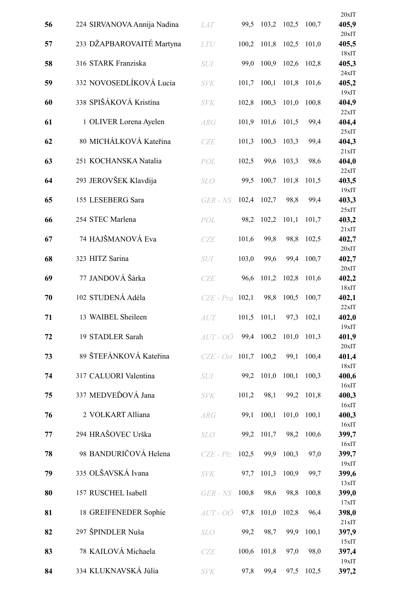|    |                             |                   |       |                  |       |       | $20x$ IT       |
|----|-----------------------------|-------------------|-------|------------------|-------|-------|----------------|
| 56 | 224 SIRVANOVA Annija Nadina | <b>LAT</b>        | 99,5  | 103,2            | 102,5 | 100,7 | 405,9<br>20xIT |
| 57 | 233 DŽAPBAROVAITĖ Martyna   | <b>LTU</b>        | 100,2 | 101,8            | 102,5 | 101,0 | 405,5          |
| 58 | 316 STARK Franziska         | SUI               | 99,0  | 100,9            | 102,6 | 102,8 | 18xIT<br>405,3 |
| 59 | 332 NOVOSEDLÍKOVÁ Lucia     | <b>SVK</b>        | 101,7 | 100,1            | 101,8 | 101,6 | 24xIT<br>405,2 |
| 60 | 338 SPIŠÁKOVÁ Kristína      | <b>SVK</b>        | 102,8 | 100,3            | 101,0 | 100,8 | 19xIT<br>404,9 |
| 61 | 1 OLIVER Lorena Ayelen      | <b>ARG</b>        | 101,9 | 101,6            | 101,5 | 99,4  | 22xIT<br>404,4 |
| 62 | 80 MICHÁLKOVÁ Kateřina      | CZE               | 101,3 | 100,3            | 103,3 | 99,4  | 25xIT<br>404,3 |
| 63 | 251 KOCHANSKA Natalia       | POL               | 102,5 | 99,6             | 103,3 | 98,6  | 21xIT<br>404,0 |
| 64 | 293 JEROVŠEK Klavdija       | <b>SLO</b>        | 99,5  | 100,7            | 101,8 | 101,5 | 22xIT<br>403,5 |
| 65 | 155 LESEBERG Sara           | $GER - NS$        | 102,4 | 102,7            | 98,8  | 99,4  | 19xIT<br>403,3 |
|    | 254 STEC Marlena            |                   |       |                  |       |       | 25xIT          |
| 66 |                             | POL               | 98,2  | 102,2            | 101,1 | 101,7 | 403,2<br>21xIT |
| 67 | 74 HAJŠMANOVÁ Eva           | CZE               | 101,6 | 99,8             | 98,8  | 102,5 | 402,7<br>20xIT |
| 68 | 323 HITZ Sarina             | SUI               | 103,0 | 99,6             | 99,4  | 100,7 | 402,7<br>20xIT |
| 69 | 77 JANDOVÁ Šárka            | <b>CZE</b>        | 96,6  | 101,2            | 102,8 | 101,6 | 402,2<br>18xIT |
| 70 | 102 STUDENÁ Adéla           | $CZE$ - $Pra$     | 102,1 | 98,8             | 100,5 | 100,7 | 402,1<br>22xIT |
| 71 | 13 WAIBEL Sheileen          | <b>AUT</b>        | 101,5 | 101,1            | 97,3  | 102,1 | 402,0<br>19xIT |
| 72 | 19 STADLER Sarah            | $AUT-O\ddot{o}$   |       | 99,4 100,2 101,0 |       | 101,3 | 401,9          |
| 73 | 89 ŠTEFÁNKOVÁ Kateřina      | $CZE - Ost$ 101,7 |       | 100,2            | 99,1  | 100,4 | 20xIT<br>401,4 |
| 74 | 317 CALUORI Valentina       | <b>SUI</b>        | 99,2  | 101,0            | 100,1 | 100,3 | 18xIT<br>400,6 |
| 75 | 337 MEDVEĎOVÁ Jana          | <b>SVK</b>        | 101,2 | 98,1             | 99,2  | 101,8 | 16xIT<br>400,3 |
| 76 | 2 VOLKART Alliana           | ARG               | 99,1  | 100,1            | 101,0 | 100,1 | 16xIT<br>400,3 |
| 77 | 294 HRAŠOVEC Urška          | <b>SLO</b>        | 99,2  | 101,7            | 98,2  | 100,6 | 16xIT<br>399,7 |
| 78 | 98 BANDURIČOVÁ Helena       | $CZE - Plz$       | 102,5 | 99,9             | 100,3 | 97,0  | 16xIT<br>399,7 |
| 79 | 335 OLŠAVSKÁ Ivana          | <b>SVK</b>        | 97,7  | 101,3            | 100,9 | 99,7  | 19xIT<br>399,6 |
| 80 | 157 RUSCHEL Isabell         | $GER$ - $NS$      | 100,8 | 98,6             | 98,8  | 100,8 | 13xIT<br>399,0 |
|    |                             |                   | 97,8  | 101,0            | 102,8 | 96,4  | 17xIT          |
| 81 | 18 GREIFENEDER Sophie       | AUT - OÖ          |       |                  |       |       | 398,0<br>21xIT |
| 82 | 297 ŠPINDLER Nuša           | SLO               | 99,2  | 98,7             | 99,9  | 100,1 | 397,9<br>15xIT |
| 83 | 78 KAILOVÁ Michaela         | CZE               | 100,6 | 101,8            | 97,0  | 98,0  | 397,4<br>19xIT |
| 84 | 334 KLUKNAVSKÁ Júlia        | <b>SVK</b>        | 97,8  | 99,4             | 97,5  | 102,5 | 397,2          |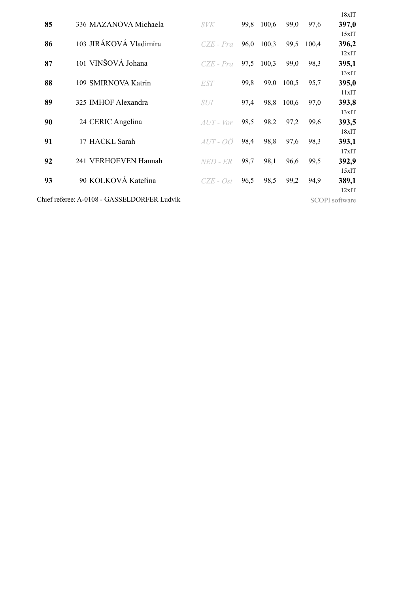|    |                                             |                     |      |       |       |       | 18xIT                 |
|----|---------------------------------------------|---------------------|------|-------|-------|-------|-----------------------|
| 85 | 336 MAZANOVA Michaela                       | <b>SVK</b>          | 99,8 | 100,6 | 99,0  | 97,6  | 397,0                 |
|    |                                             |                     |      |       |       |       | 15xIT                 |
| 86 | 103 JIRÁKOVÁ Vladimíra                      | $CZE$ - $Pra$       | 96,0 | 100,3 | 99,5  | 100,4 | 396,2                 |
|    |                                             |                     |      |       |       |       | 12xIT                 |
| 87 | 101 VINŠOVÁ Johana                          | $CZE$ - $Pra$       | 97,5 | 100,3 | 99,0  | 98,3  | 395,1                 |
|    |                                             |                     |      |       |       |       | 13xIT                 |
| 88 | 109 SMIRNOVA Katrin                         | <i>EST</i>          | 99,8 | 99,0  | 100,5 | 95,7  | 395,0<br>11xIT        |
| 89 | 325 IMHOF Alexandra                         | <i>SUI</i>          | 97,4 | 98,8  | 100,6 | 97,0  | 393,8                 |
|    |                                             |                     |      |       |       |       | 13xIT                 |
| 90 | 24 CERIC Angelina                           | $AUT$ - $Vor$       | 98,5 | 98,2  | 97,2  | 99,6  | 393,5                 |
|    |                                             |                     |      |       |       |       | 18xIT                 |
| 91 | 17 HACKL Sarah                              | $AUT$ - $O\ddot{O}$ | 98,4 | 98,8  | 97,6  | 98,3  | 393,1                 |
|    |                                             |                     |      |       |       |       | 17xIT                 |
| 92 | 241 VERHOEVEN Hannah                        | NED - ER            | 98,7 | 98,1  | 96,6  | 99,5  | 392,9                 |
|    |                                             |                     |      |       |       |       | 15xIT                 |
| 93 | 90 KOLKOVÁ Kateřina                         | CZE - Ost           | 96,5 | 98,5  | 99,2  | 94,9  | 389,1                 |
|    |                                             |                     |      |       |       |       | 12xIT                 |
|    | Chief referee: A-0108 - GASSELDORFER Ludvík |                     |      |       |       |       | <b>SCOPI</b> software |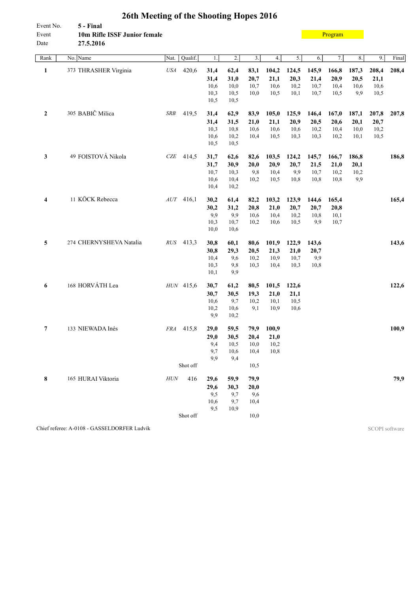<span id="page-28-0"></span>

| Event No.<br>Event<br>Date | 5 - Final<br>10m Rifle ISSF Junior female<br>27.5.2016 |                     |              |                  |                  |              |              |             | Program |       |       |       |
|----------------------------|--------------------------------------------------------|---------------------|--------------|------------------|------------------|--------------|--------------|-------------|---------|-------|-------|-------|
| Rank                       | No. Name                                               | Qualif.<br>Nat.     | $1.$         | $\overline{2}$ . | $\overline{3}$ . | 4.           | 5.           | 6.          | 7.      | 8.    | 9.    | Final |
| $\mathbf{1}$               | 373 THRASHER Virginia                                  | 420,6<br><b>USA</b> | 31,4         | 62,4             | 83,1             | 104,2        | 124,5        | 145,9       | 166,8   | 187,3 | 208,4 | 208,4 |
|                            |                                                        |                     | 31,4         | 31,0             | 20,7             | 21,1         | 20,3         | 21,4        | 20,9    | 20,5  | 21,1  |       |
|                            |                                                        |                     | 10,6         | 10,0             | 10,7             | 10,6         | 10,2         | 10,7        | 10,4    | 10,6  | 10,6  |       |
|                            |                                                        |                     | 10,3         | 10,5             | 10,0             | 10,5         | 10,1         | 10,7        | 10,5    | 9,9   | 10,5  |       |
|                            |                                                        |                     | 10,5         | 10,5             |                  |              |              |             |         |       |       |       |
| $\boldsymbol{2}$           | 305 BABIČ Milica                                       | $SRB$<br>419,5      | 31,4         | 62,9             | 83,9             | 105,0        | 125,9        | 146,4       | 167,0   | 187,1 | 207,8 | 207,8 |
|                            |                                                        |                     | 31,4         | 31,5             | 21,0             | 21,1         | 20,9         | 20,5        | 20,6    | 20,1  | 20,7  |       |
|                            |                                                        |                     | 10,3         | 10,8             | 10,6             | 10,6         | 10,6         | 10,2        | 10,4    | 10,0  | 10,2  |       |
|                            |                                                        |                     | 10,6         | 10,2             | 10,4             | 10,5         | 10,3         | 10,3        | 10,2    | 10,1  | 10,5  |       |
|                            |                                                        |                     | 10,5         | 10,5             |                  |              |              |             |         |       |       |       |
| 3                          | 49 FOISTOVÁ Nikola                                     | $CZE$ 414,5         | 31,7         | 62,6             | 82,6             | 103,5        | 124,2        | 145,7       | 166,7   | 186,8 |       | 186,8 |
|                            |                                                        |                     | 31,7         | 30,9             | 20,0             | 20,9         | 20,7         | 21,5        | 21,0    | 20,1  |       |       |
|                            |                                                        |                     | 10,7         | 10,3             | 9,8              | 10,4         | 9,9          | 10,7        | 10,2    | 10,2  |       |       |
|                            |                                                        |                     | 10,6         | 10,4             | 10,2             | 10,5         | 10,8         | 10,8        | 10,8    | 9,9   |       |       |
|                            |                                                        |                     | 10,4         | 10,2             |                  |              |              |             |         |       |       |       |
| 4                          | 11 KÖCK Rebecca                                        | $AUT$ 416,1         | 30,2         | 61,4             | 82,2             | 103,2        | 123,9        | 144,6       | 165,4   |       |       | 165,4 |
|                            |                                                        |                     | 30,2         | 31,2             | 20,8             | 21,0         | 20,7         | 20,7        | 20,8    |       |       |       |
|                            |                                                        |                     | 9,9          | 9,9              | 10,6             | 10,4         | 10,2         | 10,8        | 10,1    |       |       |       |
|                            |                                                        |                     | 10,3         | 10,7             | 10,2             | 10,6         | 10,5         | 9,9         | 10,7    |       |       |       |
|                            |                                                        |                     | 10,0         | 10,6             |                  |              |              |             |         |       |       |       |
| 5                          | 274 CHERNYSHEVA Natalia                                | RUS 413,3           | 30,8         | 60,1             | 80,6             | 101,9        | 122,9        | 143,6       |         |       |       | 143,6 |
|                            |                                                        |                     | 30,8         | 29,3             | 20,5             | 21,3         | 21,0         | 20,7        |         |       |       |       |
|                            |                                                        |                     | 10,4<br>10,3 | 9,6<br>9,8       | 10,2<br>10,3     | 10,9<br>10,4 | 10,7<br>10,3 | 9,9<br>10,8 |         |       |       |       |
|                            |                                                        |                     | 10,1         | 9,9              |                  |              |              |             |         |       |       |       |
|                            |                                                        |                     |              |                  |                  |              |              |             |         |       |       |       |
| 6                          | 168 HORVÁTH Lea                                        | HUN 415,6           | 30,7         | 61,2             | 80,5             | 101,5        | 122,6        |             |         |       |       | 122,6 |
|                            |                                                        |                     | 30,7<br>10,6 | 30,5<br>9,7      | 19,3<br>10,2     | 21,0<br>10,1 | 21,1<br>10,5 |             |         |       |       |       |
|                            |                                                        |                     | 10,2         | 10,6             | 9,1              | 10,9         | 10,6         |             |         |       |       |       |
|                            |                                                        |                     | 9,9          | 10,2             |                  |              |              |             |         |       |       |       |
| 7                          | 133 NIEWADA Inés                                       | FRA 415,8           | 29,0         | 59,5             | 79,9             | 100,9        |              |             |         |       |       | 100,9 |
|                            |                                                        |                     | 29,0         | 30,5             | 20,4             | 21,0         |              |             |         |       |       |       |
|                            |                                                        |                     | 9,4          | 10,5             | 10,0             | 10,2         |              |             |         |       |       |       |
|                            |                                                        |                     | 9,7          | 10,6             | 10,4             | 10,8         |              |             |         |       |       |       |
|                            |                                                        |                     | 9,9          | 9,4              |                  |              |              |             |         |       |       |       |
|                            |                                                        | Shot off            |              |                  | 10,5             |              |              |             |         |       |       |       |
| 8                          | 165 HURAI Viktoria                                     | 416<br>$H\!U\!N$    | 29,6         | 59,9             | 79,9             |              |              |             |         |       |       | 79,9  |
|                            |                                                        |                     | 29,6         | 30,3             | 20,0             |              |              |             |         |       |       |       |
|                            |                                                        |                     | 9,5          | 9,7              | 9,6              |              |              |             |         |       |       |       |
|                            |                                                        |                     | 10,6         | 9,7              | 10,4             |              |              |             |         |       |       |       |
|                            |                                                        | Shot off            | 9,5          | 10,9             |                  |              |              |             |         |       |       |       |
|                            |                                                        |                     |              |                  | 10,0             |              |              |             |         |       |       |       |

Chief referee: A-0108 - GASSELDORFER Ludvík SCOPI software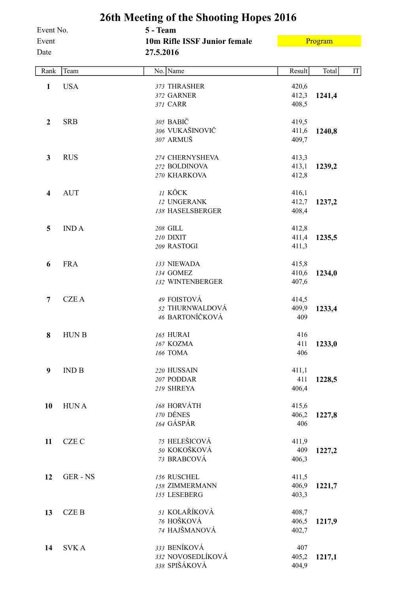<span id="page-29-0"></span>

|                            |              | 26th Meeting of the Shooting Hopes 2016               |                         |         |                     |
|----------------------------|--------------|-------------------------------------------------------|-------------------------|---------|---------------------|
| Event No.<br>Event<br>Date |              | 5 - Team<br>10m Rifle ISSF Junior female<br>27.5.2016 |                         | Program |                     |
| Rank                       | Team         | No. Name                                              | Result                  | Total   | $\operatorname{IT}$ |
| $\mathbf{1}$               | <b>USA</b>   | 373 THRASHER<br>372 GARNER<br>371 CARR                | 420,6<br>412,3<br>408,5 | 1241,4  |                     |
| $\boldsymbol{2}$           | <b>SRB</b>   | 305 BABIČ<br>306 VUKAŠINOVIČ<br>307 ARMUŠ             | 419,5<br>411,6<br>409,7 | 1240,8  |                     |
| $\mathbf{3}$               | <b>RUS</b>   | 274 CHERNYSHEVA<br>272 BOLDINOVA<br>270 KHARKOVA      | 413,3<br>413,1<br>412,8 | 1239,2  |                     |
| $\overline{\mathbf{4}}$    | <b>AUT</b>   | 11 KÖCK<br>12 UNGERANK<br>138 HASELSBERGER            | 416,1<br>412,7<br>408,4 | 1237,2  |                     |
| 5                          | <b>INDA</b>  | 208 GILL<br>210 DIXIT<br>209 RASTOGI                  | 412,8<br>411,4<br>411,3 | 1235,5  |                     |
| 6                          | <b>FRA</b>   | 133 NIEWADA<br>134 GOMEZ<br>132 WINTENBERGER          | 415,8<br>410,6<br>407,6 | 1234,0  |                     |
| $\overline{7}$             | <b>CZEA</b>  | 49 FOISTOVÁ<br>52 THURNWALDOVÁ<br>46 BARTONÍČKOVÁ     | 414,5<br>409,9<br>409   | 1233,4  |                     |
| 8                          | <b>HUNB</b>  | <b>165 HURAI</b><br>167 KOZMA<br>166 TOMA             | 416<br>411<br>406       | 1233,0  |                     |
| $\boldsymbol{9}$           | IND B        | 220 HUSSAIN<br>207 PODDAR<br>219 SHREYA               | 411,1<br>411<br>406,4   | 1228,5  |                     |
| 10                         | <b>HUNA</b>  | 168 HORVÁTH<br>170 DÉNES<br>164 GÁSPÁR                | 415,6<br>406,2<br>406   | 1227,8  |                     |
| 11                         | <b>CZE C</b> | 75 HELEŠICOVÁ<br>50 KOKOŠKOVÁ<br>73 BRABCOVÁ          | 411,9<br>409<br>406,3   | 1227,2  |                     |
| 12                         | GER-NS       | 156 RUSCHEL<br>158 ZIMMERMANN<br>155 LESEBERG         | 411,5<br>406,9<br>403,3 | 1221,7  |                     |
| 13                         | <b>CZEB</b>  | 51 KOLAŘÍKOVÁ<br>76 HOŠKOVÁ<br>74 HAJŠMANOVÁ          | 408,7<br>406,5<br>402,7 | 1217,9  |                     |
| 14                         | <b>SVKA</b>  | 333 BENÍKOVÁ<br>332 NOVOSEDLÍKOVÁ<br>338 SPIŠÁKOVÁ    | 407<br>405,2<br>404,9   | 1217,1  |                     |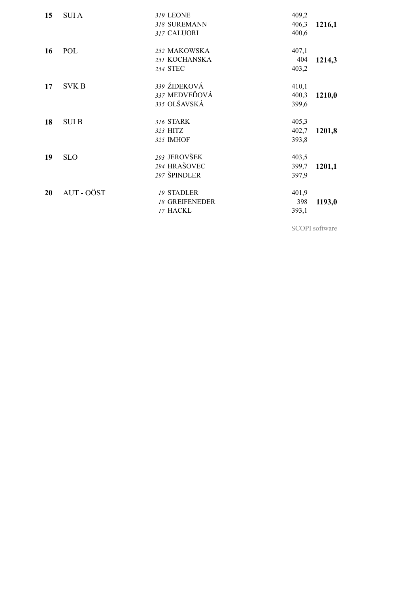| 15 | <b>SUIA</b>  | 319 LEONE<br>318 SUREMANN<br>317 CALUORI               | 409,2<br>406,3<br>400,6 | 1216,1 |
|----|--------------|--------------------------------------------------------|-------------------------|--------|
| 16 | POL          | 252 MAKOWSKA<br>251 KOCHANSKA<br>254 STEC              | 407,1<br>404<br>403,2   | 1214,3 |
| 17 | <b>SVK B</b> | 339 ŽIDEKOVÁ<br>337 MEDVEĎOVÁ<br>335 OLŠAVSKÁ          | 410,1<br>400,3<br>399,6 | 1210,0 |
| 18 | <b>SUI B</b> | 316 STARK<br>323 HITZ<br>325 IMHOF                     | 405,3<br>402,7<br>393,8 | 1201,8 |
| 19 | <b>SLO</b>   | 293 JEROVŠEK<br>294 HRAŠOVEC<br>297 ŠPINDLER           | 403,5<br>399,7<br>397,9 | 1201,1 |
| 20 | AUT - OÖST   | <b>19 STADLER</b><br><b>18 GREIFENEDER</b><br>17 HACKL | 401,9<br>398<br>393,1   | 1193,0 |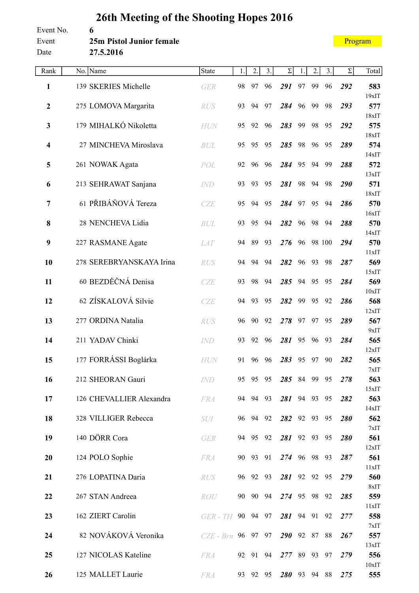#### <span id="page-31-0"></span>Event No. **6** Event **25m Pistol Junior female** Date **27.5.2016**

| Rank                    | No. Name                 | <b>State</b>       | 1. | 2.       | 3. | $\Sigma$  | 1. | 2. | 3.     | Σ   | Total        |
|-------------------------|--------------------------|--------------------|----|----------|----|-----------|----|----|--------|-----|--------------|
| $\mathbf{1}$            | 139 SKERIES Michelle     | <b>GER</b>         | 98 | 97       | 96 | 291       | 97 | 99 | 96     | 292 | 583          |
|                         |                          |                    |    |          |    |           |    |    |        |     | $19x$ IT     |
| $\mathbf{2}$            | 275 LOMOVA Margarita     | <b>RUS</b>         | 93 | 94       | 97 | 284       | 96 | 99 | 98     | 293 | 577<br>18xIT |
| $\mathbf{3}$            | 179 MIHALKÓ Nikoletta    | <b>HUN</b>         | 95 | 92       | 96 | 283       | 99 | 98 | 95     | 292 | 575          |
|                         | 27 MINCHEVA Miroslava    |                    |    |          |    |           |    |    |        |     | 18xIT        |
| $\overline{\mathbf{4}}$ |                          | <b>BUL</b>         | 95 | 95       | 95 | 285       | 98 | 96 | 95     | 289 | 574<br>14xIT |
| 5                       | 261 NOWAK Agata          | POL                | 92 | 96       | 96 | 284       | 95 | 94 | 99     | 288 | 572          |
|                         |                          |                    |    |          |    |           |    |    |        |     | 13xIT        |
| 6                       | 213 SEHRAWAT Sanjana     | <b>IND</b>         | 93 | 93       | 95 | 281       | 98 | 94 | 98     | 290 | 571<br>18xIT |
| $\overline{7}$          | 61 PŘIBÁŇOVÁ Tereza      | CZE                | 95 | 94       | 95 | 284       | 97 | 95 | 94     | 286 | 570          |
|                         |                          |                    |    |          |    |           |    |    |        |     | 16xIT        |
| 8                       | 28 NENCHEVA Lidia        | <b>BUL</b>         | 93 | 95       | 94 | 282       | 96 | 98 | 94     | 288 | 570<br>14xIT |
| 9                       | 227 RASMANE Agate        | <b>LAT</b>         | 94 | 89       | 93 | 276       | 96 |    | 98 100 | 294 | 570          |
|                         |                          |                    |    |          |    |           |    |    |        |     | 11xIT        |
| 10                      | 278 SEREBRYANSKAYA Irina | <b>RUS</b>         | 94 | 94       | 94 | 282       | 96 | 93 | 98     | 287 | 569<br>15xIT |
| 11                      | 60 BEZDĚČNÁ Denisa       | CZE                | 93 | 98       | 94 | 285       | 94 | 95 | 95     | 284 | 569          |
|                         |                          |                    |    |          |    |           |    |    |        |     | $10x$ IT     |
| 12                      | 62 ZÍSKALOVÁ Silvie      | <b>CZE</b>         | 94 | 93       | 95 | 282       | 99 | 95 | 92     | 286 | 568<br>12xIT |
| 13                      | 277 ORDINA Natalia       | <b>RUS</b>         | 96 | 90       | 92 | 278       | 97 | 97 | 95     | 289 | 567          |
|                         |                          |                    |    |          |    |           |    |    |        |     | 9xIT         |
| 14                      | 211 YADAV Chinki         | <b>IND</b>         | 93 | 92       | 96 | 281       | 95 | 96 | 93     | 284 | 565<br>12xIT |
| 15                      | 177 FORRÁSSI Boglárka    | <b>HUN</b>         | 91 | 96       | 96 | 283       | 95 | 97 | 90     | 282 | 565          |
|                         |                          |                    |    |          |    |           |    |    |        |     | 7xIT         |
| 16                      | 212 SHEORAN Gauri        | <b>IND</b>         | 95 | 95       | 95 | 285 84 99 |    |    | 95     | 278 | 563          |
| 17                      | 126 CHEVALLIER Alexandra | <b>FRA</b>         |    | 94 94 93 |    | 281 94 93 |    |    | 95     | 282 | 15xIT<br>563 |
|                         |                          |                    |    |          |    |           |    |    |        |     | 14xIT        |
| 18                      | 328 VILLIGER Rebecca     | <i>SUI</i>         |    | 96 94 92 |    | 282 92 93 |    |    | 95     | 280 | 562          |
| 19                      | 140 DÖRR Cora            | <b>GER</b>         |    | 94 95 92 |    | 281 92 93 |    |    | 95     | 280 | 7xIT<br>561  |
|                         |                          |                    |    |          |    |           |    |    |        |     | 12xIT        |
| 20                      | 124 POLO Sophie          | <b>FRA</b>         |    | 90 93    | 91 | 274 96 98 |    |    | 93     | 287 | 561          |
| 21                      | 276 LOPATINA Daria       | RUS                |    | 96 92 93 |    | 281 92 92 |    |    | 95     | 279 | 11xIT<br>560 |
|                         |                          |                    |    |          |    |           |    |    |        |     | 8xIT         |
| 22                      | 267 STAN Andreea         | ROU                | 90 | 90 94    |    | 274 95 98 |    |    | 92     | 285 | 559          |
| 23                      | 162 ZIERT Carolin        | $GER$ - $TH$       |    | 90 94 97 |    | 281 94 91 |    |    | 92     | 277 | 11xIT<br>558 |
|                         |                          |                    |    |          |    |           |    |    |        |     | 7xIT         |
| 24                      | 82 NOVÁKOVÁ Veronika     | CZE - Brn 96 97 97 |    |          |    | 290 92 87 |    |    | 88     | 267 | 557          |
| 25                      | 127 NICOLAS Kateline     | <b>FRA</b>         |    | 92 91 94 |    | 277 89 93 |    |    | 97     | 279 | 13xIT<br>556 |
|                         |                          |                    |    |          |    |           |    |    |        |     | 10xIT        |
| 26                      | 125 MALLET Laurie        | <b>FRA</b>         | 93 | 92 95    |    | 280 93 94 |    |    | 88     | 275 | 555          |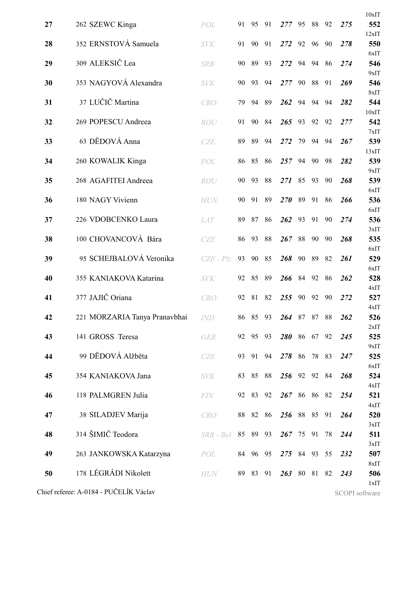|    |                                        |             |    |          |       |              |    |    |    |     | 10xIT          |
|----|----------------------------------------|-------------|----|----------|-------|--------------|----|----|----|-----|----------------|
| 27 | 262 SZEWC Kinga                        | POL         | 91 | 95       | 91    | 277          | 95 | 88 | 92 | 275 | 552            |
|    |                                        |             |    |          |       |              |    |    |    |     | 12xIT          |
| 28 | 352 ERNSTOVÁ Samuela                   | <b>SVK</b>  | 91 | 90       | 91    | 272          | 92 | 96 | 90 | 278 | 550<br>6xIT    |
| 29 | 309 ALEKSIČ Lea                        | <b>SRB</b>  | 90 | 89       | 93    | 272          | 94 | 94 | 86 | 274 | 546            |
|    |                                        |             |    |          |       |              |    |    |    |     | 9xIT           |
| 30 | 353 NAGYOVÁ Alexandra                  | <b>SVK</b>  | 90 | 93       | 94    | 277          | 90 | 88 | 91 | 269 | 546<br>8xIT    |
| 31 | 37 LUČIČ Martina                       | <b>CRO</b>  | 79 | 94       | 89    | 262          | 94 | 94 | 94 | 282 | 544            |
|    |                                        |             |    |          |       |              |    |    |    |     | 10xIT          |
| 32 | 269 POPESCU Andreea                    | ROU         | 91 | 90       | 84    | 265          | 93 | 92 | 92 | 277 | 542<br>7xIT    |
| 33 | 63 DĚDOVÁ Anna                         | CZE         | 89 | 89       | 94    | 272          | 79 | 94 | 94 | 267 | 539            |
|    |                                        |             |    |          |       |              |    |    |    |     | 13xIT          |
| 34 | 260 KOWALIK Kinga                      | POL         | 86 | 85       | 86    | 257          | 94 | 90 | 98 | 282 | 539            |
| 35 | 268 AGAFITEI Andreea                   | ROU         | 90 | 93       | 88    | 271          | 85 | 93 | 90 | 268 | 9xIT<br>539    |
|    |                                        |             |    |          |       |              |    |    |    |     | 6xIT           |
| 36 | 180 NAGY Vivienn                       | <b>HUN</b>  | 90 | 91       | 89    | <b>270</b>   | 89 | 91 | 86 | 266 | 536            |
| 37 | 226 VDOBCENKO Laura                    | <b>LAT</b>  | 89 | 87       | 86    | 262          | 93 | 91 | 90 | 274 | 6xIT<br>536    |
|    |                                        |             |    |          |       |              |    |    |    |     | 3xIT           |
| 38 | 100 CHOVANCOVÁ Bára                    | CZE         | 86 | 93       | 88    | 267          | 88 | 90 | 90 | 268 | 535            |
|    |                                        |             |    |          |       |              |    |    |    |     | 6xIT           |
| 39 | 95 SCHEJBALOVÁ Veronika                | $CZE - Plz$ | 93 | 90       | 85    | 268          | 90 | 89 | 82 | 261 | 529<br>6xIT    |
| 40 | 355 KANIAKOVA Katarina                 | <b>SVK</b>  | 92 | 85       | 89    | 266          | 84 | 92 | 86 | 262 | 528            |
|    |                                        |             |    |          |       |              |    |    |    |     | 4xIT           |
| 41 | 377 JAJIČ Oriana                       | <b>CRO</b>  | 92 | 81       | 82    | 255          | 90 | 92 | 90 | 272 | 527<br>4xIT    |
| 42 | 221 MORZARIA Tanya Pranavbhai          | <i>IND</i>  | 86 | 85       | 93    | 264          | 87 | 87 | 88 | 262 | 526            |
|    |                                        |             |    |          |       |              |    |    |    |     | 2xIT           |
| 43 | 141 GROSS Teresa                       | <b>GER</b>  | 92 |          | 95 93 | 280 86 67    |    |    | 92 | 245 | 525            |
| 44 | 99 DĚDOVÁ Alžběta                      | CZE         | 93 | 91       | 94    | 278 86       |    | 78 | 83 | 247 | 9xIT<br>525    |
|    |                                        |             |    |          |       |              |    |    |    |     | 6xIT           |
| 45 | 354 KANIAKOVA Jana                     | <b>SVK</b>  | 83 |          | 85 88 | 256 92 92 84 |    |    |    | 268 | 524            |
| 46 | 118 PALMGREN Julia                     | <b>FIN</b>  |    | 92 83 92 |       | 267 86 86 82 |    |    |    | 254 | 4xIT<br>521    |
|    |                                        |             |    |          |       |              |    |    |    |     | 4xIT           |
| 47 | 38 SILADJEV Marija                     | <b>CRO</b>  | 88 | 82       | 86    | 256 88 85    |    |    | 91 | 264 | 520            |
|    |                                        |             |    |          |       |              |    |    |    |     | 3xIT           |
| 48 | 314 ŠIMIČ Teodora                      | $SRB - Bel$ | 85 |          | 89 93 | 267 75 91    |    |    | 78 | 244 | 511<br>3xIT    |
| 49 | 263 JANKOWSKA Katarzyna                | POL         |    | 84 96 95 |       | 275 84 93    |    |    | 55 | 232 | 507            |
|    |                                        |             |    |          |       |              |    |    |    |     | 8xIT           |
| 50 | 178 LÉGRÁDI Nikolett                   | HUN         |    | 89 83 91 |       | 263 80 81    |    |    | 82 | 243 | 506<br>1xIT    |
|    | Chief referee: A-0184 - PUČELÍK Václav |             |    |          |       |              |    |    |    |     | SCOPI software |
|    |                                        |             |    |          |       |              |    |    |    |     |                |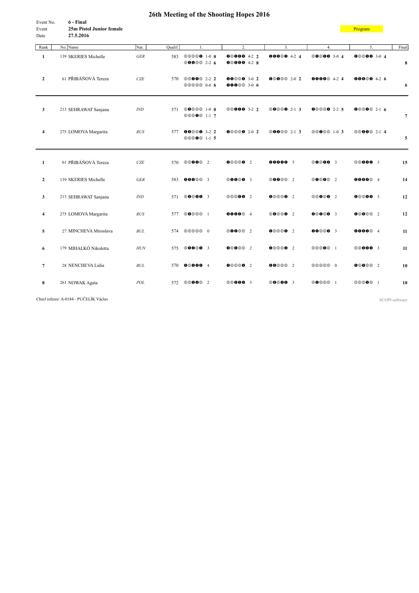<span id="page-33-0"></span>

| Event No. | 6 - Final                       |
|-----------|---------------------------------|
| Event     | <b>25m Pistol Junior female</b> |
| Date      | 27.5.2016                       |

**[Program](#page-2-0)** 

| Rank                    | No. Name              | Nat.               | Qualif. | 1.                                            | 2.                                   | 3.                  | 4.                 | 5.                 | Final |
|-------------------------|-----------------------|--------------------|---------|-----------------------------------------------|--------------------------------------|---------------------|--------------------|--------------------|-------|
| $\mathbf{1}$            | 139 SKERIES Michelle  | $GER$              | 583     | <b>©©©©0</b> 1-0 0<br><b>©00</b> © 2-2 6      | $000004-22$<br>$000004-28$           | 00000 4-2 4         | <b>©0©00</b> 3-0 4 | 00000 3-0 4        | 8     |
| $\overline{2}$          | 61 PŘIBÁŇOVÁ Tereza   | CZE                | 570     | <b>©©00</b> <sup>0</sup> 2-2 2<br>00000 0-0 6 | $000003 - 02$<br><b>000</b> 00 3-0 6 | 00000202            | <b>0000</b> 4-2 4  | <b>00000</b> 4-2 6 | 6     |
| 3                       | 213 SEHRAWAT Sanjana  | IND                | 571     | <b>00000 1-0 0</b><br>00000 1-1 7             | <b>©©000</b> 3-2 2                   | <b>00000</b> 2-1 3  | $000002 - 25$      | $000002-16$        | 7     |
| $\overline{\mathbf{4}}$ | 275 LOMOVA Margarita  | RUS                | 577     | <b>00000</b> 3-2 2<br>00000 1-1 5             | 00000 2-0 2                          | <b>©00</b> ©© 2-1 3 | 00000 1-0 3        | <b>©©00</b> 2-1 4  | 5     |
| $\mathbf{1}$            | 61 PŘIBÁŇOVÁ Tereza   | CZE                | 570     | <b>©©00</b> <sup>2</sup>                      | 000002                               | 00000 5             | <b>00000</b> 3     | <b>©©000</b> 3     | 15    |
| $\overline{2}$          | 139 SKERIES Michelle  | <b>GER</b>         | 583     | 0000003                                       | <b>©00©0</b> 3                       | <b>00000 2</b>      | <b>00000</b> 2     | 000004             | 14    |
| 3                       | 213 SEHRAWAT Sanjana  | IND                | 571     | <b>00000</b> 3                                | <b>©©©00</b> 2                       | 0000002             | <b>©©0©0</b> 2     | 000003             | 12    |
| 4                       | 275 LOMOVA Margarita  | RUS                | 577     | 00000 1                                       | 000004                               | 00000 2             | 000003             | 00000 2            | 12    |
| 5                       | 27 MINCHEVA Miroslava | $\mathcal{B} U\!L$ | 574     | 00000 0                                       | <b>00000</b> 2                       | 0000002             | 000003             | 000004             | 11    |
| 6                       | 179 MIHALKÓ Nikoletta | $H\!U\!N$          | 575     | <b>©00©0</b> 3                                | 00000 2                              | 00000 2             | 00000 1            | <b>©©000</b> 3     | 11    |
| $\overline{7}$          | 28 NENCHEVA Lidia     | BUL                | 570     | 000004                                        | 0000002                              | <b>00</b> 000 2     | 00000 0            | 0000002            | 10    |
| 8                       | 261 NOWAK Agata       | POL                | 572     | <b>©©00</b> <sup>2</sup>                      | <b>©©000</b> 3                       | <b>©0©00</b> 3      | 00000 1            | 00000 1            | 10    |

Chief referee: A-0184 - PUČELÍK Václav SCOPI software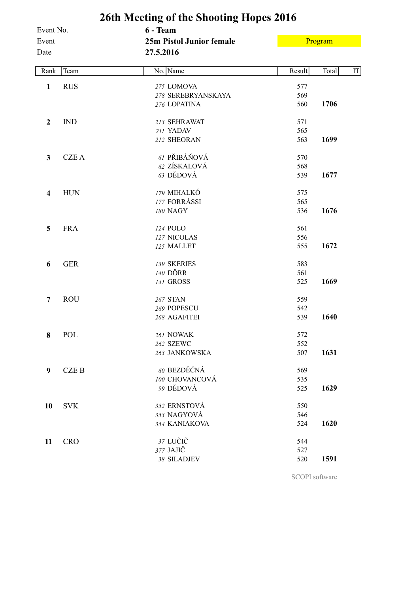<span id="page-34-0"></span>

|                         |             | 26th Meeting of the Shooting Hopes 2016      |        |         |    |
|-------------------------|-------------|----------------------------------------------|--------|---------|----|
| Event No.               |             | 6 - Team                                     |        |         |    |
| Event<br>Date           |             | <b>25m Pistol Junior female</b><br>27.5.2016 |        | Program |    |
|                         |             |                                              |        |         |    |
| Rank                    | Team        | No. Name                                     | Result | Total   | IT |
| $\mathbf{1}$            | <b>RUS</b>  | 275 LOMOVA                                   | 577    |         |    |
|                         |             | 278 SEREBRYANSKAYA                           | 569    |         |    |
|                         |             | 276 LOPATINA                                 | 560    | 1706    |    |
| $\boldsymbol{2}$        | <b>IND</b>  | 213 SEHRAWAT                                 | 571    |         |    |
|                         |             | 211 YADAV                                    | 565    |         |    |
|                         |             | 212 SHEORAN                                  | 563    | 1699    |    |
| $\mathbf{3}$            | <b>CZEA</b> | 61 PŘIBÁŇOVÁ                                 | 570    |         |    |
|                         |             | 62 ZÍSKALOVÁ                                 | 568    |         |    |
|                         |             | 63 DĚDOVÁ                                    | 539    | 1677    |    |
| $\overline{\mathbf{4}}$ | <b>HUN</b>  | 179 MIHALKÓ                                  | 575    |         |    |
|                         |             | 177 FORRÁSSI                                 | 565    |         |    |
|                         |             | 180 NAGY                                     | 536    | 1676    |    |
| 5                       | <b>FRA</b>  | 124 POLO                                     | 561    |         |    |
|                         |             | 127 NICOLAS                                  | 556    |         |    |
|                         |             | 125 MALLET                                   | 555    | 1672    |    |
| 6                       | <b>GER</b>  | 139 SKERIES                                  | 583    |         |    |
|                         |             | 140 DÖRR                                     | 561    |         |    |
|                         |             | 141 GROSS                                    | 525    | 1669    |    |
| $\overline{7}$          | <b>ROU</b>  | 267 STAN                                     | 559    |         |    |
|                         |             | 269 POPESCU                                  | 542    |         |    |
|                         |             | 268 AGAFITEI                                 | 539    | 1640    |    |
| 8                       | POL         | 261 NOWAK                                    | 572    |         |    |
|                         |             | <b>262 SZEWC</b>                             | 552    |         |    |
|                         |             | 263 JANKOWSKA                                | 507    | 1631    |    |
| $\boldsymbol{9}$        | <b>CZEB</b> | 60 BEZDĚČNÁ                                  | 569    |         |    |
|                         |             | 100 CHOVANCOVÁ                               | 535    |         |    |
|                         |             | 99 DĚDOVÁ                                    | 525    | 1629    |    |
| 10                      | <b>SVK</b>  | 352 ERNSTOVÁ                                 | 550    |         |    |
|                         |             | 353 NAGYOVÁ                                  | 546    |         |    |
|                         |             | 354 KANIAKOVA                                | 524    | 1620    |    |
| 11                      | <b>CRO</b>  | 37 LUČIČ                                     | 544    |         |    |
|                         |             | 377 JAJIČ                                    | 527    |         |    |
|                         |             | 38 SILADJEV                                  | 520    | 1591    |    |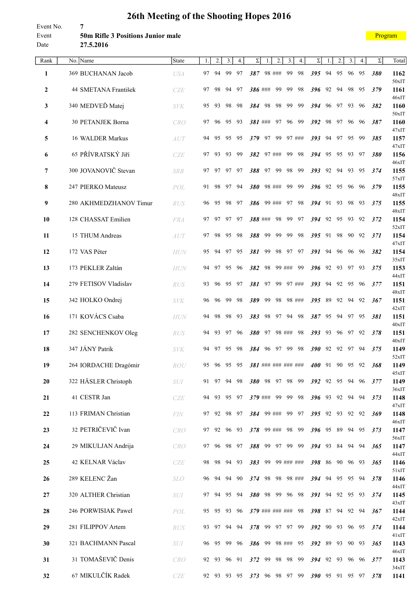<span id="page-35-0"></span>Event No. **7** Event **50m Rifle 3 Positions Junior male** Date **27.5.2016**

| ooram |
|-------|
|-------|

| Rank             | No.<br>Name            | State      | 1. | 2.          | 3.    | 4.    | Σ   | 1.      | 2.            | 3.                  | 4.     | Σ                                           |     | 2.       | 3.       | 4.    | Σ   | Total            |
|------------------|------------------------|------------|----|-------------|-------|-------|-----|---------|---------------|---------------------|--------|---------------------------------------------|-----|----------|----------|-------|-----|------------------|
| 1                | 369 BUCHANAN Jacob     | <b>USA</b> | 97 | 94          | 99    | 97    | 387 |         | 98 ###        | 99                  | 98     | 395                                         | 94  | 95       | 96       | 95    | 380 | 1162             |
| $\boldsymbol{2}$ | 44 SMETANA František   | <b>CZE</b> | 97 | 98          | 94    | 97    |     | 386 ### | 99            | 99                  | 98     | 396                                         | 92  | 94       | 98       | 95    | 379 | $50x$ IT<br>1161 |
|                  | 340 MEDVEĎ Matej       |            |    |             | 98    |       |     |         |               |                     |        |                                             |     |          |          |       |     | 46xIT            |
| 3                |                        | <b>SVK</b> | 95 | 93          |       | - 98  | 384 | 98      | - 98          | - 99                | - 99   | 394 96 97 93 96                             |     |          |          |       | 382 | 1160<br>50xIT    |
| 4                | 30 PETANJEK Borna      | CRO        | 97 | -96         | 95 93 |       |     | 381 ### | 97            | 96 99               |        | 392                                         | 98  | 97 96 96 |          |       | 387 | 1160<br>47xIT    |
| 5                | 16 WALDER Markus       | AUT        | 94 | 95          | 95    | 95    | 379 | 97      | 99            |                     | 97 ### | 393                                         | 94  | 97       | 95       | 99    | 385 | 1157             |
| 6                | 65 PŘÍVRATSKÝ Jiří     | <b>CZE</b> | 97 | 93          | 93    | 99    | 382 |         | 97 ###        | 99                  | 98     | 394                                         | 95  | 95       | 93       | -97   | 380 | 47xIT<br>1156    |
| 7                | 300 JOVANOVIČ Stevan   | <b>SRB</b> | 97 | 97          | 97    | 97    | 388 | 97      | -99           | 98                  | 99     | 393                                         | 92  | 94       | 93       | 95    | 374 | 46xIT<br>1155    |
| 8                | 247 PIERKO Mateusz     | POL        | 91 | 98          | 97    | 94    | 380 |         | 98 ###        | 99                  | 99     | 396                                         | 92  | 95       | 96       | 96    | 379 | 57xIT<br>1155    |
| 9                | 280 AKHMEDZHANOV Timur | <b>RUS</b> | 96 | 95          | 98    | -97   | 386 |         | 99 ###        | 97                  | 98     | 394                                         | 91  | 93       | 98       | 93    | 375 | 48xIT<br>1155    |
| 10               | 128 CHASSAT Emilien    | <b>FRA</b> | 97 | 97          | 97    | - 97  |     | 388 ### | 98            | 99                  | 97     | 394                                         | 92  | 95       | 93       | 92    | 372 | 48xIT<br>1154    |
|                  |                        |            |    |             |       |       |     |         |               |                     |        |                                             |     |          |          |       |     | 52xIT            |
| 11               | 15 THUM Andreas        | AUT        | 97 | 98          | 95    | 98    | 388 | 99      | 99            | 99                  | 98     | 395                                         | 91  | 98       | 90       | 92    | 371 | 1154<br>47xIT    |
| 12               | 172 VAS Péter          | <b>HUN</b> | 95 | 94          | 97    | 95    | 381 | 99      | 98            | 97                  | 97     | 391                                         | 94  | 96       | 96       | 96    | 382 | 1154<br>35xIT    |
| 13               | 173 PEKLER Zaltán      | <b>HUN</b> | 94 | 97          | 95    | 96    | 382 | 98      |               | 99 ###              | -99    | 396                                         | 92  | 93       | 97       | 93    | 375 | 1153<br>44xIT    |
| 14               | 279 FETISOV Vladislav  | <b>RUS</b> | 93 | 96          | 95    | 97    | 381 | 97      | 99            |                     | 97 ### | 393                                         | 94  | 92       | 95       | 96    | 377 | 1151             |
| 15               | 342 HOLKO Ondrej       | <b>SVK</b> | 96 | 96          | 99    | 98    | 389 | 99      |               | 98 98 ###           |        | 395                                         | -89 | 92 94    |          | 92    | 367 | 48xIT<br>1151    |
| 16               | 171 KOVÁCS Csaba       | <b>HUN</b> | 94 | 98          | 98    | - 93  | 383 | 98      |               | 97 94 98            |        | 387 95                                      |     | 94 97 95 |          |       | 381 | 42xIT<br>1151    |
| 17               | 282 SENCHENKOV Oleg    | <b>RUS</b> | 94 | 93          | 97    | 96    |     |         | 380 97 98 ### |                     | 98     | 393 93                                      |     |          | 96 97 92 |       | 378 | 40xIT<br>1151    |
| 18               | 347 JÁNY Patrik        | <b>SVK</b> | 94 | 97          | 95    | -98   | 384 | 96      | - 97          | -99                 | 98     | 390                                         | 92  | 92       |          | 97 94 | 375 | 40xIT<br>1149    |
| 19               | 264 IORDACHE Dragómir  | ROU        |    | 95 96 95 95 |       |       |     |         |               | 381 ### ### ### ### |        | 400 91 90 95 92                             |     |          |          |       | 368 | 52xIT<br>1149    |
| 20               | 322 HÄSLER Christoph   | <b>SUI</b> |    | 91 97       | 94 98 |       |     |         |               | 380 98 97 98 99     |        | 392 92 95 94 96                             |     |          |          |       | 377 | 45xIT<br>1149    |
|                  |                        |            |    |             |       |       |     |         |               |                     |        |                                             |     |          |          |       |     | 36xIT            |
| 21               | 41 CESTR Jan           | CZE        |    | 94 93       | 95 97 |       |     |         |               | 379 ### 99 99 98    |        | 396 93 92 94 94                             |     |          |          |       | 373 | 1148<br>47xIT    |
| 22               | 113 FRIMAN Christian   | FIN        |    | 97 92 98 97 |       |       |     |         | 384 99 ###    |                     | 99 97  | 395 92 93 92 92                             |     |          |          |       | 369 | 1148<br>46xIT    |
| 23               | 32 PETRIČEVIČ Ivan     | CRO        |    | 97 92       |       | 96 93 |     |         | 378 99 ###    |                     | 98 99  | 396 95 89 94 95                             |     |          |          |       | 373 | 1147<br>56xIT    |
| 24               | 29 MIKULJAN Andrija    | CRO        | 97 | 96          | 98    | 97    | 388 | 99      | 97            | 99                  | 99     | 394 93                                      |     | 84       |          | 94 94 | 365 | 1147             |
| 25               | 42 KELNAR Václav       | CZE        | 98 | 98          | 94    | 93    | 383 |         |               | 99 99 ### ###       |        | 398                                         | -86 | 90 96 93 |          |       | 365 | 44xIT<br>1146    |
| 26               | 289 KELENC Žan         | <b>SLO</b> | 96 | 94          | 94    | 90    | 374 |         |               | 98 98 98 ###        |        | 394                                         | 94  |          | 95 95 94 |       | 378 | 51xIT<br>1146    |
| 27               | 320 ALTHER Christian   | <b>SUI</b> |    | 97 94       | 95 94 |       | 380 |         |               | 98 99 96 98         |        | 391 94 92 95 93                             |     |          |          |       | 374 | 44xIT<br>1145    |
|                  |                        |            |    |             |       |       |     |         |               |                     |        |                                             |     |          |          |       |     | 43xIT            |
| 28               | 246 PORWISIAK Pawel    | POL        |    | 95 95 93 96 |       |       |     |         |               | 379 ### ### ###     | 98     | 398 87 94 92 94                             |     |          |          |       | 367 | 1144<br>42xIT    |
| 29               | 281 FILIPPOV Artem     | RUS        |    | 93 97       |       | 94 94 | 378 |         |               | 99 97 97 99         |        | 392 90 93 96 95                             |     |          |          |       | 374 | 1144<br>41xIT    |
| 30               | 321 BACHMANN Pascal    | SUI        |    | 96 95       | 99    | 96    |     | 386 99  |               | 98 ###              | 95     | 392 89                                      |     | 93       |          | 90 93 | 365 | 1143<br>46xIT    |
| 31               | 31 TOMAŠEVIČ Denis     | CRO        |    | 92 93       | 96 91 |       | 372 | 99      | 98            | - 98                | - 99   | 394 92 93 96 96                             |     |          |          |       | 377 | 1143             |
| 32               | 67 MIKULČÍK Radek      | CZE        |    |             |       |       |     |         |               |                     |        | 92 93 93 95 373 96 98 97 99 390 95 91 95 97 |     |          |          |       | 378 | 34xIT<br>1141    |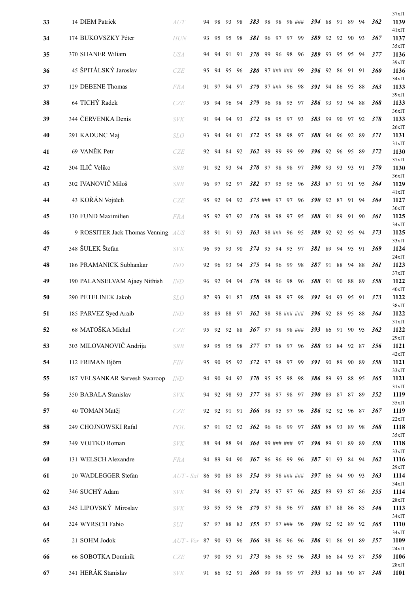|    |                                    |               |    |    |             |       |                   |    |             |            |        |                 |    |       |          |      |            | 37xIT            |
|----|------------------------------------|---------------|----|----|-------------|-------|-------------------|----|-------------|------------|--------|-----------------|----|-------|----------|------|------------|------------------|
| 33 | 14 DIEM Patrick                    | AUT           | 94 | 98 | 93          | 98    | 383               |    | 98 98       |            | 98 ### | 394             | 88 | 91    | 89 94    |      | 362        | 1139<br>41xIT    |
| 34 | 174 BUKOVSZKY Péter                | <b>HUN</b>    | 93 | 95 | 95          | 98    | 381               | 96 | 97          | 97         | 99     | 389             | 92 | 92    | 90       | 93   | 367        | 1137<br>35xIT    |
| 35 | 370 SHANER Wiliam                  | <b>USA</b>    | 94 | 94 | 91          | 91    | <b>370</b>        | 99 | 96          | -98        | 96     | 389             | 93 | 95    | 95       | - 94 | 377        | 1136             |
| 36 | 45 ŠPITÁLSKÝ Jaroslav              | CZE           | 95 | 94 | 95          | 96    | 380               |    | 97 ### ###  |            | 99     | 396             | 92 | 86    | 91 91    |      | 360        | 39xIT<br>1136    |
| 37 | 129 DEBENE Thomas                  | <b>FRA</b>    | 91 | 97 |             | 94 97 | 379               |    | 97 ###      | 96         | 98     | 391             | 94 | 86    | 95 88    |      | 363        | 34xIT<br>1133    |
| 38 | 64 TICHÝ Radek                     | <b>CZE</b>    | 95 | 94 | 96 94       |       | 379               |    | 96 98       | 95         | 97     | 386             | 93 | 93    | 94 88    |      | 368        | 39xIT<br>1133    |
| 39 | 344 ČERVENKA Denis                 | <b>SVK</b>    | 91 | 94 | 94 93       |       | 372               | 98 | 95          | 97         | 93     | 383             | 99 | 90    | 97 92    |      | 378        | 36xIT<br>1133    |
| 40 | 291 KADUNC Maj                     | <b>SLO</b>    | 93 | 94 |             | 94 91 | 372               | 95 | 98          | 98         | 97     | 388             | 94 | 96    | 92 89    |      | 371        | 26xIT<br>1131    |
| 41 | 69 VANĚK Petr                      | CZE           | 92 | 94 | 84          | 92    | 362               | 99 | 99          | 99         | 99     | 396             | 92 | 96    | 95 89    |      | 372        | 31xIT<br>1130    |
| 42 | 304 ILIČ Veliko                    | <b>SRB</b>    | 91 | 92 | 93          | 94    | <b>370</b>        | 97 | 98          | 98         | 97     | <b>390</b>      | 93 | 93    | 93       | 91   | 370        | 37xIT<br>1130    |
| 43 | 302 IVANOVIČ Miloš                 | <b>SRB</b>    | 96 | 97 | 92 97       |       | 382 97            |    | 95          | 95         | - 96   | 383             | 87 | 91    | 91 95    |      | 364        | $36x$ IT<br>1129 |
| 44 | 43 KOŘÁN Vojtěch                   | <b>CZE</b>    | 95 | 92 | 94 92       |       | $373$ ###         |    |             | 97 97 96   |        | 390 92 87 91 94 |    |       |          |      | 364        | 41xIT<br>1127    |
| 45 | 130 FUND Maximilien                | <b>FRA</b>    | 95 | 92 | 97 92       |       | 376 98 98 97 95   |    |             |            |        | 388 91 89       |    |       | 91 90    |      | 361        | $30x$ IT<br>1125 |
| 46 | 9 ROSSITER Jack Thomas Venning AUS |               | 88 | 91 |             | 91 93 | 363               |    | 98 ###      | 96         | -95    | 389             | 92 | 92    | 95 94    |      | 373        | 34xIT<br>1125    |
| 47 | 348 ŠULEK Štefan                   | <b>SVK</b>    | 96 | 95 | 93          | -90   | 374               | 95 | 94          | 95         | - 97   | 381             | 89 | 94    | 95 91    |      | 369        | 33xIT<br>1124    |
| 48 | 186 PRAMANICK Subhankar            | <b>IND</b>    | 92 | 96 | 93          | 94    | 375               | 94 | 96          | 99         | 98     | 387             | 91 | 88    | 94 88    |      | 361        | 24xIT<br>1123    |
| 49 | 190 PALANSELVAM Ajaey Nithish      | <i>IND</i>    | 96 | 92 | 94          | 94    | 376               | 98 | 96          | 98         | - 96   | 388             | 91 | 90    | 88 89    |      | 358        | 37xIT<br>1122    |
| 50 | 290 PETELINEK Jakob                | <b>SLO</b>    | 87 | 93 | 91 87       |       | 358               |    | 98 98 97 98 |            |        | 391             | 94 |       | 93 95 91 |      | 373        | 40xIT<br>1122    |
| 51 | 185 PARVEZ Syed Araib              | <i>IND</i>    | 88 | 89 |             | 88 97 | 362               | 98 |             | 98 ### ### |        | 396             | 92 | 89    | 95 88    |      | 364        | $38x$ IT<br>1122 |
| 52 | 68 MATOŠKA Michal                  | CZE           | 95 | 92 | 92          | 88    | 367 97 98         |    |             |            | 98 ### | 393             |    | 86 91 | 90 95    |      | 362        | 31xIT<br>1122    |
| 53 | 303 MILOVANOVIČ Andrija            | <b>SRB</b>    | 89 | 95 | 95 98       |       | 377 97 98 97 96   |    |             |            |        | 388 93 84 92 87 |    |       |          |      | 356        | 29xIT<br>1121    |
| 54 | 112 FRIMAN Björn                   | FIN           | 95 | 90 | 95 92       |       | 372               | 97 | 98          | 97         | 99     | 391             | 90 | 89    | 90 89    |      | 358        | 42xIT<br>1121    |
| 55 | 187 VELSANKAR Sarvesh Swaroop      | <i>IND</i>    | 94 | 90 |             | 94 92 | $370^{9}5$        |    | 95          | 98         | - 98   | 386 89          |    |       | 93 88 95 |      | 365        | 33xIT<br>1121    |
| 56 | 350 BABALA Stanislav               | <b>SVK</b>    |    |    | 94 92 98 93 |       | 377 98 97 98 97   |    |             |            |        | 390 89 87 87 89 |    |       |          |      | 352        | 31xIT<br>1119    |
| 57 | 40 TOMAN Matěj                     | CZE           |    |    | 92 92 91 91 |       | 366 98 95 97 96   |    |             |            |        | 386 92 92 96 87 |    |       |          |      | 367        | 35xIT<br>1119    |
| 58 | 249 CHOJNOWSKI Rafal               | POL           | 87 | 91 | 92 92       |       | 362 96 96 99 97   |    |             |            |        | 388 88          |    | 93    | 89 98    |      | 368        | 22xIT<br>1118    |
| 59 | 349 VOJTKO Roman                   | <b>SVK</b>    | 88 | 94 |             | 88 94 | $364$ 99 ### ###  |    |             |            | 97     | 396 89 91 89 89 |    |       |          |      | 358        | 35xIT<br>1118    |
| 60 | 131 WELSCH Alexandre               | <b>FRA</b>    | 94 | 89 |             | 94 90 | 367 96 96 99 96   |    |             |            |        | 387 91 93 84 94 |    |       |          |      | 362        | 33xIT<br>1116    |
| 61 | 20 WADLEGGER Stefan                | $AUT$ - Sal   | 86 | 90 | 89 89       |       | 354 99 98 ### ### |    |             |            |        | 397 86 94 90 93 |    |       |          |      | 363        | 29xIT<br>1114    |
| 62 | 346 SUCHÝ Adam                     | $\it SVK$     |    |    | 94 96 93 91 |       | 374 95 97 97 96   |    |             |            |        | 385 89 93 87 86 |    |       |          |      | 355        | 34xIT<br>1114    |
| 63 | 345 LIPOVSKÝ Miroslav              | <b>SVK</b>    | 93 |    | 95 95 96    |       | 379 97 98 96 97   |    |             |            |        | 388 87 88 86 85 |    |       |          |      | 346        | 28xIT<br>1113    |
| 64 | 324 WYRSCH Fabio                   | SUI           | 87 | 97 | 88 83       |       | 355 97 97 ###     |    |             |            | 96     | 390 92 92 89 92 |    |       |          |      | 365        | 34xIT<br>1110    |
| 65 | 21 SOHM Jodok                      | AUT-Vor 87 90 |    |    | 93 96       |       | 366 98 96 96 96   |    |             |            |        | 386 91 86 91 89 |    |       |          |      | 357        | 34xIT<br>1109    |
| 66 | 66 SOBOTKA Dominik                 | CZE           | 97 | 90 | 95 91       |       | 373 96 96 95 96   |    |             |            |        | 383 86 84 93 87 |    |       |          |      | <b>350</b> | 24xIT<br>1106    |
| 67 | 341 HERÁK Stanislav                | <b>SVK</b>    |    |    | 91 86 92 91 |       | 360 99 98 99 97   |    |             |            |        | 393 83 88 90 87 |    |       |          |      | 348        | 28xIT<br>1101    |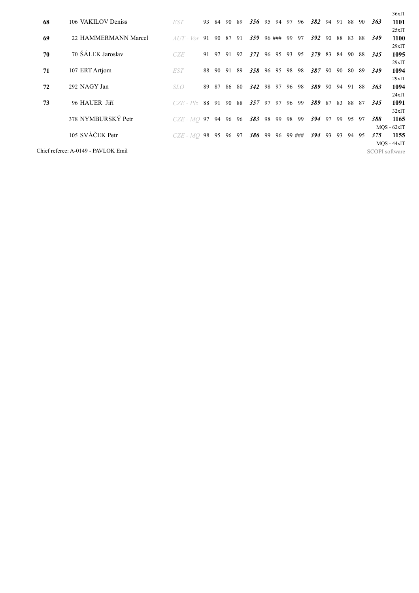| 68 | 106 VAKILOV Deniss                  | EST                     | 93 | 84       | 90    | -89 | $356\quad95$ |     |        | 94 97  | -96 | 382 94        |    | 91 |          | 88 90 | 363            | $36x$ IT<br>1101      |
|----|-------------------------------------|-------------------------|----|----------|-------|-----|--------------|-----|--------|--------|-----|---------------|----|----|----------|-------|----------------|-----------------------|
| 69 | 22 HAMMERMANN Marcel                | $AUT - Vor$ 91 90 87 91 |    |          |       |     | 359          |     | 96 ### | 99     | 97  | 392           | 90 | 88 | 83       | -88   | 349            | 25xIT<br>1100         |
| 70 | 70 ŠÁLEK Jaroslav                   | CZE                     | 91 | 97       | 91    | 92  | 371          |     | 96 95  | 93     | 95  | 379 83        |    | 84 |          | 90 88 | <i>345</i>     | 29xIT<br>1095         |
| 71 | 107 ERT Artjom                      | <b>EST</b>              |    | 88 90 91 |       | -89 | 358 96 95 98 |     |        |        | 98  | 387 90        |    |    | 90 80 89 |       | 349            | 29xIT<br>1094         |
|    |                                     |                         |    |          |       |     |              |     |        |        |     |               |    |    |          |       |                | 29xIT                 |
| 72 | 292 NAGY Jan                        | SLO                     | 89 | 87       | 86    | 80  | 342          | 98  | 97     | 96 98  |     | 389           | 90 | 94 | 91 88    |       | 363            | 1094<br>24xIT         |
| 73 | 96 HAUER Jiří                       | $CZE$ - $Plz$           |    | 88 91    | 90    | 88  | 357          | 97  | 97     | 96     | 99  | 389 87        |    | 83 | 88 87    |       | <b>345</b>     | 1091<br>32xIT         |
|    | 378 NYMBURSKÝ Petr                  | $CZE$ - $MO$ 97 94      |    |          | 96 96 |     | 383          | 98  | 99     | 98     | 99  | <b>394</b> 97 |    | 99 | 95 97    |       | 388            | 1165                  |
|    | 105 SVÁČEK Petr                     | $CZE$ - $MO$ 98 95      |    |          | 96 97 |     | 386          | -99 | 96     | 99 ### |     | <b>394</b> 93 |    | 93 | 94 95    |       | 375            | $MQS - 62xIT$<br>1155 |
|    |                                     |                         |    |          |       |     |              |     |        |        |     |               |    |    |          |       |                | $MOS - 44xIT$         |
|    | Chief referee: A-0149 - PAVLOK Emil |                         |    |          |       |     |              |     |        |        |     |               |    |    |          |       | SCOPI software |                       |
|    |                                     |                         |    |          |       |     |              |     |        |        |     |               |    |    |          |       |                |                       |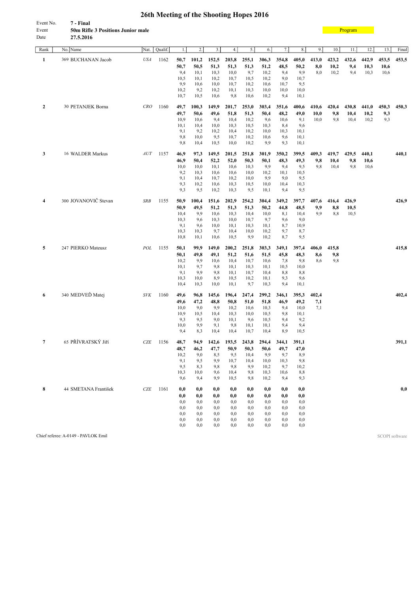| Event No. | 7 - Final                                |
|-----------|------------------------------------------|
| Event     | <b>50m Rifle 3 Positions Junior male</b> |
| Date      | 27.5.2016                                |

| Rank           | No. Name             | Nat.       | Qualif. | 1.           | 2.           | 3.           | 4.           | 5.           | 6.           | 7.          | 8.           | 9.    | 10.   | 11.   | 12.   | 13.   | Final |
|----------------|----------------------|------------|---------|--------------|--------------|--------------|--------------|--------------|--------------|-------------|--------------|-------|-------|-------|-------|-------|-------|
| 1              | 369 BUCHANAN Jacob   | <b>USA</b> | 1162    | 50,7         | 101,2        | 152,5        | 203,8        | 255,1        | 306,3        | 354,8       | 405,0        | 413,0 | 423,2 | 432,6 | 442,9 | 453,5 | 453,5 |
|                |                      |            |         | 50,7         | 50,5         | 51,3         | 51,3         | 51,3         | 51,2         | 48,5        | 50,2         | 8,0   | 10,2  | 9,4   | 10,3  | 10,6  |       |
|                |                      |            |         | 9,4<br>10,5  | 10,1<br>10,1 | 10,3<br>10,2 | 10,0<br>10,7 | 9,7<br>10,5  | 10,2<br>10,2 | 9,4<br>9,0  | 9,9<br>10,7  | 8,0   | 10,2  | 9,4   | 10,3  | 10,6  |       |
|                |                      |            |         | 9,9          | 10,6         | 10,0         | 10,7         | 10,2         | 10,6         | 10,7        | 9,5          |       |       |       |       |       |       |
|                |                      |            |         | 10,2         | 9,2          | 10,2         | 10,1         | 10,3         | 10,0         | 10,0        | 10,0         |       |       |       |       |       |       |
|                |                      |            |         | 10,7         | 10,5         | 10,6         | 9,8          | 10,6         | 10,2         | 9,4         | 10,1         |       |       |       |       |       |       |
| $\overline{2}$ | 30 PETANJEK Borna    | CRO        | 1160    | 49,7         | 100,3        | 149,9        | 201,7        | 253,0        | 303,4        | 351,6       | 400,6        | 410,6 | 420,4 | 430,8 | 441,0 | 450,3 | 450,3 |
|                |                      |            |         | 49,7         | 50,6         | 49,6         | 51,8         | 51,3         | 50,4         | 48,2        | 49,0         | 10,0  | 9,8   | 10,4  | 10,2  | 9,3   |       |
|                |                      |            |         | 10,9         | 10,6         | 9,4          | 10,4         | 10,2         | 9,6          | 10,6        | 9,1          | 10,0  | 9,8   | 10,4  | 10,2  | 9,3   |       |
|                |                      |            |         | 10,1         | 10,4         | 10,0         | 10,3         | 10,5         | 10,3         | 8,4         | 9,6          |       |       |       |       |       |       |
|                |                      |            |         | 9,1          | 9,2          | 10,2         | 10,4         | 10,2         | 10,0         | 10,3        | 10,1         |       |       |       |       |       |       |
|                |                      |            |         | 9,8<br>9,8   | 10,0<br>10,4 | 9,5<br>10,5  | 10,7<br>10,0 | 10,2<br>10,2 | 10,6<br>9,9  | 9,6<br>9,3  | 10,1<br>10,1 |       |       |       |       |       |       |
| 3              | 16 WALDER Markus     | AUT        | 1157    | 46,9         | 97,3         | 149,5        | 201,5        | 251,8        | 301,9        | 350,2       | 399,5        | 409,3 | 419,7 | 429,5 | 440,1 |       | 440,1 |
|                |                      |            |         | 46,9         | 50,4         | 52,2         | 52,0         | 50,3         | 50,1         | 48,3        | 49,3         | 9,8   | 10,4  | 9,8   | 10,6  |       |       |
|                |                      |            |         | 10,0         | 10,0         | 10,1         | 10,6         | 10,3         | 9,9          | 9,4         | 9,5          | 9,8   | 10,4  | 9,8   | 10,6  |       |       |
|                |                      |            |         | 9,2          | 10,3         | 10,6         | 10,6         | 10,0         | 10,2         | 10,1        | 10,5         |       |       |       |       |       |       |
|                |                      |            |         | 9,1          | 10,4         | 10,7         | 10,2         | 10,0         | 9,9          | 9,0         | 9,5          |       |       |       |       |       |       |
|                |                      |            |         | 9,3          | 10,2         | 10,6         | 10,3         | 10,5         | 10,0         | 10,4        | 10,3         |       |       |       |       |       |       |
|                |                      |            |         | 9,3          | 9,5          | 10,2         | 10,3         | 9,5          | 10,1         | 9,4         | 9,5          |       |       |       |       |       |       |
| 4              | 300 JOVANOVIČ Stevan | <b>SRB</b> | 1155    | 50,9         | 100,4        | 151,6        | 202,9        | 254,2        | 304,4        | 349,2       | 397,7        | 407,6 | 416,4 | 426,9 |       |       | 426,9 |
|                |                      |            |         | 50,9         | 49,5         | 51,2         | 51,3         | 51,3         | 50,2         | 44,8        | 48,5         | 9,9   | 8,8   | 10,5  |       |       |       |
|                |                      |            |         | 10,4         | 9,9          | 10,6         | 10,3         | 10,4         | 10,0         | 8,1         | 10,4         | 9,9   | 8,8   | 10,5  |       |       |       |
|                |                      |            |         | 10,3         | 9,6          | 10,3         | 10,0         | 10,7         | 9,7          | 9,6         | 9,0          |       |       |       |       |       |       |
|                |                      |            |         | 9,1<br>10,3  | 9,6<br>10,3  | 10,0<br>9,7  | 10,1<br>10,4 | 10,3<br>10,0 | 10,1<br>10,2 | 8,7<br>9,7  | 10,9<br>8,7  |       |       |       |       |       |       |
|                |                      |            |         | 10,8         | 10,1         | 10,6         | 10,5         | 9,9          | 10,2         | 8,7         | 9,5          |       |       |       |       |       |       |
| 5              | 247 PIERKO Mateusz   | POL        | 1155    | 50,1         | 99,9         | 149,0        | 200,2        | 251,8        | 303,3        | 349,1       | 397,4        | 406,0 | 415,8 |       |       |       | 415,8 |
|                |                      |            |         | 50,1         | 49,8         | 49,1         | 51,2         | 51,6         | 51,5         | 45,8        | 48,3         | 8,6   | 9,8   |       |       |       |       |
|                |                      |            |         | 10,2         | 9,9          | 10,6         | 10,4         | 10,7         | 10,6         | 7,8         | 9,8          | 8,6   | 9,8   |       |       |       |       |
|                |                      |            |         | 10,1         | 9,7          | 9,8          | 10,1         | 10,3         | 10,1         | 10,5        | 10,0         |       |       |       |       |       |       |
|                |                      |            |         | 9,1          | 9,9          | 9,8          | 10,1         | 10,7         | 10,4         | 8,8         | 8,8          |       |       |       |       |       |       |
|                |                      |            |         | 10,3         | 10,0         | 8,9          | 10,5         | 10,2         | 10,1         | 9,3         | 9,6          |       |       |       |       |       |       |
|                |                      |            |         | 10,4         | 10,3         | 10,0         | 10,1         | 9,7          | 10,3         | 9,4         | 10,1         |       |       |       |       |       |       |
| 6              | 340 MEDVEĎ Matej     | <b>SVK</b> | 1160    | 49,6         | 96,8         | 145,6        | 196,4        | 247,4        | 299,2        | 346,1       | 395,3        | 402,4 |       |       |       |       | 402,4 |
|                |                      |            |         | 49,6         | 47,2         | 48,8         | 50,8         | 51,0         | 51,8         | 46,9        | 49,2         | 7,1   |       |       |       |       |       |
|                |                      |            |         | 10,0<br>10,9 | 9,0<br>10,5  | 9,9<br>10,4  | 10,2<br>10,3 | 10,6<br>10,0 | 10,3<br>10,5 | 9,4<br>9,8  | 10,0<br>10,1 | 7,1   |       |       |       |       |       |
|                |                      |            |         | 9,3          | 9,5          | 9,0          | 10,1         | 9,6          | 10,5         | 9,4         | 9,2          |       |       |       |       |       |       |
|                |                      |            |         | 10,0         | 9,9          | 9,1          | 9,8          | 10,1         | 10,1         | 9,4         | 9,4          |       |       |       |       |       |       |
|                |                      |            |         | 9,4          | 8,3          | 10,4         | 10,4         | 10,7         | 10,4         | 8,9         | 10,5         |       |       |       |       |       |       |
| $\overline{7}$ | 65 PŘÍVRATSKÝ Jiří   | CZE        | 1156    | 48,7         | 94,9         | 142,6        | 193,5        | 243,8        | 294,4        | 344,1       | 391,1        |       |       |       |       |       | 391,1 |
|                |                      |            |         | 48,7         | 46,2         | 47,7         | 50,9         | 50,3         | 50,6         | 49,7        | 47,0         |       |       |       |       |       |       |
|                |                      |            |         | 10,2         | 9,0          | 8,5          | 9,5          | 10,4         | 9,9          | 9,7         | 8,9          |       |       |       |       |       |       |
|                |                      |            |         | 9,1          | 9,5          | 9,9          | 10,7         | 10,4         | 10,0         | 10,3        | 9,8          |       |       |       |       |       |       |
|                |                      |            |         | 9,5          | 8,3          | 9,8          | 9,8          | 9,9          | 10,2         | 9,7         | 10,2         |       |       |       |       |       |       |
|                |                      |            |         | 10,3<br>9,6  | 10,0<br>9,4  | 9,6<br>9,9   | 10,4<br>10,5 | 9,8<br>9,8   | 10,3<br>10,2 | 10,6<br>9,4 | 8,8<br>9,3   |       |       |       |       |       |       |
|                |                      |            |         |              |              |              |              |              |              |             |              |       |       |       |       |       |       |
| 8              | 44 SMETANA František | <b>CZE</b> | 1161    | 0,0<br>0,0   | 0,0<br>0,0   | 0,0<br>0,0   | 0,0<br>0,0   | 0,0<br>0,0   | 0,0<br>0,0   | 0,0<br>0,0  | 0,0<br>0,0   |       |       |       |       |       | 0,0   |
|                |                      |            |         | 0,0          | 0,0          | 0,0          | 0,0          | 0,0          | 0,0          | 0,0         | 0,0          |       |       |       |       |       |       |
|                |                      |            |         | 0,0          | 0,0          | 0,0          | 0,0          | 0,0          | 0,0          | 0,0         | 0,0          |       |       |       |       |       |       |
|                |                      |            |         | 0,0          | 0,0          | $_{0,0}$     | 0,0          | 0,0          | 0,0          | 0,0         | 0,0          |       |       |       |       |       |       |
|                |                      |            |         | 0,0          | $_{0,0}$     | 0,0          | $_{0,0}$     | $_{0,0}$     | 0,0          | 0,0         | $_{0,0}$     |       |       |       |       |       |       |
|                |                      |            |         | 0,0          | 0,0          | 0,0          | 0,0          | 0,0          | 0,0          | 0,0         | 0,0          |       |       |       |       |       |       |

Chief referee: A-0149 - PAVLOK Emil SCOPI software

**[Program](#page-2-0)**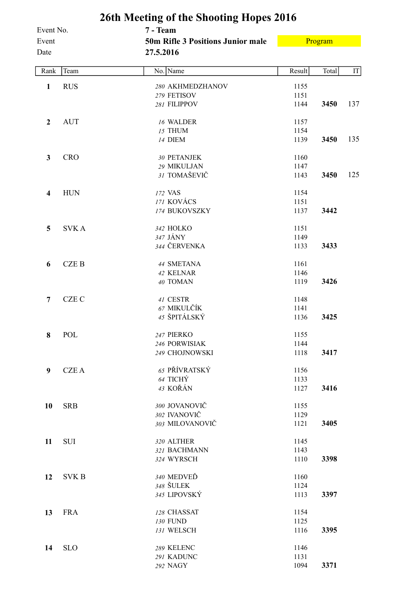| Event No.               |              | 26th Meeting of the Shooting Hopes 2016<br>7 - Team   |        |         |     |
|-------------------------|--------------|-------------------------------------------------------|--------|---------|-----|
| Event<br>Date           |              | <b>50m Rifle 3 Positions Junior male</b><br>27.5.2016 |        | Program |     |
|                         |              |                                                       |        |         |     |
| Rank                    | Team         | No. Name                                              | Result | Total   | IT  |
| $\mathbf{1}$            | <b>RUS</b>   | 280 AKHMEDZHANOV                                      | 1155   |         |     |
|                         |              | 279 FETISOV                                           | 1151   |         |     |
|                         |              | 281 FILIPPOV                                          | 1144   | 3450    | 137 |
| $\boldsymbol{2}$        | <b>AUT</b>   | 16 WALDER                                             | 1157   |         |     |
|                         |              | 15 THUM                                               | 1154   |         |     |
|                         |              | 14 DIEM                                               | 1139   | 3450    | 135 |
| $\mathbf{3}$            | <b>CRO</b>   | 30 PETANJEK                                           | 1160   |         |     |
|                         |              | 29 MIKULJAN                                           | 1147   |         |     |
|                         |              | 31 TOMAŠEVIČ                                          | 1143   | 3450    | 125 |
| $\overline{\mathbf{4}}$ | <b>HUN</b>   | 172 VAS                                               | 1154   |         |     |
|                         |              | 171 KOVÁCS                                            | 1151   |         |     |
|                         |              | 174 BUKOVSZKY                                         | 1137   | 3442    |     |
| 5                       | <b>SVKA</b>  | 342 HOLKO                                             | 1151   |         |     |
|                         |              | 347 JÁNY                                              | 1149   |         |     |
|                         |              | 344 ČERVENKA                                          | 1133   | 3433    |     |
| 6                       | <b>CZEB</b>  | 44 SMETANA                                            | 1161   |         |     |
|                         |              | 42 KELNAR                                             | 1146   |         |     |
|                         |              | 40 TOMAN                                              | 1119   | 3426    |     |
| $\overline{7}$          | <b>CZE C</b> | 41 CESTR                                              | 1148   |         |     |
|                         |              | 67 MIKULČÍK                                           | 1141   |         |     |
|                         |              | 45 ŠPITÁLSKÝ                                          | 1136   | 3425    |     |
| 8                       | POL          | 247 PIERKO                                            | 1155   |         |     |
|                         |              | 246 PORWISIAK                                         | 1144   |         |     |
|                         |              | 249 CHOJNOWSKI                                        | 1118   | 3417    |     |
| 9                       | <b>CZEA</b>  | 65 PŘÍVRATSKÝ                                         | 1156   |         |     |
|                         |              | 64 TICHÝ                                              | 1133   |         |     |
|                         |              | 43 KOŘÁN                                              | 1127   | 3416    |     |
| 10                      | <b>SRB</b>   | 300 JOVANOVIČ                                         | 1155   |         |     |
|                         |              | 302 IVANOVIČ                                          | 1129   |         |     |
|                         |              | 303 MILOVANOVIČ                                       | 1121   | 3405    |     |
| 11                      | <b>SUI</b>   | 320 ALTHER                                            | 1145   |         |     |
|                         |              | 321 BACHMANN                                          | 1143   |         |     |
|                         |              | 324 WYRSCH                                            | 1110   | 3398    |     |
| 12                      | <b>SVKB</b>  | 340 MEDVEĎ                                            | 1160   |         |     |
|                         |              | 348 ŠULEK                                             | 1124   |         |     |
|                         |              | 345 LIPOVSKÝ                                          | 1113   | 3397    |     |
| 13                      | <b>FRA</b>   | 128 CHASSAT                                           | 1154   |         |     |
|                         |              | 130 FUND                                              | 1125   |         |     |
|                         |              | 131 WELSCH                                            | 1116   | 3395    |     |
| 14                      | <b>SLO</b>   | 289 KELENC                                            | 1146   |         |     |
|                         |              | 291 KADUNC                                            | 1131   |         |     |
|                         |              | 292 NAGY                                              | 1094   | 3371    |     |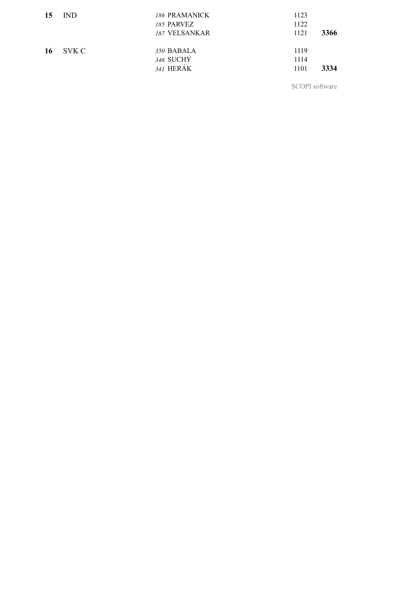| 15  | IND.  | 186 PRAMANICK<br>185 PARVEZ<br>187 VELSANKAR | 1123<br>1122<br>1121 | 3366 |
|-----|-------|----------------------------------------------|----------------------|------|
| -16 | SVK C | 350 BABALA<br>346 SUCHY<br>341 HERAK         | 1119<br>1114<br>1101 | 3334 |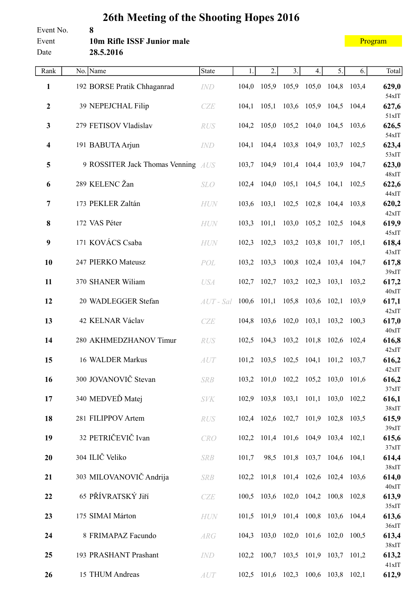#### Event No. **8** Event **10m Rifle ISSF Junior male** Date **28.5.2016**

| Rank                    | No. Name                           | State       | 1.    | 2.                                  | 3.                      | 4. | 5.                      | 6.          | Total          |
|-------------------------|------------------------------------|-------------|-------|-------------------------------------|-------------------------|----|-------------------------|-------------|----------------|
| 1                       | 192 BORSE Pratik Chhaganrad        | <b>IND</b>  |       | 104,0 105,9                         | 105,9 105,0 104,8 103,4 |    |                         |             | 629,0          |
| $\boldsymbol{2}$        | 39 NEPEJCHAL Filip                 | CZE         | 104,1 | 105,1                               |                         |    | 103,6 105,9 104,5       | 104,4       | 54xIT<br>627,6 |
| $\mathbf{3}$            | 279 FETISOV Vladislav              |             |       | 104,2 105,0 105,2 104,0 104,5 103,6 |                         |    |                         |             | 51xIT          |
|                         |                                    | <b>RUS</b>  |       |                                     |                         |    |                         |             | 626,5<br>54xIT |
| 4                       | 191 BABUTA Arjun                   | IND         |       | 104,1 104,4 103,8 104,9 103,7 102,5 |                         |    |                         |             | 623,4<br>53xIT |
| $\overline{\mathbf{5}}$ | 9 ROSSITER Jack Thomas Venning AUS |             |       | 103,7 104,9                         | 101,4 104,4 103,9 104,7 |    |                         |             | 623,0          |
| 6                       | 289 KELENC Žan                     | <b>SLO</b>  |       | 102,4 104,0 105,1 104,5 104,1 102,5 |                         |    |                         |             | 48xIT<br>622,6 |
| 7                       | 173 PEKLER Zaltán                  | HUN         |       | 103,6 103,1 102,5 102,8 104,4 103,8 |                         |    |                         |             | 44xIT<br>620,2 |
|                         |                                    |             |       |                                     |                         |    |                         |             | 42xIT          |
| 8                       | 172 VAS Péter                      | HUN         | 103,3 | 101,1                               |                         |    | 103,0 105,2 102,5 104,8 |             | 619,9<br>45xIT |
| 9                       | 171 KOVÁCS Csaba                   | <b>HUN</b>  |       | 102,3 102,3                         |                         |    | 103,2 103,8 101,7 105,1 |             | 618,4          |
| 10                      | 247 PIERKO Mateusz                 | POL         |       | 103,2 103,3                         | 100,8 102,4 103,4 104,7 |    |                         |             | 43xIT<br>617,8 |
|                         |                                    |             |       |                                     |                         |    |                         |             | 39xIT          |
| 11                      | 370 SHANER Wiliam                  | <b>USA</b>  |       | $102,7$ 102,7                       | 103,2 102,3             |    | 103,1 103,2             |             | 617,2<br>40xIT |
| 12                      | 20 WADLEGGER Stefan                | $AUT$ - Sal |       | $100,6$ 101,1                       | 105,8 103,6 102,1 103,9 |    |                         |             | 617,1<br>42xIT |
| 13                      | 42 KELNAR Václav                   | CZE         |       | 104,8 103,6 102,0 103,1 103,2 100,3 |                         |    |                         |             | 617,0          |
| 14                      | 280 AKHMEDZHANOV Timur             | <b>RUS</b>  |       | 102,5 104,3                         | 103,2 101,8             |    | 102,6 102,4             |             | 40xIT<br>616,8 |
| 15                      | 16 WALDER Markus                   |             |       |                                     | $102,5$ 104,1           |    |                         |             | 42xIT          |
|                         |                                    | AUT         |       | 101,2 103,5                         |                         |    |                         | 101,2 103,7 | 616,2<br>42xIT |
| 16                      | 300 JOVANOVIČ Stevan               | <b>SRB</b>  |       | 103,2 101,0 102,2 105,2 103,0 101,6 |                         |    |                         |             | 616,2<br>37xIT |
| 17                      | 340 MEDVEĎ Matej                   | <b>SVK</b>  |       | 102,9 103,8 103,1 101,1 103,0 102,2 |                         |    |                         |             | 616,1          |
| 18                      | 281 FILIPPOV Artem                 | RUS         |       | 102,4 102,6 102,7 101,9 102,8 103,5 |                         |    |                         |             | 38xIT<br>615,9 |
| 19                      | 32 PETRIČEVIČ Ivan                 | CRO         |       | 102,2 101,4 101,6 104,9 103,4 102,1 |                         |    |                         |             | 39xIT<br>615,6 |
|                         |                                    |             |       |                                     |                         |    |                         |             | 37xIT          |
| 20                      | 304 ILIČ Veliko                    | <b>SRB</b>  | 101,7 | 98,5                                | 101,8 103,7 104,6 104,1 |    |                         |             | 614,4<br>38xIT |
| 21                      | 303 MILOVANOVIČ Andrija            | <b>SRB</b>  |       | 102,2 101,8 101,4 102,6 102,4 103,6 |                         |    |                         |             | 614,0          |
| 22                      | 65 PŘÍVRATSKÝ Jiří                 | CZE         |       | 100,5 103,6 102,0 104,2 100,8 102,8 |                         |    |                         |             | 40xIT<br>613,9 |
|                         | 175 SIMAI Márton                   |             |       | 101,5 101,9 101,4 100,8 103,6 104,4 |                         |    |                         |             | 35xIT          |
| 23                      |                                    | HUN         |       |                                     |                         |    |                         |             | 613,6<br>36xIT |
| 24                      | 8 FRIMAPAZ Facundo                 | ARG         |       | 104,3 103,0 102,0 101,6 102,0 100,5 |                         |    |                         |             | 613,4<br>38xIT |
| 25                      | 193 PRASHANT Prashant              | IND         |       | 102,2 100,7 103,5 101,9 103,7 101,2 |                         |    |                         |             | 613,2          |
| 26                      | 15 THUM Andreas                    | AUT         |       | 102,5 101,6 102,3 100,6 103,8 102,1 |                         |    |                         |             | 41xIT<br>612,9 |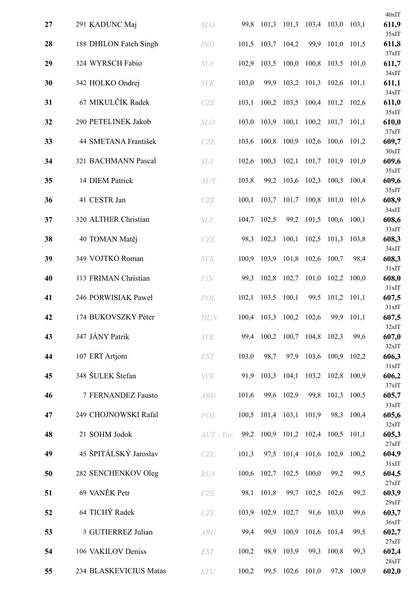|    |                        |               |       |             |                               |       |                   |             | 40xIT             |
|----|------------------------|---------------|-------|-------------|-------------------------------|-------|-------------------|-------------|-------------------|
| 27 | 291 KADUNC Maj         | <b>SLO</b>    | 99,8  | 101,3 101,3 |                               |       | 103,4 103,0 103,1 |             | 611,9<br>35xIT    |
| 28 | 188 DHILON Fateh Singh | <b>IND</b>    | 101,5 |             | 103,7 104,2                   | 99,9  |                   | 101,0 101,5 | 611,8             |
| 29 | 324 WYRSCH Fabio       | SUI           | 102,9 | 103,5       | 100,0                         | 100,8 | 103,5             | 101,0       | 37xIT<br>611,7    |
| 30 | 342 HOLKO Ondrej       | <b>SVK</b>    | 103,0 | 99,9        | 103,2                         | 101,3 | $102,6$ 101,1     |             | 34xIT<br>611,1    |
| 31 | 67 MIKULČÍK Radek      | CZE           | 103,1 |             | 100,2 103,5                   |       | 100,4 101,2 102,6 |             | 34xIT<br>611,0    |
| 32 | 290 PETELINEK Jakob    | <b>SLO</b>    | 103,0 | 103,9       | 100,1                         |       | $100,2$ 101,7     | 101,1       | 35xIT<br>610,0    |
| 33 | 44 SMETANA František   | <b>CZE</b>    | 103,6 | 100,8       | 100,9                         | 102,6 | 100,6             | 101,2       | 37xIT<br>609,7    |
| 34 | 321 BACHMANN Pascal    | <b>SUI</b>    | 102,6 | 100,3       | 102,1                         | 101,7 | 101,9             | 101,0       | $30x$ IT<br>609,6 |
| 35 | 14 DIEM Patrick        | AUT           | 103,8 |             | 99,2 103,6                    | 102,3 | 100,3             | 100,4       | 35xIT<br>609,6    |
| 36 | 41 CESTR Jan           | CZE           | 100,1 | 103,7       | 101,7                         | 100,8 | 101,0             | 101,6       | 35xIT<br>608,9    |
| 37 | 320 ALTHER Christian   | <b>SUI</b>    | 104,7 | 102,5       | 99,2                          | 101,5 | 100,6             | 100,1       | 34xIT<br>608,6    |
| 38 | 40 TOMAN Matěj         | CZE           | 98,3  | 102,3       | 100,1                         | 102,5 | 101,3             | 103,8       | 33xIT<br>608,3    |
| 39 | 349 VOJTKO Roman       | <b>SVK</b>    | 100,9 | 103,9       | 101,8                         | 102,6 | 100,7             | 98,4        | 34xIT<br>608,3    |
| 40 | 113 FRIMAN Christian   | <b>FIN</b>    | 99,3  |             | 102,8 102,7                   | 101,0 | 102,2             | 100,0       | 31xIT<br>608,0    |
| 41 | 246 PORWISIAK Pawel    | POL           | 102,1 | 103,5       | 100,1                         | 99,5  | 101,2             | 101,1       | 31xIT<br>607,5    |
| 42 | 174 BUKOVSZKY Péter    | <b>HUN</b>    | 100,4 | 103,3       | 100,2                         | 102,6 | 99,9              | 101,1       | 31xIT<br>607,5    |
| 43 | 347 JÁNY Patrik        | <b>SVK</b>    |       |             | 99,4 100,2 100,7 104,8 102,3  |       |                   | 99,6        | 32xIT<br>607,0    |
| 44 | 107 ERT Artjom         | <b>EST</b>    | 103,0 | 98,7        | 97,9                          |       | 103,6 100,9 102,2 |             | 32xIT<br>606,3    |
| 45 | 348 ŠULEK Štefan       | <b>SVK</b>    | 91,9  |             | $103,3$ 104,1                 |       | 103,2 102,8       | 100,9       | 31xIT<br>606,2    |
| 46 | 7 FERNANDEZ Fausto     | ARG           | 101,6 |             | 99,6 102,9                    |       | 99,8 101,3 100,5  |             | 37xIT<br>605,7    |
| 47 | 249 CHOJNOWSKI Rafal   | POL           |       |             | 100,5 101,4 103,1 101,9       |       |                   | 98,3 100,4  | 33xIT<br>605,6    |
| 48 | 21 SOHM Jodok          | $AUT$ - $Vor$ | 99,2  |             | 100,9 101,2 102,4 100,5 101,1 |       |                   |             | 32xIT<br>605,3    |
| 49 | 45 ŠPITÁLSKÝ Jaroslav  | CZE           | 101,3 |             | 97,5 101,4 101,6 102,9 100,2  |       |                   |             | 27xIT<br>604,9    |
| 50 | 282 SENCHENKOV Oleg    | RUS           | 100,6 |             | 102,7 102,5                   | 100,0 | 99,2              | 99,5        | 31xIT<br>604,5    |
| 51 | 69 VANĚK Petr          | CZE           | 98,1  | 101,8       | 99,7                          | 102,5 | 102,6             | 99,2        | 27xIT<br>603,9    |
| 52 | 64 TICHÝ Radek         | CZE           | 103,9 |             | 102,9 102,7                   |       | 91,6 103,0        | 99,6        | 29xIT<br>603,7    |
| 53 | 3 GUTIERREZ Julian     | ARG           | 99,4  | 99,9        | 100,9                         |       | 101,6 101,4       | 99,5        | 36xIT<br>602,7    |
| 54 | 106 VAKILOV Deniss     | <b>EST</b>    | 100,2 | 98,9        | 103,9                         | 99,3  | 100,8             | 99,3        | 27xIT<br>602,4    |
| 55 | 234 BLASKEVICIUS Matas | LTU           | 100,2 |             | 99,5 102,6                    | 101,0 | 97,8              | 100,9       | 28xIT<br>602,0    |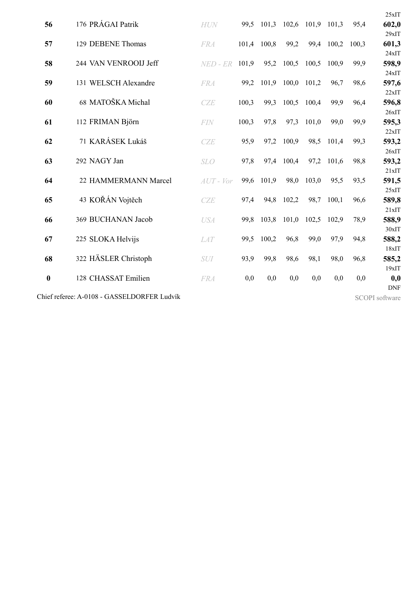|                  |                                             |               |       |       |       |                   |       |       | 25xIT                 |
|------------------|---------------------------------------------|---------------|-------|-------|-------|-------------------|-------|-------|-----------------------|
| 56               | 176 PRÁGAI Patrik                           | <b>HUN</b>    | 99,5  | 101,3 |       | 102,6 101,9 101,3 |       | 95,4  | 602,0                 |
|                  |                                             |               |       |       |       |                   |       |       | 29xIT                 |
| 57               | 129 DEBENE Thomas                           | <b>FRA</b>    | 101,4 | 100,8 | 99,2  | 99,4              | 100,2 | 100,3 | 601,3                 |
|                  |                                             |               |       |       |       |                   |       |       | 24xIT                 |
| 58               | 244 VAN VENROOIJ Jeff                       | $NED$ - $ER$  | 101,9 | 95,2  | 100,5 | 100,5             | 100.9 | 99,9  | 598,9                 |
|                  |                                             |               |       |       |       |                   |       |       | 24xIT                 |
| 59               | 131 WELSCH Alexandre                        | <b>FRA</b>    | 99,2  | 101,9 | 100,0 | 101,2             | 96,7  | 98,6  | 597,6                 |
|                  | 68 MATOŠKA Michal                           |               |       |       |       |                   |       |       | 22xIT                 |
| 60               |                                             | CZE           | 100,3 | 99,3  | 100,5 | 100,4             | 99,9  | 96,4  | 596,8<br>26xIT        |
| 61               | 112 FRIMAN Björn                            | FIN           | 100,3 | 97,8  | 97,3  | 101,0             | 99,0  | 99,9  | 595,3                 |
|                  |                                             |               |       |       |       |                   |       |       | 22xIT                 |
| 62               | 71 KARÁSEK Lukáš                            | CZE           | 95,9  | 97,2  | 100,9 | 98,5              | 101,4 | 99,3  | 593,2                 |
|                  |                                             |               |       |       |       |                   |       |       | 26xIT                 |
| 63               | 292 NAGY Jan                                | <b>SLO</b>    | 97,8  | 97,4  | 100,4 | 97,2              | 101,6 | 98,8  | 593,2                 |
|                  |                                             |               |       |       |       |                   |       |       | 21xIT                 |
| 64               | 22 HAMMERMANN Marcel                        | $AUT$ - $Vor$ | 99,6  | 101,9 | 98,0  | 103,0             | 95,5  | 93,5  | 591,5                 |
|                  |                                             |               |       |       |       |                   |       |       | 25xIT                 |
| 65               | 43 KOŘÁN Vojtěch                            | CZE           | 97,4  | 94,8  | 102,2 | 98,7              | 100,1 | 96,6  | 589,8                 |
|                  |                                             |               |       |       |       |                   |       |       | 21xIT                 |
| 66               | 369 BUCHANAN Jacob                          | <b>USA</b>    | 99,8  | 103,8 | 101,0 | 102,5             | 102,9 | 78,9  | 588,9                 |
|                  |                                             |               |       |       |       |                   |       |       | $30x$ IT              |
| 67               | 225 SLOKA Helvijs                           | <b>LAT</b>    | 99,5  | 100,2 | 96,8  | 99,0              | 97,9  | 94,8  | 588,2                 |
|                  |                                             |               |       |       |       |                   |       |       | 18xIT                 |
| 68               | 322 HÄSLER Christoph                        | SUI           | 93,9  | 99,8  | 98,6  | 98,1              | 98,0  | 96,8  | 585,2                 |
|                  |                                             |               |       |       |       |                   |       |       | $19x$ IT              |
| $\boldsymbol{0}$ | 128 CHASSAT Emilien                         | <b>FRA</b>    | 0,0   | 0,0   | 0,0   | 0,0               | 0,0   | 0,0   | 0,0                   |
|                  |                                             |               |       |       |       |                   |       |       | <b>DNF</b>            |
|                  | Chief referee: A-0108 - GASSELDORFER Ludvík |               |       |       |       |                   |       |       | <b>SCOPI</b> software |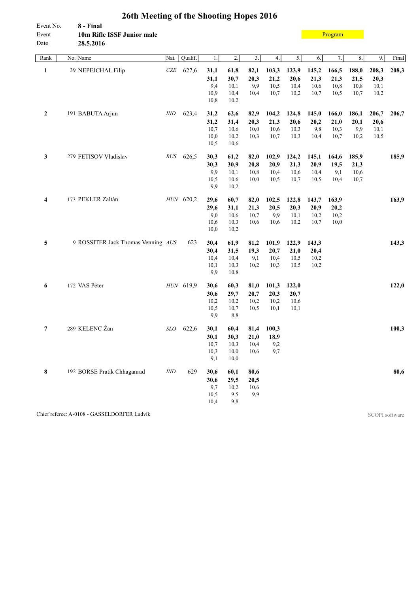| Event No.<br>Event<br>Date | 8 - Final<br>10m Rifle ISSF Junior male<br>28.5.2016 |                |           |                                      |                                      |                              |                                         |                               |                               | Program                       |                               |                               |       |
|----------------------------|------------------------------------------------------|----------------|-----------|--------------------------------------|--------------------------------------|------------------------------|-----------------------------------------|-------------------------------|-------------------------------|-------------------------------|-------------------------------|-------------------------------|-------|
| Rank                       | No. Name                                             | Nat.           | Qualif.   | 1.                                   | $\overline{2}$ .                     | $\overline{3}$ .             | 4.                                      | 5.                            | 6.                            | 7.                            | 8.                            | 9.                            | Final |
| $\mathbf{1}$               | 39 NEPEJCHAL Filip                                   | CZE            | 627,6     | 31,1<br>31,1<br>9,4<br>10,9<br>10,8  | 61,8<br>30,7<br>10,1<br>10,4<br>10,2 | 82,1<br>20,3<br>9,9<br>10,4  | 103,3<br>21,2<br>10,5<br>10,7           | 123,9<br>20,6<br>10,4<br>10,2 | 145,2<br>21,3<br>10,6<br>10,7 | 166,5<br>21,3<br>10,8<br>10,5 | 188,0<br>21,5<br>10,8<br>10,7 | 208,3<br>20,3<br>10,1<br>10,2 | 208,3 |
| $\mathbf{2}$               | 191 BABUTA Arjun                                     | IND            | 623,4     | 31,2<br>31,2<br>10,7<br>10,0<br>10,5 | 62,6<br>31,4<br>10,6<br>10,2<br>10,6 | 82,9<br>20,3<br>10,0<br>10,3 | 104,2<br>21,3<br>10,6<br>10,7           | 124,8<br>20,6<br>10,3<br>10,3 | 145,0<br>20,2<br>9,8<br>10,4  | 166,0<br>21,0<br>10,3<br>10,7 | 186,1<br>20,1<br>9,9<br>10,2  | 206,7<br>20,6<br>10,1<br>10,5 | 206,7 |
| 3                          | 279 FETISOV Vladislav                                |                | RUS 626,5 | 30,3<br>30,3<br>9,9<br>10,5<br>9,9   | 61,2<br>30,9<br>10,1<br>10,6<br>10,2 | 82,0<br>20,8<br>10,8<br>10,0 | 102,9<br>20,9<br>10,4<br>10,5           | 124,2<br>21,3<br>10,6<br>10,7 | 145,1<br>20,9<br>10,4<br>10,5 | 164,6<br>19,5<br>9,1<br>10,4  | 185,9<br>21,3<br>10,6<br>10,7 |                               | 185,9 |
| 4                          | 173 PEKLER Zaltán                                    |                | HUN 620,2 | 29,6<br>29,6<br>9,0<br>10,6<br>10,0  | 60,7<br>31,1<br>10,6<br>10,3<br>10,2 | 82,0<br>21,3<br>10,7<br>10,6 | 102,5<br>20,5<br>9,9<br>10,6            | 122,8<br>20,3<br>10,1<br>10,2 | 143,7<br>20,9<br>10,2<br>10,7 | 163,9<br>20,2<br>10,2<br>10,0 |                               |                               | 163,9 |
| 5                          | 9 ROSSITER Jack Thomas Venning AUS                   |                | 623       | 30,4<br>30,4<br>10,4<br>10,1<br>9,9  | 61,9<br>31,5<br>10,4<br>10,3<br>10,8 | 81,2<br>19,3<br>9,1<br>10,2  | 101,9<br>20,7<br>10,4<br>10,3           | 122,9<br>21,0<br>10,5<br>10,5 | 143,3<br>20,4<br>10,2<br>10,2 |                               |                               |                               | 143,3 |
| 6                          | 172 VAS Péter                                        |                | HUN 619,9 | 30,6<br>30,6<br>10,2<br>10,5<br>9,9  | 60,3<br>29,7<br>10,2<br>10,7<br>8,8  | 81,0<br>20,7<br>10,2<br>10,5 | 101,3<br>20,3<br>10,2<br>10,1           | 122,0<br>20,7<br>10,6<br>10,1 |                               |                               |                               |                               | 122,0 |
| 7                          | 289 KELENC Žan                                       | <b>SLO</b>     | 622,6     | 30,1<br>30,1<br>10,7<br>10,3<br>9,1  | 60,4<br>30,3<br>10,3<br>10,0<br>10,0 | 10,4<br>10,6                 | 81,4 100,3<br>$21,0$ 18,9<br>9,2<br>9,7 |                               |                               |                               |                               |                               | 100,3 |
| 8                          | 192 BORSE Pratik Chhaganrad                          | $\mathit{IND}$ | 629       | 30,6<br>30,6<br>9,7<br>10,5<br>10,4  | 60,1<br>29,5<br>10,2<br>9,5<br>9,8   | 80,6<br>20,5<br>10,6<br>9,9  |                                         |                               |                               |                               |                               |                               | 80,6  |

Chief referee: A-0108 - GASSELDORFER Ludvík SCOPI software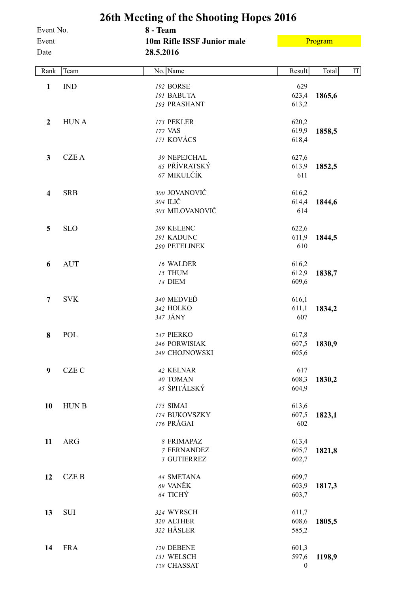|                    |              | 26th Meeting of the Shooting Hopes 2016 |                           |         |    |
|--------------------|--------------|-----------------------------------------|---------------------------|---------|----|
| Event No.<br>Event |              | 8 - Team<br>10m Rifle ISSF Junior male  |                           | Program |    |
| Date               |              | 28.5.2016                               |                           |         |    |
| Rank               | Team         | No. Name                                | Result                    | Total   | IT |
| $\mathbf{1}$       | <b>IND</b>   | 192 BORSE                               | 629                       |         |    |
|                    |              | 191 BABUTA                              | 623,4                     | 1865,6  |    |
|                    |              | 193 PRASHANT                            | 613,2                     |         |    |
| $\mathbf{2}$       | <b>HUNA</b>  | 173 PEKLER                              | 620,2                     |         |    |
|                    |              | 172 VAS                                 | 619,9                     | 1858,5  |    |
|                    |              | 171 KOVÁCS                              | 618,4                     |         |    |
| $\mathbf{3}$       | <b>CZEA</b>  | 39 NEPEJCHAL                            | 627,6                     |         |    |
|                    |              | 65 PŘÍVRATSKÝ                           | 613,9                     | 1852,5  |    |
|                    |              | 67 MIKULČÍK                             | 611                       |         |    |
| 4                  | <b>SRB</b>   | 300 JOVANOVIČ                           | 616,2                     |         |    |
|                    |              | 304 ILIČ                                | 614,4                     | 1844,6  |    |
|                    |              | 303 MILOVANOVIČ                         | 614                       |         |    |
| 5                  | <b>SLO</b>   | 289 KELENC                              | 622,6                     |         |    |
|                    |              | 291 KADUNC                              | 611,9                     | 1844,5  |    |
|                    |              | 290 PETELINEK                           | 610                       |         |    |
| 6                  | <b>AUT</b>   | 16 WALDER                               | 616,2                     |         |    |
|                    |              | 15 THUM                                 | 612,9                     | 1838,7  |    |
|                    |              | 14 DIEM                                 | 609,6                     |         |    |
| 7                  | <b>SVK</b>   | 340 MEDVEĎ                              | 616,1                     |         |    |
|                    |              | 342 HOLKO                               | 611,1                     | 1834,2  |    |
|                    |              | 347 JÁNY                                | 607                       |         |    |
| 8                  | POL          | 247 PIERKO                              | 617,8                     |         |    |
|                    |              | 246 PORWISIAK                           | 607,5                     | 1830,9  |    |
|                    |              | 249 CHOJNOWSKI                          | 605,6                     |         |    |
| 9                  | <b>CZE C</b> | 42 KELNAR                               | 617                       |         |    |
|                    |              | 40 TOMAN                                | 608,3                     | 1830,2  |    |
|                    |              | 45 ŠPITÁLSKÝ                            | 604,9                     |         |    |
| 10                 | <b>HUNB</b>  | 175 SIMAI                               | 613,6                     |         |    |
|                    |              | 174 BUKOVSZKY                           | 607,5                     | 1823,1  |    |
|                    |              | 176 PRÁGAI                              | 602                       |         |    |
| 11                 | <b>ARG</b>   | 8 FRIMAPAZ                              | 613,4                     |         |    |
|                    |              | 7 FERNANDEZ                             | 605,7                     | 1821,8  |    |
|                    |              | 3 GUTIERREZ                             | 602,7                     |         |    |
| 12                 | <b>CZEB</b>  | 44 SMETANA                              | 609,7                     |         |    |
|                    |              | 69 VANĚK<br>64 TICHÝ                    | 603,9<br>603,7            | 1817,3  |    |
|                    |              |                                         |                           |         |    |
| 13                 | <b>SUI</b>   | 324 WYRSCH                              | 611,7                     |         |    |
|                    |              | 320 ALTHER<br>322 HÄSLER                | 608,6                     | 1805,5  |    |
|                    |              |                                         | 585,2                     |         |    |
| 14                 | <b>FRA</b>   | 129 DEBENE                              | 601,3                     |         |    |
|                    |              | 131 WELSCH<br>128 CHASSAT               | 597,6<br>$\boldsymbol{0}$ | 1198,9  |    |
|                    |              |                                         |                           |         |    |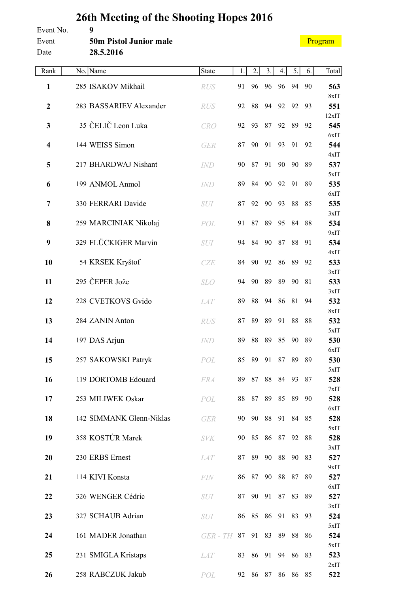| Event No.<br>Event<br>Date | 9<br><b>50m Pistol Junior male</b><br>28.5.2016 |                 |       |          |             |                |                   | Program |              |
|----------------------------|-------------------------------------------------|-----------------|-------|----------|-------------|----------------|-------------------|---------|--------------|
| Rank                       | No. Name                                        | State           | 1.    | 2.       | 3.          | 4.             | 5.                | 6.      | Total        |
| $\mathbf{1}$               | 285 ISAKOV Mikhail                              | <b>RUS</b>      | 91    | 96       | 96          | 96             | 94                | 90      | 563          |
| $\boldsymbol{2}$           | 283 BASSARIEV Alexander                         | <b>RUS</b>      | 92    | 88       | 94          | 92             | 92                | 93      | 8xIT<br>551  |
| 3                          | 35 ČELIČ Leon Luka                              | <b>CRO</b>      | 92    | 93       | 87          | 92             | 89                | 92      | 12xIT<br>545 |
| 4                          | 144 WEISS Simon                                 | <b>GER</b>      | 87    | 90       | 91          | 93             | 91                | 92      | 6xIT<br>544  |
| 5                          | 217 BHARDWAJ Nishant                            | <i>IND</i>      | 90    | 87       | 91          | 90             | 90                | 89      | 4xIT<br>537  |
| 6                          | 199 ANMOL Anmol                                 | <b>IND</b>      | 89    | 84       | 90          | 92             | 91                | 89      | 5xIT<br>535  |
| 7                          | 330 FERRARI Davide                              | <b>SUI</b>      | 87    | 92       | 90          | 93             | 88                | 85      | 6xIT<br>535  |
| 8                          | 259 MARCINIAK Nikolaj                           | POL             | 91    | 87       | 89          | 95             | -84               | 88      | 3xIT<br>534  |
| 9                          | 329 FLÜCKIGER Marvin                            | <b>SUI</b>      |       | 94 84    | 90          | 87             | 88                | 91      | 9xIT<br>534  |
| 10                         | 54 KRSEK Kryštof                                | CZE             | 84    | 90       | 92          | 86             | 89                | 92      | 4xIT<br>533  |
| 11                         | 295 ČEPER Jože                                  | <b>SLO</b>      | 94    | -90      | 89          | 89             | 90                | 81      | 3xIT<br>533  |
| 12                         | 228 CVETKOVS Gvido                              | <b>LAT</b>      | 89    | 88       | 94          | 86             | 81                | 94      | 3xIT<br>532  |
| 13                         | 284 ZANIN Anton                                 | <b>RUS</b>      | 87    | 89       | 89          | 91             | 88                | 88      | 8xIT<br>532  |
| 14                         | 197 DAS Arjun                                   | <i>IND</i>      |       |          |             |                | 89 88 89 85 90 89 |         | 5xIT<br>530  |
| 15                         | 257 SAKOWSKI Patryk                             | POL             |       |          |             | 85 89 91 87 89 |                   | - 89    | 6xIT<br>530  |
| 16                         | 119 DORTOMB Edouard                             | <b>FRA</b>      | 89 87 |          | 88          | 84 93          |                   | 87      | 5xIT<br>528  |
| 17                         | 253 MILIWEK Oskar                               | POL             |       |          |             | 88 87 89 85 89 |                   | 90      | 7xIT<br>528  |
| 18                         | 142 SIMMANK Glenn-Niklas                        | <b>GER</b>      | 90    | - 90     | 88          | 91             | 84                | 85      | 6xIT<br>528  |
| 19                         | 358 KOSTÚR Marek                                | <b>SVK</b>      |       |          | 90 85 86 87 |                | 92                | 88      | 5xIT<br>528  |
| 20                         | 230 ERBS Ernest                                 | <i>LAT</i>      |       |          | 87 89 90    | 88             | 90                | 83      | 3xIT<br>527  |
| 21                         | 114 KIVI Konsta                                 | FIN             |       | 86 87    | 90          | 88             | 87                | 89      | 9xIT<br>527  |
| 22                         | 326 WENGER Cédric                               | <b>SUI</b>      |       | 87 90    | 91          | 87 83          |                   | 89      | 6xIT<br>527  |
| 23                         | 327 SCHAUB Adrian                               | <b>SUI</b>      |       |          | 86 85 86 91 |                | 83                | 93      | 3xIT<br>524  |
| 24                         | 161 MADER Jonathan                              | GER-TH 87 91 83 |       |          |             | 89             | 88                | 86      | 5xIT<br>524  |
| 25                         | 231 SMIGLA Kristaps                             | <i>LAT</i>      |       | 83 86 91 |             | 94             | 86                | 83      | 5xIT<br>523  |
| 26                         | 258 RABCZUK Jakub                               | POL             |       |          | 92 86 87    |                | 86 86 85          |         | 2xIT<br>522  |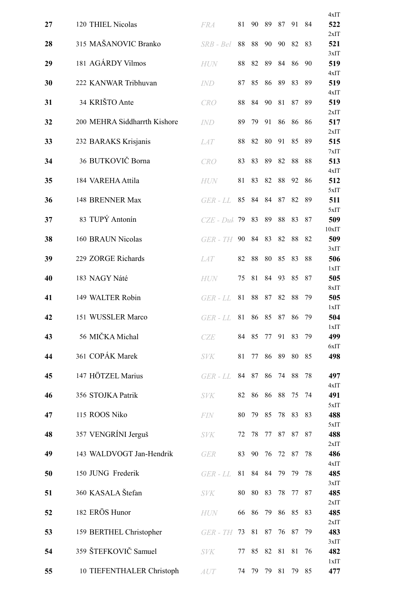|    |                              |                  |    |    |    |    |       |    | 4xIT         |
|----|------------------------------|------------------|----|----|----|----|-------|----|--------------|
| 27 | 120 THIEL Nicolas            | <b>FRA</b>       | 81 | 90 | 89 | 87 | 91    | 84 | 522          |
| 28 | 315 MAŠANOVIC Branko         | SRB - Bel        | 88 | 88 | 90 | 90 | 82    | 83 | 2xIT<br>521  |
| 29 | 181 AGÁRDY Vilmos            | <b>HUN</b>       | 88 | 82 | 89 | 84 | 86    | 90 | 3xIT<br>519  |
| 30 | 222 KANWAR Tribhuvan         | IND              | 87 | 85 | 86 | 89 | 83    | 89 | 4xIT<br>519  |
| 31 | 34 KRIŠTO Ante               | <b>CRO</b>       | 88 | 84 | 90 | 81 | 87    | 89 | 4xIT<br>519  |
| 32 | 200 MEHRA Siddharrth Kishore | <i>IND</i>       | 89 | 79 | 91 | 86 | 86    | 86 | 2xIT<br>517  |
| 33 | 232 BARAKS Krisjanis         | LAT              | 88 | 82 | 80 | 91 | 85    | 89 | 2xIT<br>515  |
| 34 | 36 BUTKOVIČ Borna            | CRO              | 83 | 83 | 89 | 82 | 88    | 88 | 7xIT<br>513  |
| 35 | 184 VAREHA Attila            | HUN              | 81 | 83 | 82 | 88 | 92    | 86 | 4xIT<br>512  |
| 36 | 148 BRENNER Max              | $GER - LI$       | 85 | 84 | 84 | 87 | 82    | 89 | 5xIT<br>511  |
| 37 | 83 TUPÝ Antonín              | $CZE$ - Duk $79$ |    | 83 | 89 | 88 | 83    | 87 | 5xIT<br>509  |
| 38 | 160 BRAUN Nicolas            | GER - TH         | 90 | 84 | 83 | 82 | 88    | 82 | 10xIT<br>509 |
| 39 | 229 ZORGE Richards           | <i>LAT</i>       | 82 | 88 | 80 | 85 | 83    | 88 | 3xIT<br>506  |
| 40 | 183 NAGY Náté                | <b>HUN</b>       | 75 | 81 | 84 | 93 | 85    | 87 | 1xIT<br>505  |
|    |                              |                  |    |    |    |    |       |    | 8xIT         |
| 41 | 149 WALTER Robin             | $GER$ - $LI$ .   | 81 | 88 | 87 | 82 | 88    | 79 | 505<br>1xIT  |
| 42 | 151 WUSSLER Marco            | GER - LL         | 81 | 86 | 85 | 87 | 86    | 79 | 504<br>1xIT  |
| 43 | 56 MIČKA Michal              | <b>CZE</b>       | 84 | 85 | 77 | 91 | 83    | 79 | 499<br>6xIT  |
| 44 | 361 COPÁK Marek              | <b>SVK</b>       | 81 | 77 | 86 | 89 | 80    | 85 | 498          |
| 45 | 147 HÖTZEL Marius            | GER - LL         | 84 | 87 | 86 | 74 | 88    | 78 | 497          |
| 46 | 356 STOJKA Patrik            | <b>SVK</b>       | 82 | 86 | 86 | 88 | 75    | 74 | 4xIT<br>491  |
| 47 | 115 ROOS Niko                | <b>FIN</b>       | 80 | 79 | 85 | 78 | 83    | 83 | 5xIT<br>488  |
| 48 | 357 VENGRÍNI Jerguš          | <b>SVK</b>       | 72 | 78 | 77 | 87 | 87    | 87 | 5xIT<br>488  |
| 49 | 143 WALDVOGT Jan-Hendrik     | <b>GER</b>       | 83 | 90 | 76 | 72 | 87    | 78 | 2xIT<br>486  |
| 50 | 150 JUNG Frederik            | GER - LL         | 81 | 84 | 84 | 79 | 79    | 78 | 4xIT<br>485  |
| 51 | 360 KASALA Štefan            | <b>SVK</b>       | 80 | 80 | 83 | 78 | 77    | 87 | 3xIT<br>485  |
| 52 | 182 ERÖS Hunor               | <b>HUN</b>       | 66 | 86 | 79 |    | 86 85 | 83 | 2xIT<br>485  |
| 53 | 159 BERTHEL Christopher      | <b>GER</b> - TH  | 73 | 81 | 87 | 76 | 87    | 79 | 2xIT<br>483  |
| 54 | 359 ŠTEFKOVIČ Samuel         | <b>SVK</b>       | 77 | 85 | 82 | 81 | 81    | 76 | 3xIT<br>482  |
| 55 | 10 TIEFENTHALER Christoph    | AUT              | 74 | 79 | 79 | 81 | 79    | 85 | 1xIT<br>477  |
|    |                              |                  |    |    |    |    |       |    |              |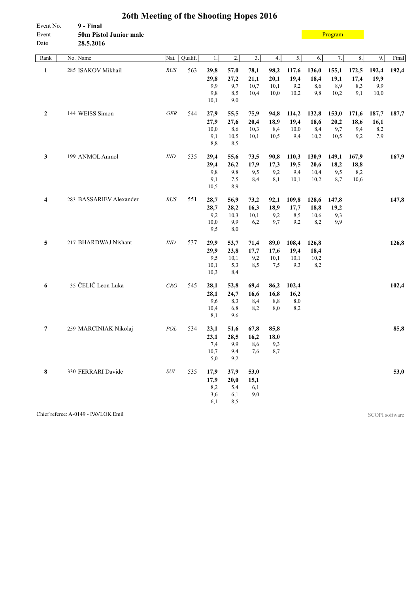| Event No.<br>Event<br>Date | 9 - Final<br>50m Pistol Junior male<br>28.5.2016 |                |         |      |                  |      |      |                  |       | Program |          |       |       |
|----------------------------|--------------------------------------------------|----------------|---------|------|------------------|------|------|------------------|-------|---------|----------|-------|-------|
| Rank                       | No. Name                                         | Nat.           | Qualif. | 1.   | $\overline{2}$ . | 3.   | 4.   | $\overline{5}$ . | 6.    | 7.      | $\bf 8.$ | 9.    | Final |
| $\mathbf{1}$               | 285 ISAKOV Mikhail                               | RUS            | 563     | 29,8 | 57,0             | 78,1 | 98,2 | 117,6            | 136,0 | 155,1   | 172,5    | 192,4 | 192,4 |
|                            |                                                  |                |         | 29,8 | 27,2             | 21,1 | 20,1 | 19,4             | 18,4  | 19,1    | 17,4     | 19,9  |       |
|                            |                                                  |                |         | 9,9  | 9,7              | 10,7 | 10,1 | 9,2              | 8,6   | 8,9     | 8,3      | 9,9   |       |
|                            |                                                  |                |         | 9,8  | 8,5              | 10,4 | 10,0 | 10,2             | 9,8   | 10,2    | 9,1      | 10,0  |       |
|                            |                                                  |                |         | 10,1 | 9,0              |      |      |                  |       |         |          |       |       |
| $\mathbf{2}$               | 144 WEISS Simon                                  | <b>GER</b>     | 544     | 27,9 | 55,5             | 75,9 | 94,8 | 114,2            | 132,8 | 153,0   | 171,6    | 187,7 | 187,7 |
|                            |                                                  |                |         | 27,9 | 27,6             | 20,4 | 18,9 | 19,4             | 18,6  | 20,2    | 18,6     | 16,1  |       |
|                            |                                                  |                |         | 10,0 | 8,6              | 10,3 | 8,4  | 10,0             | 8,4   | 9,7     | 9,4      | 8,2   |       |
|                            |                                                  |                |         | 9,1  | 10,5             | 10,1 | 10,5 | 9,4              | 10,2  | 10,5    | 9,2      | 7,9   |       |
|                            |                                                  |                |         | 8,8  | 8,5              |      |      |                  |       |         |          |       |       |
| 3                          | 199 ANMOL Anmol                                  | <b>IND</b>     | 535     | 29,4 | 55,6             | 73,5 | 90,8 | 110,3            | 130,9 | 149,1   | 167,9    |       | 167,9 |
|                            |                                                  |                |         | 29,4 | 26,2             | 17,9 | 17,3 | 19,5             | 20,6  | 18,2    | 18,8     |       |       |
|                            |                                                  |                |         | 9,8  | 9,8              | 9,5  | 9,2  | 9,4              | 10,4  | 9,5     | 8,2      |       |       |
|                            |                                                  |                |         | 9,1  | 7,5              | 8,4  | 8,1  | 10,1             | 10,2  | 8,7     | 10,6     |       |       |
|                            |                                                  |                |         | 10,5 | 8,9              |      |      |                  |       |         |          |       |       |
| $\overline{\mathbf{4}}$    | 283 BASSARIEV Alexander                          | RUS            | 551     | 28,7 | 56,9             | 73,2 | 92,1 | 109,8            | 128,6 | 147,8   |          |       | 147,8 |
|                            |                                                  |                |         | 28,7 | 28,2             | 16,3 | 18,9 | 17,7             | 18,8  | 19,2    |          |       |       |
|                            |                                                  |                |         | 9,2  | 10,3             | 10,1 | 9,2  | 8,5              | 10,6  | 9,3     |          |       |       |
|                            |                                                  |                |         | 10,0 | 9,9              | 6,2  | 9,7  | 9,2              | 8,2   | 9,9     |          |       |       |
|                            |                                                  |                |         | 9,5  | 8,0              |      |      |                  |       |         |          |       |       |
| 5                          | 217 BHARDWAJ Nishant                             | $\mathit{IND}$ | 537     | 29,9 | 53,7             | 71,4 | 89,0 | 108,4            | 126,8 |         |          |       | 126,8 |
|                            |                                                  |                |         | 29,9 | 23,8             | 17,7 | 17,6 | 19,4             | 18,4  |         |          |       |       |
|                            |                                                  |                |         | 9,5  | 10,1             | 9,2  | 10,1 | 10,1             | 10,2  |         |          |       |       |
|                            |                                                  |                |         | 10,1 | 5,3              | 8,5  | 7,5  | 9,3              | 8,2   |         |          |       |       |
|                            |                                                  |                |         | 10,3 | 8,4              |      |      |                  |       |         |          |       |       |
| 6                          | 35 ČELIČ Leon Luka                               | CRO            | 545     | 28,1 | 52,8             | 69,4 | 86,2 | 102,4            |       |         |          |       | 102,4 |
|                            |                                                  |                |         | 28,1 | 24,7             | 16,6 | 16,8 | 16,2             |       |         |          |       |       |
|                            |                                                  |                |         | 9,6  | 8,3              | 8,4  | 8,8  | $_{\rm 8,0}$     |       |         |          |       |       |
|                            |                                                  |                |         | 10,4 | 6,8              | 8,2  | 8,0  | 8,2              |       |         |          |       |       |
|                            |                                                  |                |         | 8,1  | 9,6              |      |      |                  |       |         |          |       |       |
| 7                          | 259 MARCINIAK Nikolaj                            | POL            | 534     | 23,1 | 51,6             | 67,8 | 85,8 |                  |       |         |          |       | 85,8  |
|                            |                                                  |                |         | 23,1 | 28,5             | 16,2 | 18,0 |                  |       |         |          |       |       |
|                            |                                                  |                |         | 7,4  | 9,9              | 8,6  | 9,3  |                  |       |         |          |       |       |
|                            |                                                  |                |         | 10,7 | 9,4              | 7,6  | 8,7  |                  |       |         |          |       |       |
|                            |                                                  |                |         | 5,0  | 9,2              |      |      |                  |       |         |          |       |       |
| 8                          | 330 FERRARI Davide                               | $\cal SUI$     | 535     | 17,9 | 37,9             | 53,0 |      |                  |       |         |          |       | 53,0  |
|                            |                                                  |                |         | 17,9 | 20,0             | 15,1 |      |                  |       |         |          |       |       |
|                            |                                                  |                |         | 8,2  | 5,4              | 6,1  |      |                  |       |         |          |       |       |
|                            |                                                  |                |         | 3,6  | 6,1              | 9,0  |      |                  |       |         |          |       |       |
|                            |                                                  |                |         | 6,1  | 8,5              |      |      |                  |       |         |          |       |       |

Chief referee: A-0149 - PAVLOK Emil SCOPI software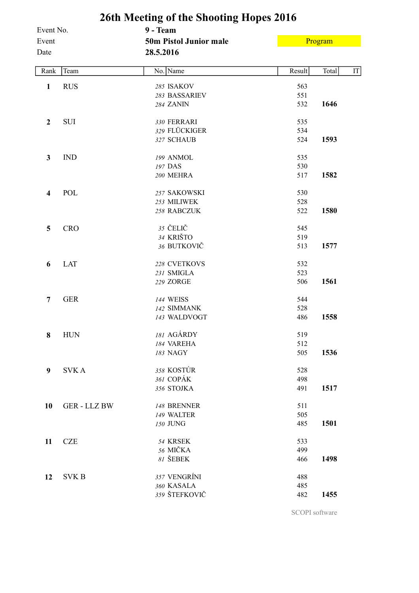|                    |                     | 26th Meeting of the Shooting Hopes 2016   |        |             |
|--------------------|---------------------|-------------------------------------------|--------|-------------|
| Event No.<br>Event |                     | 9 - Team<br><b>50m Pistol Junior male</b> |        | Program     |
| Date               |                     | 28.5.2016                                 |        |             |
| Rank               | Team                | No. Name                                  | Result | Total<br>IT |
| $\mathbf{1}$       | <b>RUS</b>          | 285 ISAKOV                                | 563    |             |
|                    |                     | 283 BASSARIEV                             | 551    |             |
|                    |                     | 284 ZANIN                                 | 532    | 1646        |
| $\boldsymbol{2}$   | <b>SUI</b>          | 330 FERRARI                               | 535    |             |
|                    |                     | 329 FLÜCKIGER                             | 534    |             |
|                    |                     | 327 SCHAUB                                | 524    | 1593        |
| $\mathbf{3}$       | <b>IND</b>          | 199 ANMOL                                 | 535    |             |
|                    |                     | 197 DAS                                   | 530    |             |
|                    |                     | <b>200 MEHRA</b>                          | 517    | 1582        |
| 4                  | POL                 | 257 SAKOWSKI                              | 530    |             |
|                    |                     | 253 MILIWEK                               | 528    |             |
|                    |                     | 258 RABCZUK                               | 522    | 1580        |
| 5                  | <b>CRO</b>          | 35 ČELIČ                                  | 545    |             |
|                    |                     | 34 KRIŠTO                                 | 519    |             |
|                    |                     | 36 BUTKOVIČ                               | 513    | 1577        |
| 6                  | <b>LAT</b>          | 228 CVETKOVS                              | 532    |             |
|                    |                     | 231 SMIGLA                                | 523    |             |
|                    |                     | 229 ZORGE                                 | 506    | 1561        |
| 7                  | <b>GER</b>          | <b>144 WEISS</b>                          | 544    |             |
|                    |                     | 142 SIMMANK                               | 528    |             |
|                    |                     | 143 WALDVOGT                              | 486    | 1558        |
| 8                  | <b>HUN</b>          | 181 AGÁRDY                                | 519    |             |
|                    |                     | 184 VAREHA                                | 512    |             |
|                    |                     | 183 NAGY                                  | 505    | 1536        |
| 9                  | <b>SVKA</b>         | 358 KOSTÚR                                | 528    |             |
|                    |                     | 361 COPÁK                                 | 498    |             |
|                    |                     | 356 STOJKA                                | 491    | 1517        |
| 10                 | <b>GER - LLZ BW</b> | 148 BRENNER                               | 511    |             |
|                    |                     | 149 WALTER                                | 505    |             |
|                    |                     | 150 JUNG                                  | 485    | 1501        |
| 11                 | <b>CZE</b>          | 54 KRSEK                                  | 533    |             |
|                    |                     | 56 MIČKA                                  | 499    |             |
|                    |                     | 81 ŠEBEK                                  | 466    | 1498        |
| 12                 | <b>SVK B</b>        | 357 VENGRÍNI                              | 488    |             |
|                    |                     | 360 KASALA                                | 485    |             |
|                    |                     | 359 ŠTEFKOVIČ                             | 482    | 1455        |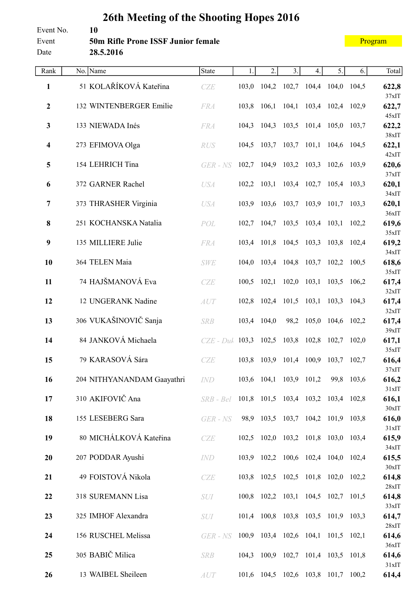#### **26th Meeting of the Shooting Hopes 2016** Event No. **10** Event **50m Rifle Prone ISSF Junior female** Date **28.5.2016** [Program](#page-2-0)

|  |  | and the state of the state of the state of the state of the state of the state of the state of the state of th |
|--|--|----------------------------------------------------------------------------------------------------------------|
|  |  |                                                                                                                |
|  |  |                                                                                                                |
|  |  |                                                                                                                |
|  |  |                                                                                                                |
|  |  |                                                                                                                |
|  |  |                                                                                                                |
|  |  |                                                                                                                |
|  |  |                                                                                                                |
|  |  |                                                                                                                |

| Rank             | No. Name                   | <b>State</b>                                | 1.    | 2.                                  | 3.          | 4.                      | 5.          | 6.          | Total             |
|------------------|----------------------------|---------------------------------------------|-------|-------------------------------------|-------------|-------------------------|-------------|-------------|-------------------|
| $\mathbf{1}$     | 51 KOLAŘÍKOVÁ Kateřina     | CZE                                         | 103,0 | 104,2 102,7 104,4 104,0 104,5       |             |                         |             |             | 622,8             |
| $\boldsymbol{2}$ | 132 WINTENBERGER Emilie    | <b>FRA</b>                                  |       | 103,8 106,1                         |             | 104,1 103,4 102,4 102,9 |             |             | 37xIT<br>622,7    |
| $\mathbf{3}$     | 133 NIEWADA Inés           | <b>FRA</b>                                  | 104,3 | 104,3                               |             | 103,5 101,4 105,0       |             | 103,7       | 45xIT<br>622,2    |
| 4                | 273 EFIMOVA Olga           | RUS                                         | 104,5 | 103,7                               |             | $103,7$ 101,1           | 104,6 104,5 |             | $38x$ IT<br>622,1 |
| 5                | 154 LEHRICH Tina           | $GER$ - $NS$                                |       | 102,7 104,9 103,2 103,3 102,6 103,9 |             |                         |             |             | 42xIT<br>620,6    |
| 6                | 372 GARNER Rachel          | <b>USA</b>                                  |       | $102,2$ $103,1$                     |             | 103,4 102,7 105,4 103,3 |             |             | 37xIT<br>620,1    |
| $\overline{7}$   | 373 THRASHER Virginia      | <b>USA</b>                                  |       | 103,9 103,6                         | 103,7 103,9 |                         | 101,7       | 103,3       | 34xIT<br>620,1    |
| 8                | 251 KOCHANSKA Natalia      | POL                                         | 102,7 | 104,7                               |             | 103,5 103,4 103,1 102,2 |             |             | 36xIT<br>619,6    |
| 9                | 135 MILLIERE Julie         | <b>FRA</b>                                  |       | 103,4 101,8 104,5 103,3 103,8 102,4 |             |                         |             |             | 35xIT<br>619,2    |
| 10               | 364 TELEN Maia             | <b>SWE</b>                                  |       | 104,0 103,4 104,8 103,7 102,2 100,5 |             |                         |             |             | 34xIT<br>618,6    |
| 11               | 74 HAJŠMANOVÁ Eva          | CZE                                         | 100,5 | 102,1                               |             | $102,0$ $103,1$         |             | 103,5 106,2 | 35xIT<br>617,4    |
| 12               | 12 UNGERANK Nadine         | AUT                                         |       | 102,8 102,4 101,5 103,1 103,3 104,3 |             |                         |             |             | 32xIT<br>617,4    |
| 13               | 306 VUKAŠINOVIČ Sanja      | <b>SRB</b>                                  |       | 103,4 104,0                         |             | 98,2 105,0              | 104,6 102,2 |             | 32xIT<br>617,4    |
| 14               | 84 JANKOVÁ Michaela        | $CZE$ - $Duh$                               |       | 103,3 102,5 103,8 102,8 102,7 102,0 |             |                         |             |             | 39xIT<br>617,1    |
| 15               | 79 KARASOVÁ Sára           | CZE                                         |       | 103,8 103,9 101,4 100,9             |             |                         | 103,7 102,7 |             | 35xIT<br>616,4    |
| 16               | 204 NITHYANANDAM Gaayathri | IND                                         |       | 103,6 104,1                         |             | 103,9 101,2             |             | 99,8 103,6  | 37xIT<br>616,2    |
| 17               | 310 AKIFOVIČ Ana           | SRB-Bel 101,8 101,5 103,4 103,2 103,4 102,8 |       |                                     |             |                         |             |             | 31xIT<br>616,1    |
| 18               | 155 LESEBERG Sara          |                                             |       | 98,9 103,5 103,7 104,2 101,9 103,8  |             |                         |             |             | 30xIT<br>616,0    |
|                  |                            | GER - NS                                    |       |                                     |             |                         |             |             | 31xIT             |
| 19               | 80 MICHÁLKOVÁ Kateřina     | CZE                                         |       | 102,5 102,0 103,2 101,8 103,0 103,4 |             |                         |             |             | 615,9<br>34xIT    |
| 20               | 207 PODDAR Ayushi          | <i>IND</i>                                  |       | 103,9 102,2 100,6 102,4 104,0 102,4 |             |                         |             |             | 615,5<br>30xIT    |
| 21               | 49 FOISTOVÁ Nikola         | CZE                                         |       | 103,8 102,5 102,5 101,8 102,0 102,2 |             |                         |             |             | 614,8<br>28xIT    |
| 22               | 318 SUREMANN Lisa          | <b>SUI</b>                                  |       | 100,8 102,2 103,1 104,5 102,7 101,5 |             |                         |             |             | 614,8<br>33xIT    |
| 23               | 325 IMHOF Alexandra        | <b>SUI</b>                                  |       | 101,4 100,8 103,8 103,5 101,9 103,3 |             |                         |             |             | 614,7             |
| 24               | 156 RUSCHEL Melissa        | $GER$ - $NS$                                |       | 100,9 103,4 102,6 104,1 101,5 102,1 |             |                         |             |             | 28xIT<br>614,6    |
| 25               | 305 BABIČ Milica           | <b>SRB</b>                                  |       | 104,3 100,9 102,7 101,4 103,5 101,8 |             |                         |             |             | 36xIT<br>614,6    |
| 26               | 13 WAIBEL Sheileen         | AUT                                         |       | 101,6 104,5 102,6 103,8 101,7 100,2 |             |                         |             |             | 31xIT<br>614,4    |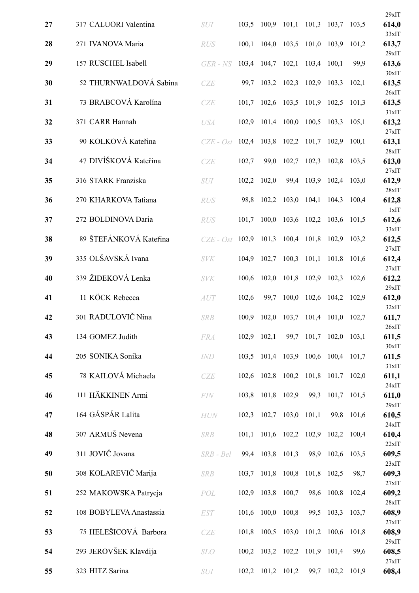|    |                         |                                                |       |                   |                               |             |                                     |             | 29xIT             |
|----|-------------------------|------------------------------------------------|-------|-------------------|-------------------------------|-------------|-------------------------------------|-------------|-------------------|
| 27 | 317 CALUORI Valentina   | <b>SUI</b>                                     | 103,5 |                   | $100,9$ $101,1$               |             | 101,3 103,7 103,5                   |             | 614,0<br>33xIT    |
| 28 | 271 IVANOVA Maria       | <b>RUS</b>                                     | 100,1 | 104,0             | 103,5                         | 101,0 103,9 |                                     | 101,2       | 613,7             |
| 29 | 157 RUSCHEL Isabell     | GER - NS                                       | 103,4 | 104,7             | 102,1                         | 103,4       | 100,1                               | 99,9        | 29xIT<br>613,6    |
| 30 | 52 THURNWALDOVÁ Sabina  | <b>CZE</b>                                     | 99,7  |                   | 103,2 102,3                   | 102,9       | 103,3                               | 102,1       | $30x$ IT<br>613,5 |
| 31 | 73 BRABCOVÁ Karolína    | CZE                                            | 101,7 |                   | 102,6 103,5                   |             | 101,9 102,5                         | 101,3       | 26xIT<br>613,5    |
| 32 | 371 CARR Hannah         | <b>USA</b>                                     | 102,9 |                   | 101,4 100,0                   | 100,5       | 103,3                               | 105,1       | 31xIT<br>613,2    |
| 33 | 90 KOLKOVÁ Kateřina     | $CZE - Ost$                                    | 102,4 |                   | 103,8 102,2                   | 101,7       | 102,9                               | 100,1       | 27xIT<br>613,1    |
| 34 | 47 DIVÍŠKOVÁ Kateřina   | CZE                                            | 102,7 | 99,0              | 102,7                         | 102,3       | 102,8                               | 103,5       | 28xIT<br>613,0    |
| 35 | 316 STARK Franziska     | SUI                                            | 102,2 | 102,0             | 99,4                          | 103,9       | 102,4 103,0                         |             | 27xIT<br>612,9    |
| 36 | 270 KHARKOVA Tatiana    | <b>RUS</b>                                     | 98,8  |                   | 102,2 103,0                   | 104,1       | 104,3                               | 100,4       | 28xIT<br>612,8    |
| 37 | 272 BOLDINOVA Daria     | <b>RUS</b>                                     | 101,7 | 100,0             |                               | 103,6 102,2 | 103,6                               | 101,5       | 1xIT<br>612,6     |
| 38 | 89 ŠTEFÁNKOVÁ Kateřina  | $CZE - Ost$                                    | 102,9 |                   | 101,3 100,4 101,8             |             | 102,9 103,2                         |             | 33xIT<br>612,5    |
| 39 | 335 OLŠAVSKÁ Ivana      | <b>SVK</b>                                     | 104,9 |                   | 102,7 100,3                   | 101,1       | 101,8                               | 101,6       | 27xIT<br>612,4    |
| 40 | 339 ŽIDEKOVÁ Lenka      | <b>SVK</b>                                     | 100,6 | 102,0             | 101,8                         | 102,9       | 102,3                               | 102,6       | 27xIT<br>612,2    |
| 41 | 11 KÖCK Rebecca         | AUT                                            | 102,6 | 99,7              | 100,0                         |             | 102,6 104,2                         | 102,9       | 29xIT<br>612,0    |
| 42 | 301 RADULOVIČ Nina      | <b>SRB</b>                                     | 100,9 | 102,0             | 103,7                         | 101,4       | 101,0                               | 102,7       | 32xIT<br>611,7    |
| 43 | 134 GOMEZ Judith        | <b>FRA</b>                                     |       | 102,9 102,1       |                               |             | 99,7 101,7 102,0 103,1              |             | 26xIT<br>611,5    |
| 44 | 205 SONIKA Sonika       | IND                                            |       |                   |                               |             | 103,5 101,4 103,9 100,6 100,4 101,7 |             | 30xIT<br>611,5    |
| 45 | 78 KAILOVÁ Michaela     | CZE                                            | 102,6 |                   |                               |             | 102,8 100,2 101,8 101,7 102,0       |             | 31xIT<br>611,1    |
| 46 | 111 HÄKKINEN Armi       | FIN                                            |       | 103,8 101,8 102,9 |                               |             | 99,3 101,7 101,5                    |             | 24xIT<br>611,0    |
| 47 | 164 GÁSPÁR Lalita       | <b>HUN</b>                                     | 102,3 |                   | $102,7$ 103,0                 | 101,1       |                                     | 99,8 101,6  | 29xIT<br>610,5    |
| 48 | 307 ARMUŠ Nevena        | <b>SRB</b>                                     | 101,1 |                   | 101,6 102,2 102,9             |             | 102,2 100,4                         |             | 24xIT<br>610,4    |
| 49 | 311 JOVIČ Jovana        | SRB - Bel                                      |       | 99,4 103,8 101,3  |                               |             | 98,9 102,6 103,5                    |             | 22xIT<br>609,5    |
| 50 | 308 KOLAREVIČ Marija    | <b>SRB</b>                                     | 103,7 |                   | 101,8 100,8                   |             | 101,8 102,5                         | 98,7        | 23xIT<br>609,3    |
| 51 | 252 MAKOWSKA Patrycja   | POL                                            | 102,9 | 103,8 100,7       |                               |             | 98,6 100,8 102,4                    |             | 27xIT<br>609,2    |
| 52 | 108 BOBYLEVA Anastassia | <b>EST</b>                                     |       | 101,6 100,0 100,8 |                               |             | 99,5 103,3                          | 103,7       | 28xIT<br>608,9    |
| 53 | 75 HELEŠICOVÁ Barbora   | CZE                                            |       |                   | 101,8 100,5 103,0             |             | 101,2 100,6 101,8                   |             | 27xIT<br>608,9    |
| 54 | 293 JEROVŠEK Klavdija   | <b>SLO</b>                                     |       |                   | 100,2 103,2 102,2 101,9 101,4 |             |                                     | 99,6        | 29xIT<br>608,5    |
| 55 | 323 HITZ Sarina         | $\boldsymbol{S}\boldsymbol{U}\!\boldsymbol{I}$ |       | 102,2 101,2 101,2 |                               | 99,7        |                                     | 102,2 101,9 | 27xIT<br>608,4    |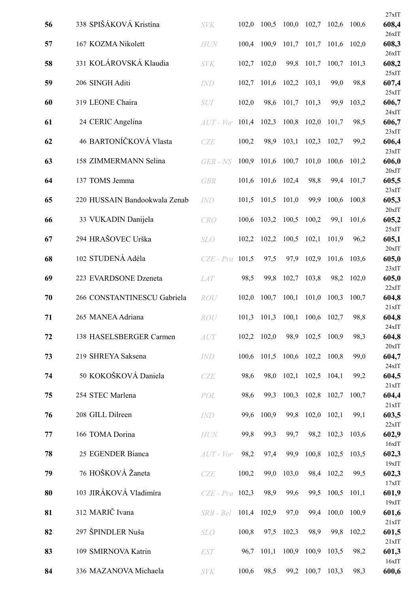|    |                               |               |       |             |       |             |               |             | 27xIT             |
|----|-------------------------------|---------------|-------|-------------|-------|-------------|---------------|-------------|-------------------|
| 56 | 338 SPIŠÁKOVÁ Kristína        | <b>SVK</b>    | 102,0 | 100,5       | 100,0 | 102,7       | 102,6         | 100.6       | 608,4<br>26xIT    |
| 57 | 167 KOZMA Nikolett            | <b>HUN</b>    | 100,4 | 100,9       | 101,7 | 101,7       | 101,6         | 102,0       | 608,3             |
| 58 | 331 KOLÁROVSKÁ Klaudia        | <b>SVK</b>    | 102,7 | 102,0       | 99,8  | 101,7       | 100,7         | 101,3       | 26xIT<br>608,2    |
| 59 | 206 SINGH Aditi               | <b>IND</b>    | 102,7 | 101,6       | 102,2 | 103,1       | 99,0          | 98,8        | 25xIT<br>607,4    |
| 60 | 319 LEONE Chaira              | <b>SUI</b>    | 102,0 | 98,6        | 101,7 | 101,3       | 99,9          | 103,2       | 25xIT<br>606,7    |
| 61 | 24 CERIC Angelina             | $AUT$ - $Vor$ | 101,4 | 102,3       | 100,8 | 102,0       | 101,7         | 98,5        | 24xIT<br>606,7    |
| 62 | 46 BARTONÍČKOVÁ Vlasta        | <b>CZE</b>    | 100,2 | 98,9        | 103,1 | 102,3       | 102,7         | 99,2        | 23xIT<br>606,4    |
| 63 | 158 ZIMMERMANN Selina         | GER - NS      | 100,9 | 101,6       | 100,7 | 101,0       | 100,6         | 101,2       | 23xIT<br>606,0    |
| 64 | 137 TOMS Jemma                | <b>GBR</b>    | 101,6 | 101,6       | 102,4 | 98,8        | 99,4          | 101,7       | 20xIT<br>605,5    |
| 65 | 220 HUSSAIN Bandookwala Zenab | <b>IND</b>    | 101,5 | 101,5       | 101,0 | 99,9        | 100,6         | 100,8       | 23xIT<br>605,3    |
| 66 | 33 VUKADIN Danijela           | <b>CRO</b>    | 100,6 | 103,2       | 100,5 | 100,2       | 99,1          | 101,6       | $20x$ IT<br>605,2 |
| 67 | 294 HRAŠOVEC Urška            | <b>SLO</b>    | 102,2 | 102,2       | 100,5 | 102,1       | 101,9         | 96,2        | 25xIT<br>605,1    |
| 68 | 102 STUDENÁ Adéla             | $CZE$ - $Pra$ | 101,5 | 97,5        | 97,9  | 102,9       | 101,6         | 103,6       | 20xIT<br>605,0    |
| 69 | 223 EVARDSONE Dzeneta         | <b>LAT</b>    | 98,5  | 99,8        | 102,7 | 103,8       | 98,2          | 102,0       | 23xIT<br>605,0    |
| 70 | 266 CONSTANTINESCU Gabriela   | <b>ROU</b>    | 102,0 | 100,7       | 100,1 | 101,0       | 100,3         | 100,7       | 22xIT<br>604,8    |
| 71 | 265 MANEA Adriana             | ROU           | 101,3 | 101,3       | 100,1 | 100,6       | 102,7         | 98,8        | 21xIT<br>604,8    |
| 72 | 138 HASELSBERGER Carmen       | AUT           |       | 102,2 102,0 | 98,9  | 102,5 100,9 |               | 98,3        | 24xIT<br>604,8    |
| 73 | 219 SHREYA Saksena            | <b>IND</b>    | 100,6 | 101,5       | 100,6 | 102,2 100,8 |               | 99,0        | 20xIT<br>604,7    |
| 74 | 50 KOKOŠKOVÁ Daniela          | CZE           | 98,6  | 98,0        | 102,1 | 102,5       | 104,1         | 99,2        | 24xIT<br>604,5    |
| 75 | 254 STEC Marlena              | POL           | 98,6  | 99,3        | 100,3 |             | 102,8 102,7   | 100,7       | 21xIT<br>604,4    |
| 76 | 208 GILL Dilreen              | IND           | 99,6  | 100,9       | 99,8  |             | $102,0$ 102,1 | 99,1        | 21xIT<br>603,5    |
| 77 | 166 TOMA Dorina               | <b>HUN</b>    | 99,8  | 99,3        | 99,7  | 98,2        | 102,3         | 103,6       | 22xIT<br>602,9    |
| 78 | 25 EGENDER Bianca             | $AUT$ - $Vor$ | 98,2  | 97,4        | 99,9  | 100,8       | 102,5         | 103,5       | 16xIT<br>602,3    |
| 79 | 76 HOŠKOVÁ Žaneta             | CZE           | 100,2 | 99,0        | 103,0 |             | 98,4 102,2    | 99,5        | 19xIT<br>602,3    |
| 80 | 103 JIRÁKOVÁ Vladimíra        | $CZE$ - $Pra$ | 102,3 | 98,9        | 99,6  | 99,5        | 100,5         | 101,1       | 17xIT<br>601,9    |
| 81 | 312 MARIČ Ivana               | $SRB - Bel$   | 101,4 | 102,9       | 97,0  | 99,4        |               | 100,0 100,9 | 19xIT<br>601,6    |
| 82 | 297 ŠPINDLER Nuša             | <b>SLO</b>    | 100,8 | 97,5        | 102,3 | 98,9        | 99,8          | 102,2       | 21xIT<br>601,5    |
| 83 | 109 SMIRNOVA Katrin           | <b>EST</b>    | 96,7  | 101,1       | 100,9 | 100,9       | 103,5         | 98,2        | 21xIT<br>601,3    |
| 84 | 336 MAZANOVA Michaela         | SVK           | 100,6 | 98,5        | 99,2  | 100,7       | 103,3         | 98,3        | 16xIT<br>600,6    |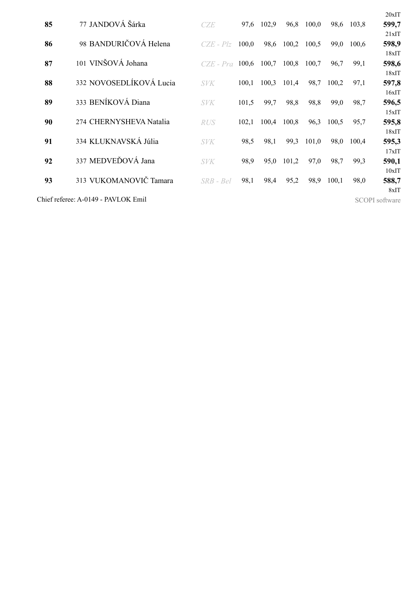|    |                                     |               |       |       |       |       |       |       | 20xIT                 |
|----|-------------------------------------|---------------|-------|-------|-------|-------|-------|-------|-----------------------|
| 85 | 77 JANDOVÁ Šárka                    | CZE           | 97,6  | 102,9 | 96,8  | 100,0 | 98,6  | 103,8 | 599,7                 |
|    |                                     |               |       |       |       |       |       |       | 21xIT                 |
| 86 | 98 BANDURIČOVÁ Helena               | $CZE - Plz$   | 100,0 | 98,6  | 100,2 | 100,5 | 99.0  | 100.6 | 598,9                 |
|    |                                     |               |       |       |       |       |       |       | 18xIT                 |
| 87 | 101 VINŠOVÁ Johana                  | $CZE$ - $Pro$ | 100,6 | 100,7 | 100,8 | 100,7 | 96,7  | 99,1  | 598,6                 |
|    |                                     |               |       |       |       |       |       |       | 18xIT                 |
| 88 | 332 NOVOSEDLÍKOVÁ Lucia             | <b>SVK</b>    | 100,1 | 100,3 | 101,4 | 98,7  | 100,2 | 97,1  | 597,8                 |
|    |                                     |               |       |       |       |       |       |       | 16xIT                 |
| 89 | 333 BENÍKOVÁ Diana                  | <b>SVK</b>    | 101,5 | 99,7  | 98,8  | 98,8  | 99,0  | 98,7  | 596,5                 |
|    |                                     |               |       |       |       |       |       |       | 15xIT                 |
| 90 | 274 CHERNYSHEVA Natalia             | <i>RUS</i>    | 102,1 | 100,4 | 100,8 | 96,3  | 100,5 | 95,7  | 595,8                 |
|    |                                     |               |       |       |       |       |       |       | 18xIT                 |
| 91 | 334 KLUKNAVSKÁ Júlia                | <b>SVK</b>    | 98,5  | 98,1  | 99,3  | 101,0 | 98,0  | 100.4 | 595,3                 |
|    |                                     |               |       |       |       |       |       |       | 17xIT                 |
| 92 | 337 MEDVEĎOVÁ Jana                  | <b>SVK</b>    | 98,9  | 95,0  | 101,2 | 97,0  | 98,7  | 99,3  | 590,1                 |
|    |                                     |               |       |       |       |       |       |       | 10xIT                 |
| 93 | 313 VUKOMANOVIČ Tamara              | $SRB - Bel$   | 98,1  | 98,4  | 95,2  | 98,9  | 100,1 | 98,0  | 588,7                 |
|    |                                     |               |       |       |       |       |       |       | 8xIT                  |
|    | Chief referee: A-0149 - PAVLOK Emil |               |       |       |       |       |       |       | <b>SCOPI</b> software |
|    |                                     |               |       |       |       |       |       |       |                       |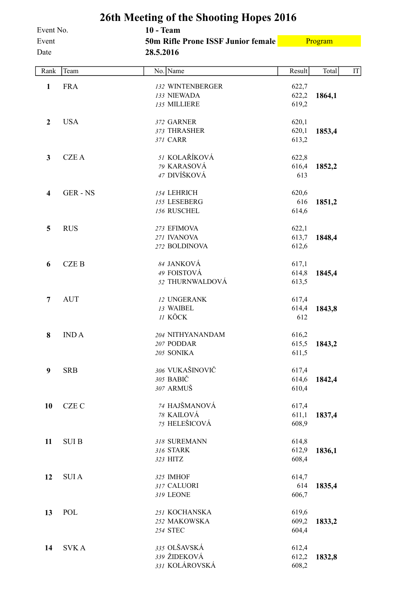|              |               | 26th Meeting of the Shooting Hopes 2016 |        |         |    |
|--------------|---------------|-----------------------------------------|--------|---------|----|
| Event No.    |               | <b>10 - Team</b>                        |        |         |    |
| Event        |               | 50m Rifle Prone ISSF Junior female      |        | Program |    |
| Date         |               | 28.5.2016                               |        |         |    |
| Rank         | Team          | No. Name                                | Result | Total   | IT |
| $\mathbf{1}$ | <b>FRA</b>    | 132 WINTENBERGER                        | 622,7  |         |    |
|              |               | 133 NIEWADA                             | 622,2  | 1864,1  |    |
|              |               | 135 MILLIERE                            | 619,2  |         |    |
| $\mathbf{2}$ | <b>USA</b>    | 372 GARNER                              | 620,1  |         |    |
|              |               | 373 THRASHER                            | 620,1  | 1853,4  |    |
|              |               | 371 CARR                                | 613,2  |         |    |
| $\mathbf{3}$ | <b>CZEA</b>   | 51 KOLAŘÍKOVÁ                           | 622,8  |         |    |
|              |               | 79 KARASOVÁ                             | 616,4  | 1852,2  |    |
|              |               | 47 DIVÍŠKOVÁ                            | 613    |         |    |
| 4            | <b>GER-NS</b> | 154 LEHRICH                             | 620,6  |         |    |
|              |               | 155 LESEBERG                            | 616    | 1851,2  |    |
|              |               | 156 RUSCHEL                             | 614,6  |         |    |
| 5            | <b>RUS</b>    | 273 EFIMOVA                             | 622,1  |         |    |
|              |               | 271 IVANOVA                             | 613,7  | 1848,4  |    |
|              |               | 272 BOLDINOVA                           | 612,6  |         |    |
| 6            | <b>CZEB</b>   | 84 JANKOVÁ                              | 617,1  |         |    |
|              |               | 49 FOISTOVÁ                             | 614,8  | 1845,4  |    |
|              |               | 52 THURNWALDOVÁ                         | 613,5  |         |    |
| 7            | <b>AUT</b>    | 12 UNGERANK                             | 617,4  |         |    |
|              |               | 13 WAIBEL                               | 614,4  | 1843,8  |    |
|              |               | 11 KÖCK                                 | 612    |         |    |
| 8            | <b>INDA</b>   | 204 NITHYANANDAM                        | 616,2  |         |    |
|              |               | 207 PODDAR                              | 615,5  | 1843,2  |    |
|              |               | 205 SONIKA                              | 611,5  |         |    |
| 9            | <b>SRB</b>    | 306 VUKAŠINOVIČ                         | 617,4  |         |    |
|              |               | 305 BABIČ                               | 614,6  | 1842,4  |    |
|              |               | 307 ARMUŠ                               | 610,4  |         |    |
| 10           | <b>CZE C</b>  | 74 HAJŠMANOVÁ                           | 617,4  |         |    |
|              |               | 78 KAILOVÁ                              | 611,1  | 1837,4  |    |
|              |               | 75 HELEŠICOVÁ                           | 608,9  |         |    |
| 11           | <b>SUIB</b>   | 318 SUREMANN                            | 614,8  |         |    |
|              |               | 316 STARK                               | 612,9  | 1836,1  |    |
|              |               | 323 HITZ                                | 608,4  |         |    |
| 12           | <b>SUIA</b>   | 325 IMHOF                               | 614,7  |         |    |
|              |               | 317 CALUORI                             | 614    | 1835,4  |    |
|              |               | 319 LEONE                               | 606,7  |         |    |
| 13           | POL           | 251 KOCHANSKA                           | 619,6  |         |    |
|              |               | 252 MAKOWSKA                            | 609,2  | 1833,2  |    |
|              |               | 254 STEC                                | 604,4  |         |    |
| 14           | <b>SVKA</b>   | 335 OLŠAVSKÁ                            | 612,4  |         |    |
|              |               | 339 ŽIDEKOVÁ                            | 612,2  | 1832,8  |    |
|              |               | 331 KOLÁROVSKÁ                          | 608,2  |         |    |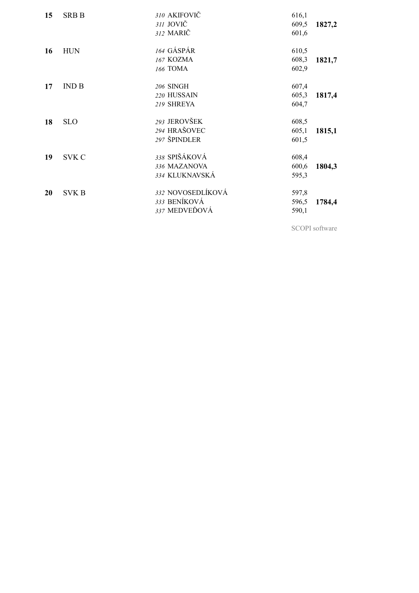| 15 | <b>SRB B</b> | 310 AKIFOVIČ<br>311 JOVIČ<br>312 MARIČ             | 616,1<br>609,5<br>601,6 | 1827,2 |
|----|--------------|----------------------------------------------------|-------------------------|--------|
| 16 | <b>HUN</b>   | 164 GÁSPÁR<br>167 KOZMA<br>166 TOMA                | 610,5<br>608,3<br>602,9 | 1821,7 |
| 17 | IND B        | 206 SINGH<br>220 HUSSAIN<br>219 SHREYA             | 607,4<br>605,3<br>604,7 | 1817,4 |
| 18 | <b>SLO</b>   | 293 JEROVŠEK<br>294 HRAŠOVEC<br>297 ŠPINDLER       | 608,5<br>605,1<br>601,5 | 1815,1 |
| 19 | <b>SVK C</b> | 338 SPIŠÁKOVÁ<br>336 MAZANOVA<br>334 KLUKNAVSKÁ    | 608,4<br>600,6<br>595,3 | 1804,3 |
| 20 | <b>SVK B</b> | 332 NOVOSEDLÍKOVÁ<br>333 BENÍKOVÁ<br>337 MEDVEĎOVÁ | 597,8<br>596,5<br>590,1 | 1784,4 |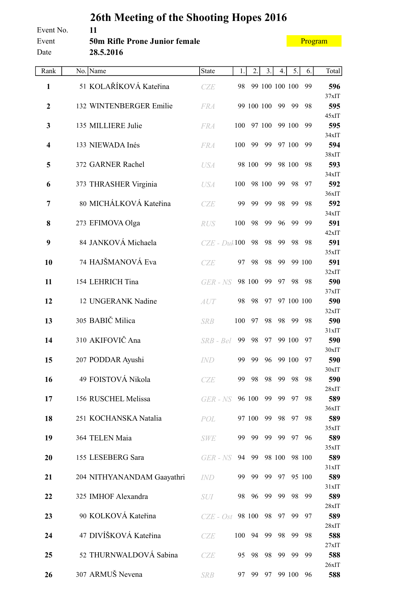## **26th Meeting of the Shooting Hopes 2016** Event No. **11** Event **50m Rifle Prone Junior female** Date **28.5.2016**

| Rank                    | No. Name                   | <b>State</b>      | 1.  | 2.     | 3.         | 4.             | 5.         | 6.     | Total           |
|-------------------------|----------------------------|-------------------|-----|--------|------------|----------------|------------|--------|-----------------|
| $\mathbf{1}$            | 51 KOLAŘÍKOVÁ Kateřina     | CZE               | 98  |        |            | 99 100 100 100 |            | 99     | 596             |
| $\mathbf{2}$            |                            |                   |     |        |            |                |            |        | 37xIT           |
|                         | 132 WINTENBERGER Emilie    | <b>FRA</b>        |     |        | 99 100 100 | 99             | 99         | 98     | 595<br>45xIT    |
| 3                       | 135 MILLIERE Julie         | <b>FRA</b>        | 100 |        | 97 100     |                | 99 100     | 99     | 595             |
| $\overline{\mathbf{4}}$ | 133 NIEWADA Inés           | <b>FRA</b>        | 100 | 99     | 99         |                | 97 100     | 99     | 34xIT<br>594    |
|                         |                            |                   |     |        |            |                |            |        | 38xIT           |
| 5                       | 372 GARNER Rachel          | <b>USA</b>        |     | 98 100 | 99         |                | 98 100     | 98     | 593             |
| 6                       | 373 THRASHER Virginia      | <b>USA</b>        | 100 |        | 98 100     | 99             | 98         | 97     | 34xIT<br>592    |
|                         |                            |                   |     |        |            |                |            |        | 36xIT           |
| $\overline{7}$          | 80 MICHÁLKOVÁ Kateřina     | CZE               | 99  | 99     | 99         | 98             | 99         | 98     | 592<br>34xIT    |
| 8                       | 273 EFIMOVA Olga           | <b>RUS</b>        | 100 | 98     | 99         | 96             | 99         | 99     | 591             |
|                         |                            |                   |     |        |            |                |            |        | $42x$ IT        |
| 9                       | 84 JANKOVÁ Michaela        | $CZE$ - Dul $100$ |     | 98     | 98         | 99             | 98         | 98     | 591<br>35xIT    |
| 10                      | 74 HAJŠMANOVÁ Eva          | CZE               | 97  | 98     | 98         | 99             |            | 99 100 | 591             |
| 11                      | 154 LEHRICH Tina           | GER - NS          |     | 98 100 | 99         | 97             | 98         | 98     | 32xIT<br>590    |
|                         |                            |                   |     |        |            |                |            |        | 37xIT           |
| 12                      | 12 UNGERANK Nadine         | AUT               | 98  | 98     | 97         |                | 97 100 100 |        | 590             |
| 13                      | 305 BABIČ Milica           | <b>SRB</b>        | 100 | 97     | 98         | 98             | 99         | 98     | 32xIT<br>590    |
|                         |                            |                   |     |        |            |                |            |        | 31xIT           |
| 14                      | 310 AKIFOVIČ Ana           | SRB - Bel         | 99  | 98     | 97         |                | 99 100     | 97     | 590<br>$30x$ IT |
| 15                      | 207 PODDAR Ayushi          | <b>IND</b>        | 99  | 99     | 96         |                | 99 100     | 97     | 590             |
|                         |                            |                   |     |        |            |                |            |        | 30xIT           |
| 16                      | 49 FOISTOVÁ Nikola         | CZE               | 99  | 98     | 98         | 99             | 98         | 98     | 590<br>28xIT    |
| 17                      | 156 RUSCHEL Melissa        | GER - NS          |     | 96 100 | 99         | 99             | 97         | 98     | 589             |
|                         |                            |                   |     |        |            |                |            |        | 36xIT           |
| 18                      | 251 KOCHANSKA Natalia      | POL               |     | 97 100 | 99         | 98             | 97         | 98     | 589<br>35xIT    |
| 19                      | 364 TELEN Maia             | <b>SWE</b>        | 99  | 99     | 99         | 99             | 97         | 96     | 589             |
| 20                      | 155 LESEBERG Sara          | GER - NS          | 94  | 99     |            | 98 100         |            | 98 100 | 35xIT<br>589    |
|                         |                            |                   |     |        |            |                |            |        | 31xIT           |
| 21                      | 204 NITHYANANDAM Gaayathri | <i>IND</i>        | 99  | 99     | 99         | 97             |            | 95 100 | 589             |
| 22                      | 325 IMHOF Alexandra        | <b>SUI</b>        |     | 98 96  | 99         | 99             | 98         | 99     | 31xIT<br>589    |
|                         |                            |                   |     |        |            |                |            |        | 28xIT           |
| 23                      | 90 KOLKOVÁ Kateřina        | $CZE - Ost$       |     | 98 100 | 98         | 97             | 99         | 97     | 589             |
| 24                      | 47 DIVÍŠKOVÁ Kateřina      | CZE               | 100 | 94     | 99         | 98             | 99         | 98     | 28xIT<br>588    |
|                         |                            |                   |     |        |            |                |            |        | 27xIT           |
| 25                      | 52 THURNWALDOVÁ Sabina     | CZE               | 95  | 98     | 98         | 99             | 99         | 99     | 588<br>26xIT    |
| 26                      | 307 ARMUŠ Nevena           | <b>SRB</b>        | 97  | 99     | 97         |                | 99 100     | 96     | 588             |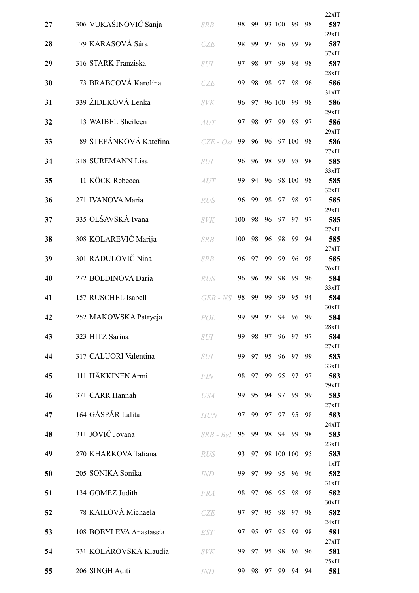| 27 | 306 VUKAŠINOVIČ Sanja   | <b>SRB</b>  | 98  | 99 |    | 93 100 | 99         | 98 | 22xIT<br>587 |
|----|-------------------------|-------------|-----|----|----|--------|------------|----|--------------|
| 28 | 79 KARASOVÁ Sára        | CZE         | 98  | 99 | 97 | 96     | 99         | 98 | 39xIT<br>587 |
| 29 | 316 STARK Franziska     |             | 97  | 98 | 97 | 99     | 98         | 98 | 37xIT<br>587 |
|    |                         | <b>SUI</b>  |     |    |    |        |            |    | 28xIT        |
| 30 | 73 BRABCOVÁ Karolína    | CZE         | 99  | 98 | 98 | 97     | 98         | 96 | 586<br>31xIT |
| 31 | 339 ŽIDEKOVÁ Lenka      | <b>SVK</b>  | 96  | 97 |    | 96 100 | 99         | 98 | 586          |
| 32 | 13 WAIBEL Sheileen      | <i>AUT</i>  | 97  | 98 | 97 | 99     | 98         | 97 | 29xIT<br>586 |
|    | 89 ŠTEFÁNKOVÁ Kateřina  |             |     |    |    |        |            |    | 29xIT        |
| 33 |                         | $CZE - Ost$ | 99  | 96 | 96 |        | 97 100     | 98 | 586<br>27xIT |
| 34 | 318 SUREMANN Lisa       | <b>SUI</b>  | 96  | 96 | 98 | 99     | 98         | 98 | 585<br>33xIT |
| 35 | 11 KÖCK Rebecca         | AUT         | 99  | 94 | 96 |        | 98 100     | 98 | 585          |
| 36 | 271 IVANOVA Maria       | <b>RUS</b>  | 96  | 99 | 98 | 97     | 98         | 97 | 32xIT<br>585 |
|    |                         |             |     |    |    |        |            |    | 29xIT        |
| 37 | 335 OLŠAVSKÁ Ivana      | <b>SVK</b>  | 100 | 98 | 96 | 97     | 97         | 97 | 585<br>27xIT |
| 38 | 308 KOLAREVIČ Marija    | <b>SRB</b>  | 100 | 98 | 96 | 98     | 99         | 94 | 585          |
| 39 | 301 RADULOVIČ Nina      | <b>SRB</b>  | 96  | 97 | 99 | 99     | 96         | 98 | 27xIT<br>585 |
| 40 | 272 BOLDINOVA Daria     | <b>RUS</b>  | 96  | 96 | 99 | 98     | 99         | 96 | 26xIT<br>584 |
|    |                         |             |     |    |    |        |            |    | 33xIT        |
| 41 | 157 RUSCHEL Isabell     | GER - NS    | 98  | 99 | 99 | 99     | 95         | 94 | 584<br>30xIT |
| 42 | 252 MAKOWSKA Patrycja   | POL         | 99  | 99 | 97 | 94     | 96         | 99 | 584          |
| 43 | 323 HITZ Sarina         | <i>SUI</i>  | 99  | 98 | 97 | 96     | 97         | 97 | 28xIT<br>584 |
|    |                         |             |     |    |    |        |            |    | 27xIT        |
| 44 | 317 CALUORI Valentina   | <b>SUI</b>  | 99  | 97 | 95 | 96     | 97         | 99 | 583<br>33xIT |
| 45 | 111 HÄKKINEN Armi       | <b>FIN</b>  | 98  | 97 | 99 | 95     | 97         | 97 | 583          |
| 46 | 371 CARR Hannah         | <b>USA</b>  | 99  | 95 | 94 | 97     | 99         | 99 | 29xIT<br>583 |
| 47 | 164 GÁSPÁR Lalita       | <b>HUN</b>  | 97  | 99 | 97 | 97     | 95         | 98 | 27xIT<br>583 |
|    |                         |             |     |    |    |        |            |    | 24xIT        |
| 48 | 311 JOVIČ Jovana        | SRB - Bel   | 95  | 99 | 98 | 94     | -99        | 98 | 583<br>23xIT |
| 49 | 270 KHARKOVA Tatiana    | <b>RUS</b>  | 93  | 97 |    |        | 98 100 100 | 95 | 583          |
| 50 | 205 SONIKA Sonika       | IND         | 99  | 97 | 99 | 95     | 96         | 96 | 1xIT<br>582  |
|    |                         |             |     |    |    |        |            |    | 31xIT        |
| 51 | 134 GOMEZ Judith        | <b>FRA</b>  | 98  | 97 | 96 | 95     | 98         | 98 | 582<br>30xIT |
| 52 | 78 KAILOVÁ Michaela     | CZE         | 97  | 97 | 95 | 98     | 97         | 98 | 582<br>24xIT |
| 53 | 108 BOBYLEVA Anastassia | <b>EST</b>  | 97  | 95 | 97 | 95     | 99         | 98 | 581          |
| 54 | 331 KOLÁROVSKÁ Klaudia  | <b>SVK</b>  | 99  | 97 | 95 | 98     | 96         | 96 | 27xIT<br>581 |
|    |                         |             |     |    |    |        |            |    | 25xIT        |
| 55 | 206 SINGH Aditi         | <b>IND</b>  | 99  | 98 | 97 | 99     | 94         | 94 | 581          |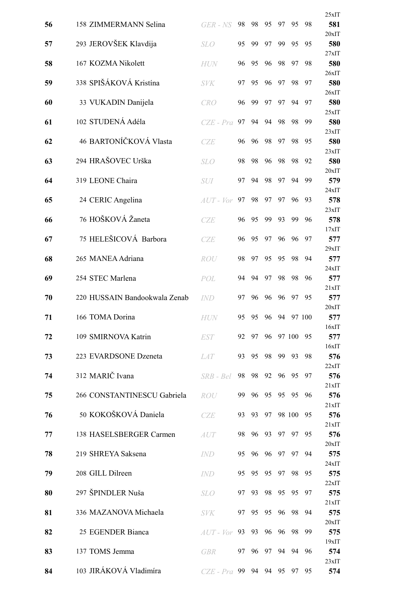|    |                               |                   |    |          |       |    |           |        | 25xIT        |
|----|-------------------------------|-------------------|----|----------|-------|----|-----------|--------|--------------|
| 56 | 158 ZIMMERMANN Selina         | GER - NS          | 98 | 98       | 95    | 97 | 95        | 98     | 581          |
| 57 | 293 JEROVŠEK Klavdija         | <b>SLO</b>        | 95 | 99       | 97    | 99 | 95        | 95     | 20xIT<br>580 |
| 58 | 167 KOZMA Nikolett            | <b>HUN</b>        | 96 | 95       | 96    | 98 | 97        | 98     | 27xIT<br>580 |
|    | 338 SPIŠÁKOVÁ Kristína        |                   |    |          |       |    |           |        | 26xIT        |
| 59 |                               | <b>SVK</b>        | 97 | 95       | 96    | 97 | 98        | 97     | 580<br>26xIT |
| 60 | 33 VUKADIN Danijela           | <b>CRO</b>        | 96 | 99       | 97    | 97 | 94        | 97     | 580<br>25xIT |
| 61 | 102 STUDENÁ Adéla             | $CZE$ - $Pra$     | 97 | 94       | 94    | 98 | 98        | 99     | 580          |
| 62 | 46 BARTONÍČKOVÁ Vlasta        | <b>CZE</b>        | 96 | 96       | 98    | 97 | 98        | 95     | 23xIT<br>580 |
| 63 | 294 HRAŠOVEC Urška            | <b>SLO</b>        | 98 | 98       | 96    | 98 | 98        | 92     | 23xIT<br>580 |
|    |                               |                   |    |          |       |    |           |        | 20xIT        |
| 64 | 319 LEONE Chaira              | <b>SUI</b>        | 97 | 94       | 98    | 97 | 94        | 99     | 579<br>24xIT |
| 65 | 24 CERIC Angelina             | $AUT$ - $Vor$     | 97 | 98       | 97    | 97 | 96        | 93     | 578          |
| 66 | 76 HOŠKOVÁ Žaneta             | <b>CZE</b>        | 96 | 95       | 99    | 93 | 99        | 96     | 23xIT<br>578 |
| 67 | 75 HELEŠICOVÁ Barbora         | CZE               | 96 | 95       | 97    | 96 | 96        | 97     | 17xIT<br>577 |
|    |                               |                   |    |          |       |    |           |        | 29xIT        |
| 68 | 265 MANEA Adriana             | ROU               | 98 | 97       | 95    | 95 | 98        | 94     | 577<br>24xIT |
| 69 | 254 STEC Marlena              | POL               | 94 | 94       | 97    | 98 | 98        | 96     | 577          |
| 70 | 220 HUSSAIN Bandookwala Zenab | <b>IND</b>        | 97 | 96       | 96    | 96 | 97        | 95     | 21xIT<br>577 |
| 71 | 166 TOMA Dorina               | <b>HUN</b>        | 95 | 95       | 96    | 94 |           | 97 100 | 20xIT<br>577 |
|    |                               |                   |    |          |       |    |           |        | 16xIT        |
| 72 | 109 SMIRNOVA Katrin           | <i>EST</i>        |    | 92 97    |       |    | 96 97 100 | - 95   | 577<br>16xIT |
| 73 | 223 EVARDSONE Dzeneta         | <i>LAT</i>        |    | 93 95    | 98    | 99 | 93        | 98     | 576          |
| 74 | 312 MARIČ Ivana               | SRB - Bel         | 98 |          | 98 92 | 96 | 95        | 97     | 22xIT<br>576 |
| 75 | 266 CONSTANTINESCU Gabriela   | ROU               | 99 |          | 96 95 |    | 95 95     | 96     | 21xIT<br>576 |
|    |                               |                   |    |          |       |    |           |        | 21xIT        |
| 76 | 50 KOKOŠKOVÁ Daniela          | CZE               |    | 93 93 97 |       |    | 98 100    | 95     | 576<br>21xIT |
| 77 | 138 HASELSBERGER Carmen       | AUT               | 98 | 96       | 93    | 97 | 97        | 95     | 576          |
| 78 | 219 SHREYA Saksena            | <b>IND</b>        | 95 |          | 96 96 | 97 | 97        | 94     | 20xIT<br>575 |
| 79 | 208 GILL Dilreen              | IND               |    | 95 95 95 |       |    | 97 98     | 95     | 24xIT<br>575 |
|    |                               |                   |    |          |       |    |           |        | 22xIT        |
| 80 | 297 ŠPINDLER Nuša             | <i>SLO</i>        | 97 | 93       | 98    | 95 | 95        | 97     | 575<br>21xIT |
| 81 | 336 MAZANOVA Michaela         | <b>SVK</b>        |    | 97 95    | 95    | 96 | 98        | 94     | 575          |
| 82 | 25 EGENDER Bianca             | $AUT$ - $Vor$     |    | 93 93 96 |       | 96 | 98        | 99     | 20xIT<br>575 |
| 83 | 137 TOMS Jemma                | <b>GBR</b>        | 97 | 96       | 97    | 94 | 94        | 96     | 19xIT<br>574 |
|    |                               |                   |    |          |       |    |           |        | 23xIT        |
| 84 | 103 JIRÁKOVÁ Vladimíra        | $CZE - Pra$ 99 94 |    |          | 94    |    | 95 97     | 95     | 574          |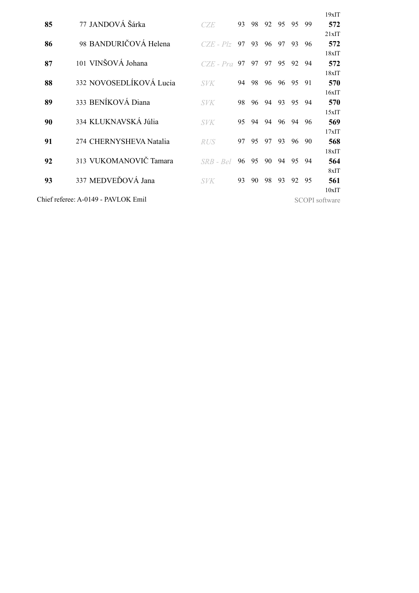|    |                                     |               |    |    |    |    |    |     | $19x$ IT              |
|----|-------------------------------------|---------------|----|----|----|----|----|-----|-----------------------|
| 85 | 77 JANDOVÁ Šárka                    | CZE           | 93 | 98 | 92 | 95 | 95 | -99 | 572                   |
|    |                                     |               |    |    |    |    |    |     | 21xIT                 |
| 86 | 98 BANDURIČOVÁ Helena               | $CZE - Plz$   | 97 | 93 | 96 | 97 | 93 | 96  | 572                   |
|    |                                     |               |    |    |    |    |    |     | 18xIT                 |
| 87 | 101 VINŠOVÁ Johana                  | $CZE$ - $Pra$ | 97 | 97 | 97 | 95 | 92 | -94 | 572                   |
|    |                                     |               |    |    |    |    |    |     | 18xIT                 |
| 88 | 332 NOVOSEDLÍKOVÁ Lucia             | <i>SVK</i>    | 94 | 98 | 96 | 96 | 95 | 91  | 570                   |
|    |                                     |               |    |    |    |    |    |     | $16x$ IT              |
| 89 | 333 BENÍKOVÁ Diana                  | <i>SVK</i>    | 98 | 96 | 94 | 93 | 95 | 94  | 570                   |
|    |                                     |               |    |    |    |    |    |     | 15xIT                 |
| 90 | 334 KLUKNAVSKÁ Júlia                | <b>SVK</b>    | 95 | 94 | 94 | 96 | 94 | 96  | 569                   |
|    |                                     |               |    |    |    |    |    |     | $17x$ IT              |
| 91 | 274 CHERNYSHEVA Natalia             | <b>RUS</b>    | 97 | 95 | 97 | 93 | 96 | -90 | 568                   |
|    |                                     |               |    |    |    |    |    |     | 18xIT                 |
| 92 | 313 VUKOMANOVIČ Tamara              | $SRB - Bel$   | 96 | 95 | 90 | 94 | 95 | 94  | 564                   |
|    |                                     |               |    |    |    |    |    |     | $8x$ IT               |
| 93 | 337 MEDVEĎOVÁ Jana                  | <b>SVK</b>    | 93 | 90 | 98 | 93 | 92 | 95  | 561                   |
|    |                                     |               |    |    |    |    |    |     |                       |
|    |                                     |               |    |    |    |    |    |     | $10x$ IT              |
|    | Chief referee: A-0149 - PAVLOK Emil |               |    |    |    |    |    |     | <b>SCOPI</b> software |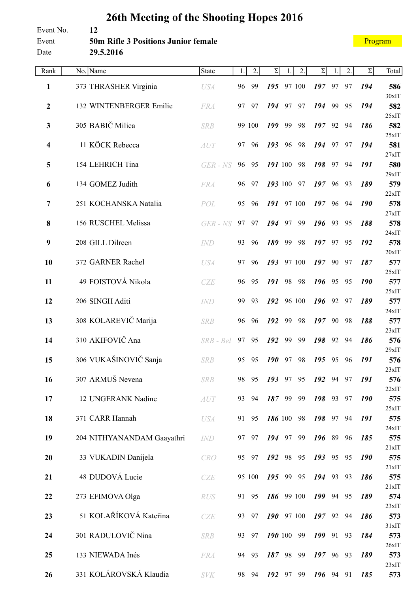#### Event No. **12** Event **50m Rifle 3 Positions Junior female** Date **29.5.2016**

| Rank         | No. Name                   | State       | 1. | 2.     | $\Sigma$ |    | 2.         | $\Sigma$  |    | 2. | $\Sigma$   | Total        |
|--------------|----------------------------|-------------|----|--------|----------|----|------------|-----------|----|----|------------|--------------|
| 1            | 373 THRASHER Virginia      | <b>USA</b>  | 96 | 99     | 195      |    | 97 100     | 197       | 97 | 97 | 194        | 586          |
|              |                            |             |    |        |          |    |            |           |    |    |            | $30x$ IT     |
| $\mathbf{2}$ | 132 WINTENBERGER Emilie    | <b>FRA</b>  | 97 | 97     | 194      | 97 | 97         | 194       | 99 | 95 | 194        | 582          |
| 3            | 305 BABIČ Milica           | <b>SRB</b>  |    | 99 100 | 199      | 99 | 98         | $197$ 92  |    | 94 | 186        | 25xIT<br>582 |
|              |                            |             |    |        |          |    |            |           |    |    |            | 25xIT        |
| 4            | 11 KÖCK Rebecca            | AUT         | 97 | 96     | 193      | 96 | 98         | 194       | 97 | 97 | 194        | 581          |
|              |                            |             |    |        |          |    |            |           |    |    |            | 27xIT        |
| 5            | 154 LEHRICH Tina           | GER - NS    | 96 | 95     | 191 100  |    | 98         | 198       | 97 | 94 | 191        | 580          |
| 6            | 134 GOMEZ Judith           | <b>FRA</b>  | 96 | 97     | 193 100  |    | 97         | 197,96    |    | 93 | 189        | 29xIT<br>579 |
|              |                            |             |    |        |          |    |            |           |    |    |            | 22xIT        |
| 7            | 251 KOCHANSKA Natalia      | POL         | 95 | 96     | 191      |    | 97 100     | 197       | 96 | 94 | <b>190</b> | 578          |
|              |                            |             |    |        |          |    |            |           |    |    |            | 27xIT        |
| 8            | 156 RUSCHEL Melissa        | GER - NS    | 97 | 97     | 194      | 97 | 99         | 196       | 93 | 95 | 188        | 578          |
| 9            | 208 GILL Dilreen           | <b>IND</b>  | 93 | 96     | 189      | 99 | 98         | $197$ 97  |    | 95 | 192        | 24xIT<br>578 |
|              |                            |             |    |        |          |    |            |           |    |    |            | 20xIT        |
| 10           | 372 GARNER Rachel          | <b>USA</b>  | 97 | 96     | 193      |    | 97 100     | 19790     |    | 97 | 187        | 577          |
|              |                            |             |    |        |          |    |            |           |    |    |            | 25xIT        |
| 11           | 49 FOISTOVÁ Nikola         | CZE         | 96 | 95     | 191      | 98 | 98         | 196       | 95 | 95 | 190        | 577          |
|              |                            |             |    |        |          |    |            |           |    |    |            | 25xIT        |
| 12           | 206 SINGH Aditi            | <b>IND</b>  | 99 | 93     | 192      |    | 96 100     | $196$ 92  |    | 97 | 189        | 577<br>24xIT |
| 13           | 308 KOLAREVIČ Marija       | <b>SRB</b>  | 96 | 96     | 192      | 99 | 98         | 197       | 90 | 98 | 188        | 577          |
|              |                            |             |    |        |          |    |            |           |    |    |            | 23xIT        |
| 14           | 310 AKIFOVIČ Ana           | $SRB - Bel$ | 97 | 95     | 192      | 99 | 99         | 198       | 92 | 94 | 186        | 576          |
|              |                            |             |    |        |          |    |            |           |    |    |            | 29xIT        |
| 15           | 306 VUKAŠINOVIČ Sanja      | <b>SRB</b>  | 95 | 95     | 190      | 97 | 98         | 195       | 95 | 96 | 191        | 576          |
| 16           | 307 ARMUŠ Nevena           | <b>SRB</b>  | 98 | 95     | 193 97   |    | 95         | 192       | 94 | 97 | 191        | 23xIT<br>576 |
|              |                            |             |    |        |          |    |            |           |    |    |            | 22xIT        |
| 17           | 12 UNGERANK Nadine         | <b>AUT</b>  | 93 | 94     |          |    | 187 99 99  | 198 93 97 |    |    | 190        | 575          |
|              |                            |             |    |        |          |    |            |           |    |    |            | 25xIT        |
| 18           | 371 CARR Hannah            | <b>USA</b>  | 91 | 95     |          |    | 186 100 98 | 198 97    |    | 94 | 191        | 575          |
| 19           | 204 NITHYANANDAM Gaayathri | <b>IND</b>  | 97 | 97     | 194 97   |    | 99         | 196 89    |    | 96 | 185        | 24xIT<br>575 |
|              |                            |             |    |        |          |    |            |           |    |    |            | 21xIT        |
| 20           | 33 VUKADIN Danijela        | <b>CRO</b>  | 95 | 97     |          |    | 192 98 95  | 193 95 95 |    |    | 190        | 575          |
|              |                            |             |    |        |          |    |            |           |    |    |            | 21xIT        |
| 21           | 48 DUDOVÁ Lucie            | <b>CZE</b>  |    | 95 100 |          |    | 195 99 95  | 194 93 93 |    |    | 186        | 575          |
| 22           | 273 EFIMOVA Olga           |             | 91 | 95     |          |    | 186 99 100 | 199 94 95 |    |    | 189        | 21xIT<br>574 |
|              |                            | <b>RUS</b>  |    |        |          |    |            |           |    |    |            | 23xIT        |
| 23           | 51 KOLAŘÍKOVÁ Kateřina     | CZE         | 93 | 97     |          |    | 190 97 100 | $197$ 92  |    | 94 | 186        | 573          |
|              |                            |             |    |        |          |    |            |           |    |    |            | 31xIT        |
| 24           | 301 RADULOVIČ Nina         | <b>SRB</b>  | 93 | 97     |          |    | 190 100 99 | $199$ 91  |    | 93 | 184        | 573          |
|              |                            |             |    |        |          |    |            |           |    |    |            | 26xIT        |
| 25           | 133 NIEWADA Inés           | <b>FRA</b>  | 94 | 93     |          |    | 187 98 99  | 197 96 93 |    |    | 189        | 573<br>23xIT |
| 26           | 331 KOLÁROVSKÁ Klaudia     | <b>SVK</b>  | 98 | 94     | 192 97   |    | 99         | 196 94 91 |    |    | 185        | 573          |
|              |                            |             |    |        |          |    |            |           |    |    |            |              |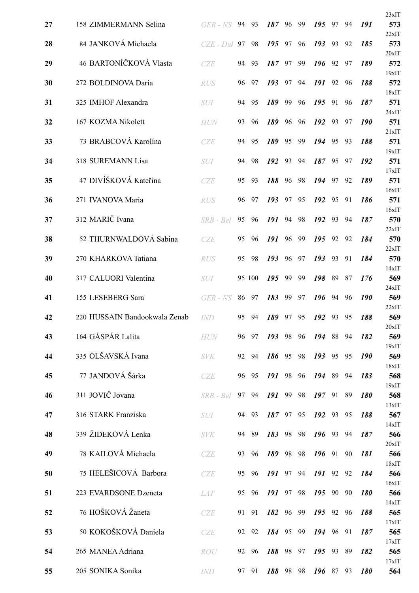|    |                               |               |    |        |        |    |    |          |    |    |            | 23xIT           |
|----|-------------------------------|---------------|----|--------|--------|----|----|----------|----|----|------------|-----------------|
| 27 | 158 ZIMMERMANN Selina         | GER - NS      | 94 | 93     | 187    | 96 | 99 | 195      | 97 | 94 | 191        | 573             |
| 28 | 84 JANKOVÁ Michaela           | $CZE$ - $Duh$ | 97 | 98     | 195    | 97 | 96 | 193      | 93 | 92 | 185        | 22xIT<br>573    |
| 29 | 46 BARTONÍČKOVÁ Vlasta        | CZE           | 94 | 93     | 187    | 97 | 99 | 196      | 92 | 97 | 189        | $20x$ IT<br>572 |
|    |                               |               |    |        |        |    |    |          |    |    |            | 19xIT           |
| 30 | 272 BOLDINOVA Daria           | <b>RUS</b>    | 96 | 97     | 193    | 97 | 94 | 191      | 92 | 96 | 188        | 572<br>18xIT    |
| 31 | 325 IMHOF Alexandra           | <b>SUI</b>    | 94 | 95     | 189    | 99 | 96 | 195      | 91 | 96 | 187        | 571<br>24xIT    |
| 32 | 167 KOZMA Nikolett            | <b>HUN</b>    | 93 | 96     | 189    | 96 | 96 | 192      | 93 | 97 | <b>190</b> | 571             |
| 33 | 73 BRABCOVÁ Karolína          | CZE           | 94 | 95     | 189    | 95 | 99 | 194      | 95 | 93 | 188        | 21xIT<br>571    |
| 34 | 318 SUREMANN Lisa             | <b>SUI</b>    | 94 | 98     | 192    | 93 | 94 | 187 95   |    | 97 | 192        | $19x$ IT<br>571 |
|    |                               |               |    |        |        |    |    |          |    |    |            | 17xIT           |
| 35 | 47 DIVÍŠKOVÁ Kateřina         | <b>CZE</b>    | 95 | 93     | 188    | 96 | 98 | 194      | 97 | 92 | 189        | 571             |
| 36 | 271 IVANOVA Maria             | <b>RUS</b>    | 96 | 97     | 193    | 97 | 95 | 192      | 95 | 91 | 186        | 16xIT<br>571    |
|    |                               |               |    |        |        |    |    |          |    |    |            | 16xIT           |
| 37 | 312 MARIČ Ivana               | $SRB - Bel$   | 95 | 96     | 191    | 94 | 98 | 192      | 93 | 94 | 187        | 570<br>22xIT    |
| 38 | 52 THURNWALDOVÁ Sabina        | <b>CZE</b>    | 95 | 96     | 191    | 96 | 99 | 195      | 92 | 92 | 184        | 570             |
| 39 | 270 KHARKOVA Tatiana          | <b>RUS</b>    | 95 | 98     | 193    | 96 | 97 | 193      | 93 | 91 | 184        | 22xIT<br>570    |
|    |                               |               |    |        |        |    |    |          |    |    |            | 14xIT           |
| 40 | 317 CALUORI Valentina         | <b>SUI</b>    |    | 95 100 | 195    | 99 | 99 | 198      | 89 | 87 | 176        | 569<br>24xIT    |
| 41 | 155 LESEBERG Sara             | GER - NS      | 86 | 97     | 183    | 99 | 97 | 196      | 94 | 96 | <b>190</b> | 569             |
| 42 | 220 HUSSAIN Bandookwala Zenab | <i>IND</i>    | 95 | - 94   | 189    | 97 | 95 | 192      | 93 | 95 | 188        | 22xIT<br>569    |
|    |                               |               |    |        |        |    |    |          |    |    |            | 20xIT           |
| 43 | 164 GÁSPÁR Lalita             | <b>HUN</b>    | 96 | 97     | 193    | 98 | 96 | 194      | 88 | 94 | 182        | 569<br>19xIT    |
| 44 | 335 OLŠAVSKÁ Ivana            | <b>SVK</b>    | 92 | -94    | 186 95 |    | 98 | 193      | 95 | 95 | <b>190</b> | 569             |
| 45 | 77 JANDOVÁ Šárka              |               | 96 | 95     | 191 98 |    | 96 | 194 89   |    | 94 | 183        | 18xIT<br>568    |
|    |                               | CZE           |    |        |        |    |    |          |    |    |            | 19xIT           |
| 46 | 311 JOVIČ Jovana              | SRB - Bel     | 97 | 94     | 191    | 99 | 98 | $197$ 91 |    | 89 | <b>180</b> | 568             |
| 47 | 316 STARK Franziska           | SUI           |    | 94 93  | 187 97 |    | 95 | 192 93   |    | 95 | 188        | 13xIT<br>567    |
|    |                               |               |    |        |        |    |    |          |    |    |            | 14xIT           |
| 48 | 339 ŽIDEKOVÁ Lenka            | <b>SVK</b>    | 94 | - 89   | 183    | 98 | 98 | 196 93   |    | 94 | 187        | 566<br>20xIT    |
| 49 | 78 KAILOVÁ Michaela           | <b>CZE</b>    | 93 | 96     | 189    | 98 | 98 | 196      | 91 | 90 | 181        | 566             |
| 50 | 75 HELEŠICOVÁ Barbora         | <b>CZE</b>    | 95 | 96     | 191    | 97 | 94 | 191 92   |    | 92 | 184        | 18xIT<br>566    |
|    |                               |               |    |        |        |    |    |          |    |    |            | 16xIT           |
| 51 | 223 EVARDSONE Dzeneta         | <b>LAT</b>    | 95 | 96     | 191    | 97 | 98 | 195      | 90 | 90 | 180        | 566<br>14xIT    |
| 52 | 76 HOŠKOVÁ Žaneta             | CZE           | 91 | 91     | 182    | 96 | 99 | 195      | 92 | 96 | 188        | 565             |
|    | 50 KOKOŠKOVÁ Daniela          |               |    |        | 184    | 95 |    | 194      |    | 91 | 187        | 17xIT           |
| 53 |                               | CZE           | 92 | 92     |        |    | 99 |          | 96 |    |            | 565<br>17xIT    |
| 54 | 265 MANEA Adriana             | ROU           | 92 | - 96   | 188    | 98 | 97 | $195$ 93 |    | 89 | 182        | 565             |
| 55 | 205 SONIKA Sonika             | <b>IND</b>    |    | 97 91  | 188    | 98 | 98 | 196      | 87 | 93 | 180        | 17xIT<br>564    |
|    |                               |               |    |        |        |    |    |          |    |    |            |                 |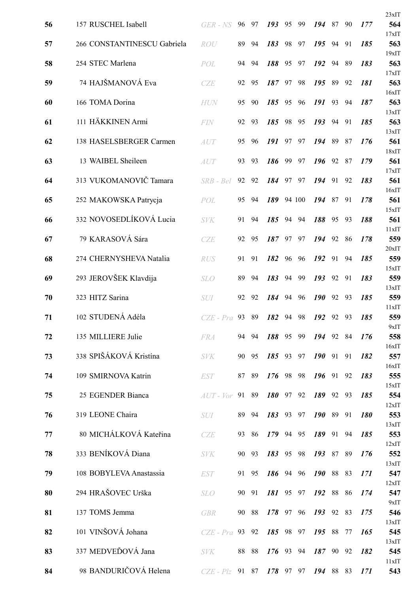|    |                             |               |    |       |           |    |        |            |    |    |            | 23xIT        |
|----|-----------------------------|---------------|----|-------|-----------|----|--------|------------|----|----|------------|--------------|
| 56 | 157 RUSCHEL Isabell         | GER - NS      | 96 | 97    | 193       | 95 | 99     | 194        | 87 | 90 | 177        | 564          |
| 57 | 266 CONSTANTINESCU Gabriela | ROU           | 89 | 94    | 183       | 98 | 97     | 195        | 94 | 91 | 185        | 17xIT<br>563 |
| 58 | 254 STEC Marlena            |               | 94 | 94    | 188       | 95 | 97     | 192        | 94 | 89 | 183        | 19xIT<br>563 |
|    |                             | POL           |    |       |           |    |        |            |    |    |            | 17xIT        |
| 59 | 74 HAJŠMANOVÁ Eva           | <b>CZE</b>    | 92 | 95    | 187       | 97 | 98     | 195        | 89 | 92 | 181        | 563<br>16xIT |
| 60 | 166 TOMA Dorina             | <b>HUN</b>    | 95 | 90    | 185       | 95 | 96     | 191        | 93 | 94 | 187        | 563          |
| 61 | 111 HÄKKINEN Armi           | <b>FIN</b>    | 92 | 93    | 185       | 98 | 95     | 193        | 94 | 91 | 185        | 13xIT<br>563 |
|    |                             |               |    |       |           |    |        |            |    |    |            | 13xIT        |
| 62 | 138 HASELSBERGER Carmen     | AUT           | 95 | 96    | 191       | 97 | 97     | 194        | 89 | 87 | 176        | 561<br>18xIT |
| 63 | 13 WAIBEL Sheileen          | <b>AUT</b>    | 93 | 93    | 186       | 99 | 97     | 196 92     |    | 87 | 179        | 561          |
| 64 | 313 VUKOMANOVIČ Tamara      | SRB - Bel     | 92 | 92    | 184       | 97 | 97     | 194        | 91 | 92 | 183        | 17xIT<br>561 |
| 65 | 252 MAKOWSKA Patrycja       | POL           | 95 | 94    | 189       |    | 94 100 | 194        | 87 | 91 | 178        | 16xIT<br>561 |
|    |                             |               |    |       |           |    |        |            |    |    |            | 15xIT        |
| 66 | 332 NOVOSEDLÍKOVÁ Lucia     | <b>SVK</b>    | 91 | 94    | 185       | 94 | 94     | 188        | 95 | 93 | 188        | 561<br>11xIT |
| 67 | 79 KARASOVÁ Sára            | CZE           | 92 | 95    | 187       | 97 | 97     | 194        | 92 | 86 | 178        | 559          |
| 68 | 274 CHERNYSHEVA Natalia     | <b>RUS</b>    | 91 | 91    | 182       | 96 | 96     | 192        | 91 | 94 | 185        | 20xIT<br>559 |
|    |                             |               |    |       |           |    |        |            |    |    |            | 15xIT        |
| 69 | 293 JEROVŠEK Klavdija       | <b>SLO</b>    | 89 | 94    | 183       | 94 | 99     | 193        | 92 | 91 | 183        | 559<br>13xIT |
| 70 | 323 HITZ Sarina             | <b>SUI</b>    | 92 | 92    | 184       | 94 | 96     | <b>190</b> | 92 | 93 | 185        | 559          |
| 71 | 102 STUDENÁ Adéla           | $CZE$ - $Pro$ | 93 | 89    | 182       | 94 | 98     | 192        | 92 | 93 | 185        | 11xIT<br>559 |
|    |                             |               |    |       |           |    |        |            |    |    |            | 9xIT         |
| 72 | 135 MILLIERE Julie          | <b>FRA</b>    |    | 94 94 | 188 95 99 |    |        | 194 92 84  |    |    | 176        | 558<br>16xIT |
| 73 | 338 SPIŠÁKOVÁ Kristína      | <b>SVK</b>    |    | 90 95 | 185 93 97 |    |        | $190$ 91   |    | 91 | 182        | 557          |
| 74 | 109 SMIRNOVA Katrin         | <b>EST</b>    |    | 87 89 | 176 98    |    | 98     | $196$ 91   |    | 92 | 183        | 16xIT<br>555 |
| 75 | 25 EGENDER Bianca           | $AUT$ - $Vor$ |    | 91 89 | 180 97 92 |    |        | 189 92 93  |    |    | 185        | 15xIT<br>554 |
|    |                             |               |    |       |           |    |        |            |    |    |            | 12xIT        |
| 76 | 319 LEONE Chaira            | <i>SUI</i>    |    | 89 94 | 183 93 97 |    |        | 190 89 91  |    |    | <b>180</b> | 553<br>13xIT |
| 77 | 80 MICHÁLKOVÁ Kateřina      | CZE           | 93 | -86   | 179 94 95 |    |        | 189 91     |    | 94 | 185        | 553          |
| 78 | 333 BENÍKOVÁ Diana          | <b>SVK</b>    | 90 | 93    | 183 95    |    | 98     | 193 87 89  |    |    | 176        | 12xIT<br>552 |
|    |                             |               |    |       |           |    |        |            |    |    |            | 13xIT        |
| 79 | 108 BOBYLEVA Anastassia     | <b>EST</b>    |    | 91 95 | 186 94 96 |    |        | 190 88 83  |    |    | 171        | 547<br>12xIT |
| 80 | 294 HRAŠOVEC Urška          | <b>SLO</b>    | 90 | - 91  | 181 95 97 |    |        | 192 88 86  |    |    | 174        | 547          |
| 81 | 137 TOMS Jemma              | <b>GBR</b>    |    | 90 88 | 178 97    |    | 96     | 193 92 83  |    |    | 175        | 9xIT<br>546  |
|    | 101 VINŠOVÁ Johana          |               |    | 93 92 | 185 98 97 |    |        | 195 88     |    | 77 | 165        | 13xIT        |
| 82 |                             | $CZE$ - $Pra$ |    |       |           |    |        |            |    |    |            | 545<br>13xIT |
| 83 | 337 MEDVEĎOVÁ Jana          | <b>SVK</b>    |    | 88 88 | 176 93 94 |    |        | 187 90     |    | 92 | 182        | 545<br>11xIT |
| 84 | 98 BANDURIČOVÁ Helena       | $CZE$ - $Plz$ |    | 91 87 | 178 97    |    | 97     | 194 88 83  |    |    | 171        | 543          |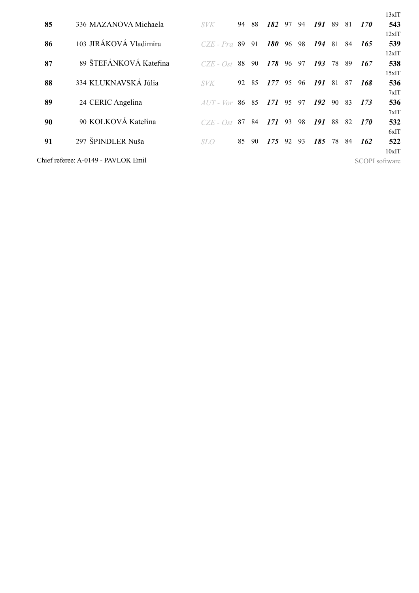|    |                                     |                  |    |       |            |    |    |     |    |     |                | 13xIT |
|----|-------------------------------------|------------------|----|-------|------------|----|----|-----|----|-----|----------------|-------|
| 85 | 336 MAZANOVA Michaela               | <b>SVK</b>       | 94 | 88    | 182        | 97 | 94 | 191 | 89 | 81  | 170            | 543   |
|    |                                     |                  |    |       |            |    |    |     |    |     |                | 12xIT |
| 86 | 103 JIRÁKOVÁ Vladimíra              | $CZE$ - Pra $89$ |    | 91    | <b>180</b> | 96 | 98 | 194 | 81 | 84  | 165            | 539   |
|    |                                     |                  |    |       |            |    |    |     |    |     |                | 12xIT |
| 87 | 89 ŠTEFÁNKOVÁ Kateřina              | $CZE - Ost$      | 88 | 90    | 178        | 96 | 97 | 193 | 78 | -89 | 167            | 538   |
|    |                                     |                  |    |       |            |    |    |     |    |     |                | 15xIT |
| 88 | 334 KLUKNAVSKÁ Júlia                | <i>SVK</i>       | 92 | -85   | 177        | 95 | 96 | 191 | 81 | 87  | 168            | 536   |
|    |                                     |                  |    |       |            |    |    |     |    |     |                | 7xIT  |
| 89 | 24 CERIC Angelina                   | $AUT - Vor$      |    | 86 85 | 171        | 95 | 97 | 192 | 90 | -83 | 173            | 536   |
|    |                                     |                  |    |       |            |    |    |     |    |     |                | 7xIT  |
| 90 | 90 KOLKOVÁ Kateřina                 | $CZE - Ost$      | 87 | 84    | 171        | 93 | 98 | 191 | 88 | 82  | 170            | 532   |
|    |                                     |                  |    |       |            |    |    |     |    |     |                | 6xIT  |
| 91 | 297 ŠPINDLER Nuša                   | SLO.             | 85 | -90   | 175        | 92 | 93 | 185 | 78 | -84 | 162            | 522   |
|    |                                     |                  |    |       |            |    |    |     |    |     |                | 10xIT |
|    | Chief referee: A-0149 - PAVLOK Emil |                  |    |       |            |    |    |     |    |     | SCOPI software |       |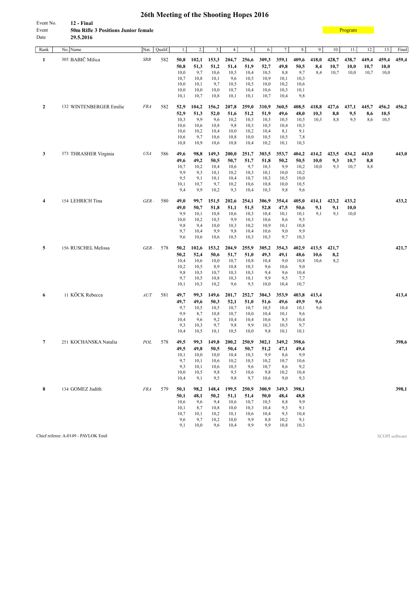| -----                                      |
|--------------------------------------------|
| 12 - Final                                 |
| <b>50m Rifle 3 Positions Junior female</b> |
| 29.5.2016                                  |
|                                            |

**[Program](#page-2-0)** 

| Rank           | No. Name                            | Nat.        | Qualif. | 1.           | $\mathbf{2}$  | 3.            | 4.            | 5.            | 6.            | 7.            | 8.            | 9.            | 10.          | 11.   | 12.   | 13.            | Final |
|----------------|-------------------------------------|-------------|---------|--------------|---------------|---------------|---------------|---------------|---------------|---------------|---------------|---------------|--------------|-------|-------|----------------|-------|
| 1              | 305 BABIČ Milica                    | <b>SRB</b>  | 582     | 50,8         | 102,1         | 153,3         | 204,7         | 256,6         | 309,3         | 359,1         | 409,6         | 418,0         | 428,7        | 438,7 | 449,4 | 459,4          | 459,4 |
|                |                                     |             |         | 50,8         | 51,3          | 51,2          | 51,4          | 51,9          | 52,7          | 49,8          | 50,5          | 8,4           | 10,7         | 10,0  | 10,7  | 10,0           |       |
|                |                                     |             |         | 10,0         | 9,7           | 10,6          | 10,5          | 10,4          | 10,5          | 8,8           | 9,7           | 8,4           | 10,7         | 10,0  | 10,7  | 10,0           |       |
|                |                                     |             |         | 10,7         | 10,8          | 10,1          | 9,6           | 10,5          | 10,9          | 10,1          | 10,3          |               |              |       |       |                |       |
|                |                                     |             |         | 10,0<br>10,0 | 10,1<br>10,0  | 9,7<br>10,0   | 10,5<br>10,7  | 10,5<br>10,4  | 10,0<br>10,6  | 10,2<br>10,3  | 10,6<br>10,1  |               |              |       |       |                |       |
|                |                                     |             |         | 10,1         | 10,7          | 10,8          | 10,1          | 10,1          | 10,7          | 10,4          | 9,8           |               |              |       |       |                |       |
| $\mathbf{2}$   | 132 WINTENBERGER Emilie             | <b>FRA</b>  | 582     | 52,9         | 104,2         | 156,2         | 207,8         | 259,0         | 310,9         | 360,5         | 408,5         | 418,8         | 427,6        | 437,1 | 445,7 | 456,2          | 456,2 |
|                |                                     |             |         | 52,9         | 51,3          | 52,0          | 51,6          | 51,2          | 51,9          | 49,6          | 48,0          | 10,3          | 8,8          | 9,5   | 8,6   | 10,5           |       |
|                |                                     |             |         | 10,3         | 9,9           | 9,6           | 10,2          | 10,3          | 10,3          | 10,5          | 10,5          | 10,3          | 8,8          | 9,5   | 8,6   | 10,5           |       |
|                |                                     |             |         | 10,6         | 10,6          | 10,8          | 9,8           | 10,3          | 10,5          | 10,4          | 10,3          |               |              |       |       |                |       |
|                |                                     |             |         | 10,6<br>10,6 | 10,2<br>9,7   | 10,4<br>10,6  | 10,0<br>10,8  | 10,2<br>10,0  | 10,4<br>10,5  | 8,1<br>10,5   | 9,1<br>7,8    |               |              |       |       |                |       |
|                |                                     |             |         | 10,8         | 10,9          | 10,6          | 10,8          | 10,4          | 10,2          | 10,1          | 10,3          |               |              |       |       |                |       |
| 3              | 373 THRASHER Virginia               | <b>USA</b>  | 586     | 49,6         | 98,8          | 149,3         | 200,0         | 251,7         | 303,5         | 353,7         | 404,2         | 414,2         | 423,5        | 434,2 | 443,0 |                | 443,0 |
|                |                                     |             |         | 49,6         | 49,2          | 50,5          | 50,7          | 51,7          | 51,8          | 50,2          | 50,5          | 10,0          | 9,3          | 10,7  | 8,8   |                |       |
|                |                                     |             |         | 10,7         | 10,2          | 10,4          | 10,6          | 9,7           | 10,3          | 9,9           | 10,2          | 10,0          | 9,3          | 10,7  | 8,8   |                |       |
|                |                                     |             |         | 9,9          | 9,3           | 10,1          | 10,2          | 10,3          | 10,1          | 10,0          | 10,2          |               |              |       |       |                |       |
|                |                                     |             |         | 9,5          | 9,1           | 10,1          | 10,4          | 10,7          | 10,3          | 10,5          | 10,0          |               |              |       |       |                |       |
|                |                                     |             |         | 10,1<br>9,4  | 10,7<br>9,9   | 9,7<br>10,2   | 10,2<br>9,3   | 10,6<br>10,4  | 10,8<br>10,3  | 10,0<br>9,8   | 10,5<br>9,6   |               |              |       |       |                |       |
| 4              | 154 LEHRICH Tina                    | GER.        | 580     | 49,0         | 99,7          | 151,5         | 202,6         | 254,1         | 306,9         | 354,4         | 405,0         | 414,1         | 423,2        | 433,2 |       |                | 433,2 |
|                |                                     |             |         | 49,0         | 50,7          | 51,8          | 51,1          | 51,5          | 52,8          | 47,5          | 50,6          | 9,1           | 9,1          | 10,0  |       |                |       |
|                |                                     |             |         | 9,9          | 10,1          | 10,8          | 10,6          | 10,3          | 10,4          | 10,1          | 10,1          | 9,1           | 9,1          | 10,0  |       |                |       |
|                |                                     |             |         | 10,0         | 10,2          | 10,5          | 9,9           | 10,3          | 10,6          | 8,6           | 9,5           |               |              |       |       |                |       |
|                |                                     |             |         | 9,8          | 9,4           | 10,0          | 10,3          | 10,2          | 10,9          | 10,1          | 10,8          |               |              |       |       |                |       |
|                |                                     |             |         | 9,7<br>9,6   | 10,4<br>10,6  | 9,9<br>10,6   | 9,8<br>10,5   | 10,4<br>10,3  | 10,6<br>10,3  | 9,0<br>9,7    | 9,9<br>10,3   |               |              |       |       |                |       |
|                |                                     |             |         |              |               |               |               |               |               |               |               |               |              |       |       |                |       |
| 5              | 156 RUSCHEL Melissa                 | $GER \cdot$ | 578     | 50,2<br>50,2 | 102,6<br>52,4 | 153,2<br>50,6 | 204,9<br>51,7 | 255,9<br>51,0 | 305,2<br>49,3 | 354,3<br>49,1 | 402,9<br>48,6 | 413,5<br>10,6 | 421,7<br>8,2 |       |       |                | 421,7 |
|                |                                     |             |         | 10,4         | 10,6          | 10,0          | 10,7          | 10,8          | 10,4          | 9,0           | 10,8          | 10,6          | 8,2          |       |       |                |       |
|                |                                     |             |         | 10,2         | 10,5          | 8,9           | 10,8          | 10,3          | 9,6           | 10,6          | 9,0           |               |              |       |       |                |       |
|                |                                     |             |         | 9,8          | 10,5          | 10,7          | 10,3          | 10,3          | 9,4           | 9,6           | 10,4          |               |              |       |       |                |       |
|                |                                     |             |         | 9,7<br>10,1  | 10,5<br>10,3  | 10,8<br>10,2  | 10,3<br>9,6   | 10,1<br>9,5   | 9,9<br>10,0   | 9,5<br>10,4   | 7,7<br>10,7   |               |              |       |       |                |       |
|                |                                     |             |         |              |               |               |               |               |               |               |               |               |              |       |       |                |       |
| 6              | 11 KÖCK Rebecca                     | AUT         | 581     | 49,7<br>49,7 | 99,3<br>49,6  | 149,6<br>50,3 | 201,7<br>52,1 | 252,7<br>51,0 | 304,3<br>51,6 | 353,9<br>49,6 | 403,8<br>49,9 | 413,4<br>9,6  |              |       |       |                | 413,4 |
|                |                                     |             |         | 9,7          | 10,5          | 10,5          | 10,7          | 10,7          | 10,5          | 10,4          | 10,1          | 9,6           |              |       |       |                |       |
|                |                                     |             |         | 9,9          | 8,7           | 10,8          | 10,7          | 10,0          | 10,4          | 10,1          | 9,6           |               |              |       |       |                |       |
|                |                                     |             |         | 10,4         | 9,6           | 9,2           | 10,4          | 10,4          | 10,6          | 8,5           | 10,4          |               |              |       |       |                |       |
|                |                                     |             |         | 9,3<br>10,4  | 10,3<br>10,5  | 9,7<br>10,1   | 9,8<br>10,5   | 9,9<br>10,0   | 10,3<br>9,8   | 10,5<br>10,1  | 9,7<br>10,1   |               |              |       |       |                |       |
| $\overline{7}$ | 251 KOCHANSKA Natalia               | POL         | 578     | 49,5         |               |               |               |               |               |               | 398,6         |               |              |       |       |                | 398,6 |
|                |                                     |             |         | 49,5         | 99,3<br>49,8  | 149,8<br>50,5 | 200,2<br>50,4 | 250,9<br>50,7 | 302,1<br>51,2 | 349,2<br>47,1 | 49,4          |               |              |       |       |                |       |
|                |                                     |             |         | 10,1         | 10,0          | 10,0          | 10,4          | 10,3          | 9,9           | 8,6           | 9,9           |               |              |       |       |                |       |
|                |                                     |             |         | 9,7          | 10,1          | 10,6          | 10,2          | 10,5          | 10,2          | 10,7          | 10,6          |               |              |       |       |                |       |
|                |                                     |             |         | 9,3          | 10,1          | 10,6          | 10,5          | 9,6           | 10,7          | 8,6           | 9,2           |               |              |       |       |                |       |
|                |                                     |             |         | 10,0         | 10,5          | 9,8           | 9,5           | 10,6          | 9,8           | 10,2          | 10,4          |               |              |       |       |                |       |
|                |                                     |             |         | 10,4         | 9,1           | 9,5           | 9,8           | 9,7           | 10,6          | 9,0           | 9,3           |               |              |       |       |                |       |
| 8              | 134 GOMEZ Judith                    | <b>FRA</b>  | 579     | 50,1         | 98,2          | 148,4         | 199,5         | 250,9         | 300,9         | 349,3         | 398,1         |               |              |       |       |                | 398,1 |
|                |                                     |             |         | 50,1         | 48,1          | 50,2          | 51,1          | 51,4          | 50,0          | 48,4          | 48,8          |               |              |       |       |                |       |
|                |                                     |             |         | 10,6         | 9,6           | 9,4           | 10,6          | 10,7          | 10,5          | 8,8           | 9,9           |               |              |       |       |                |       |
|                |                                     |             |         | 10,1<br>10,7 | 8,7<br>10,1   | 10,8<br>10,2  | 10,0<br>10,1  | 10,3<br>10,6  | 10,4<br>10,4  | 9,3<br>9,3    | 9,1<br>10,4   |               |              |       |       |                |       |
|                |                                     |             |         | 9,6          | 9,7           | 10,2          | 10,0          | 9,9           | 8,8           | 10,2          | 9,1           |               |              |       |       |                |       |
|                |                                     |             |         | 9,1          | 10,0          | 9,6           | 10,4          | 9,9           | 9,9           | 10,8          | 10,3          |               |              |       |       |                |       |
|                | Chief referee: A-0149 - PAVLOK Emil |             |         |              |               |               |               |               |               |               |               |               |              |       |       | SCOPI software |       |
|                |                                     |             |         |              |               |               |               |               |               |               |               |               |              |       |       |                |       |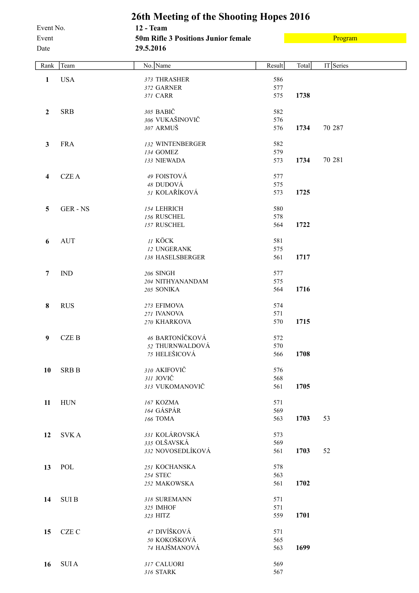**26th Meeting of the Shooting Hopes 2016** Event No. **12 - Team** Event **50m Rifle 3 Positions Junior female** Date **29.5.2016** 

[Program](#page-2-0)

| Rank             | Team         | No. Name                           | Result     | Total | IT Series |
|------------------|--------------|------------------------------------|------------|-------|-----------|
| $\mathbf{1}$     | <b>USA</b>   | 373 THRASHER                       | 586        |       |           |
|                  |              | 372 GARNER                         | 577        |       |           |
|                  |              | 371 CARR                           | 575        | 1738  |           |
| $\boldsymbol{2}$ | <b>SRB</b>   | 305 BABIČ                          | 582        |       |           |
|                  |              | 306 VUKAŠINOVIČ                    | 576        |       |           |
|                  |              | 307 ARMUŠ                          | 576        | 1734  | 70 287    |
|                  |              |                                    |            |       |           |
| $\mathbf{3}$     | <b>FRA</b>   | 132 WINTENBERGER                   | 582        |       |           |
|                  |              | 134 GOMEZ<br>133 NIEWADA           | 579<br>573 | 1734  | 70 281    |
|                  |              |                                    |            |       |           |
| 4                | <b>CZEA</b>  | 49 FOISTOVÁ                        | 577        |       |           |
|                  |              | 48 DUDOVÁ                          | 575        |       |           |
|                  |              | 51 KOLAŘÍKOVÁ                      | 573        | 1725  |           |
| 5                | GER-NS       | 154 LEHRICH                        | 580        |       |           |
|                  |              | 156 RUSCHEL                        | 578        |       |           |
|                  |              | 157 RUSCHEL                        | 564        | 1722  |           |
|                  |              |                                    |            |       |           |
| 6                | <b>AUT</b>   | <b>II KÖCK</b>                     | 581        |       |           |
|                  |              | 12 UNGERANK                        | 575        |       |           |
|                  |              | 138 HASELSBERGER                   | 561        | 1717  |           |
| $\overline{7}$   | <b>IND</b>   | 206 SINGH                          | 577        |       |           |
|                  |              | 204 NITHYANANDAM                   | 575        |       |           |
|                  |              | 205 SONIKA                         | 564        | 1716  |           |
| 8                | <b>RUS</b>   | 273 EFIMOVA                        | 574        |       |           |
|                  |              | 271 IVANOVA                        | 571        |       |           |
|                  |              | 270 KHARKOVA                       | 570        | 1715  |           |
|                  |              |                                    |            |       |           |
| 9                | <b>CZEB</b>  | 46 BARTONÍČKOVÁ<br>52 THURNWALDOVÁ | 572        |       |           |
|                  |              | 75 HELEŠICOVÁ                      | 570<br>566 | 1708  |           |
|                  |              |                                    |            |       |           |
| 10               | <b>SRB B</b> | 310 AKIFOVIČ                       | 576        |       |           |
|                  |              | 311 JOVIČ                          | 568        |       |           |
|                  |              | 313 VUKOMANOVIČ                    | 561        | 1705  |           |
| 11               | <b>HUN</b>   | 167 KOZMA                          | 571        |       |           |
|                  |              | 164 GÁSPÁR                         | 569        |       |           |
|                  |              | 166 TOMA                           | 563        | 1703  | 53        |
|                  | <b>SVKA</b>  | 331 KOLÁROVSKÁ                     | 573        |       |           |
| 12               |              | 335 OLŠAVSKÁ                       | 569        |       |           |
|                  |              | 332 NOVOSEDLÍKOVÁ                  | 561        | 1703  | 52        |
|                  |              |                                    |            |       |           |
| 13               | POL          | 251 KOCHANSKA                      | 578        |       |           |
|                  |              | 254 STEC                           | 563        |       |           |
|                  |              | 252 MAKOWSKA                       | 561        | 1702  |           |
| 14               | <b>SUIB</b>  | 318 SUREMANN                       | 571        |       |           |
|                  |              | 325 IMHOF                          | 571        |       |           |
|                  |              | 323 HITZ                           | 559        | 1701  |           |
| 15               | CZE C        | 47 DIVÍŠKOVÁ                       | 571        |       |           |
|                  |              | 50 KOKOŠKOVÁ                       | 565        |       |           |
|                  |              | 74 HAJŠMANOVÁ                      | 563        | 1699  |           |
|                  |              |                                    |            |       |           |
| 16               | <b>SUIA</b>  | 317 CALUORI                        | 569        |       |           |
|                  |              | 316 STARK                          | 567        |       |           |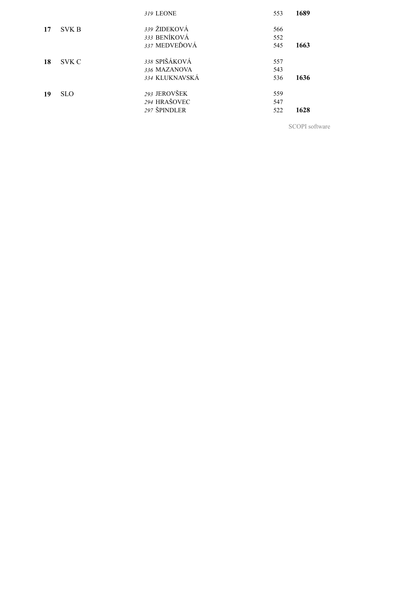|    |              | 319 LEONE                    | 553        | 1689 |
|----|--------------|------------------------------|------------|------|
| 17 | <b>SVK B</b> | 339 ŽIDEKOVÁ<br>333 BENÍKOVÁ | 566        |      |
|    |              | 337 MEDVEĎOVÁ                | 552<br>545 | 1663 |
| 18 | SVK C        | 338 SPIŠÁKOVÁ                | 557        |      |
|    |              | 336 MAZANOVA                 | 543        |      |
|    |              | 334 KLUKNAVSKÁ               | 536        | 1636 |
| 19 | <b>SLO</b>   | 293 JEROVŠEK                 | 559        |      |
|    |              | 294 HRAŠOVEC                 | 547        |      |
|    |              | 297 ŠPINDLER                 | 522        | 1628 |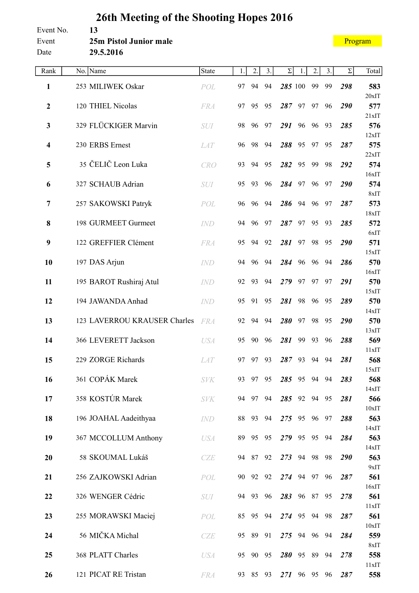| Event No. | 13                     |
|-----------|------------------------|
| Event     | 25m Pistol Junior male |
| Date      | 29.5.2016              |

| Rank             | No. Name                     | State          | 1. | 2.       | 3. | $\Sigma$     | 1. | 2. | 3. | $\Sigma$ | Total        |
|------------------|------------------------------|----------------|----|----------|----|--------------|----|----|----|----------|--------------|
| $\mathbf{1}$     | 253 MILIWEK Oskar            | POL            | 97 | 94       | 94 | 285 100      |    | 99 | 99 | 298      | 583          |
|                  |                              |                |    |          |    |              |    |    |    |          | $20x$ IT     |
| $\boldsymbol{2}$ | 120 THIEL Nicolas            | <b>FRA</b>     | 97 | 95       | 95 | 287          | 97 | 97 | 96 | 290      | 577<br>21xIT |
| 3                | 329 FLÜCKIGER Marvin         | <b>SUI</b>     | 98 | 96       | 97 | 291 96       |    | 96 | 93 | 285      | 576          |
| 4                | 230 ERBS Ernest              | <b>LAT</b>     | 96 | 98       | 94 | 288          | 95 | 97 | 95 | 287      | 12xIT<br>575 |
|                  |                              |                |    |          |    |              |    |    |    |          | 22xIT        |
| 5                | 35 ČELIČ Leon Luka           | <b>CRO</b>     | 93 | 94       | 95 | 282          | 95 | 99 | 98 | 292      | 574          |
| 6                | 327 SCHAUB Adrian            | <b>SUI</b>     | 95 | 93       | 96 | 284          | 97 | 96 | 97 | 290      | 16xIT<br>574 |
|                  |                              |                |    |          |    |              |    |    |    |          | 8xIT         |
| 7                | 257 SAKOWSKI Patryk          | POL            | 96 | 96       | 94 | 286          | 94 | 96 | 97 | 287      | 573          |
| 8                | 198 GURMEET Gurmeet          | <b>IND</b>     | 94 | 96       | 97 | 287          | 97 | 95 | 93 | 285      | 18xIT<br>572 |
|                  |                              |                |    |          |    |              |    |    |    |          | 6xIT         |
| 9                | 122 GREFFIER Clément         | <b>FRA</b>     | 95 | 94       | 92 | 281          | 97 | 98 | 95 | 290      | 571          |
| 10               | 197 DAS Arjun                | $\mathit{IND}$ | 94 | 96       | 94 | 284          | 96 | 96 | 94 | 286      | 15xIT<br>570 |
|                  |                              |                |    |          |    |              |    |    |    |          | 16xIT        |
| 11               | 195 BAROT Rushiraj Atul      | <b>IND</b>     | 92 | 93       | 94 | 279          | 97 | 97 | 97 | 291      | 570          |
| 12               | 194 JAWANDA Anhad            | <b>IND</b>     | 95 | 91       | 95 | 281          | 98 | 96 | 95 | 289      | 15xIT<br>570 |
|                  |                              |                |    |          |    |              |    |    |    |          | 14xIT        |
| 13               | 123 LAVERROU KRAUSER Charles | <b>FRA</b>     | 92 | 94       | 94 | 280          | 97 | 98 | 95 | 290      | 570          |
| 14               | 366 LEVERETT Jackson         | <b>USA</b>     | 95 | 90       | 96 | 281          | 99 | 93 | 96 | 288      | 13xIT<br>569 |
|                  |                              |                |    |          |    |              |    |    |    |          | 11xIT        |
| 15               | 229 ZORGE Richards           | <b>LAT</b>     | 97 | 97       | 93 | 287          | 93 | 94 | 94 | 281      | 568          |
| 16               | 361 COPÁK Marek              | <b>SVK</b>     | 93 | 97 95    |    | 285 95       |    | 94 | 94 | 283      | 15xIT<br>568 |
|                  |                              |                |    |          |    |              |    |    |    |          | 14xIT        |
| 17               | 358 KOSTÚR Marek             | <b>SVK</b>     |    | 94 97 94 |    | 285 92 94 95 |    |    |    | 281      | 566          |
| 18               | 196 JOAHAL Aadeithyaa        | <b>IND</b>     | 88 | 93       | 94 | 275 95 96    |    |    | 97 | 288      | 10xIT<br>563 |
|                  |                              |                |    |          |    |              |    |    |    |          | 14xIT        |
| 19               | 367 MCCOLLUM Anthony         | <b>USA</b>     |    | 89 95 95 |    | 279 95 95    |    |    | 94 | 284      | 563          |
| 20               | 58 SKOUMAL Lukáš             | CZE            | 94 | 87       | 92 | 273 94       |    | 98 | 98 | 290      | 14xIT<br>563 |
|                  |                              |                |    |          |    |              |    |    |    |          | 9xIT         |
| 21               | 256 ZAJKOWSKI Adrian         | POL            | 90 | 92 92    |    | 274 94 97    |    |    | 96 | 287      | 561          |
| 22               | 326 WENGER Cédric            | SUI            |    | 94 93 96 |    | 283 96 87 95 |    |    |    | 278      | 16xIT<br>561 |
|                  |                              |                |    |          |    |              |    |    |    |          | 11xIT        |
| 23               | 255 MORAWSKI Maciej          | POL            | 85 | 95       | 94 | 274 95       |    | 94 | 98 | 287      | 561          |
| 24               | 56 MIČKA Michal              | <b>CZE</b>     | 95 | 89 91    |    | 275 94 96    |    |    | 94 | 284      | 10xIT<br>559 |
|                  |                              |                |    |          |    |              |    |    |    |          | 8xIT         |
| 25               | 368 PLATT Charles            | <b>USA</b>     | 95 | 90 95    |    | 280 95 89    |    |    | 94 | 278      | 558          |
| 26               | 121 PICAT RE Tristan         | <b>FRA</b>     | 93 | 85       | 93 | 271 96 95    |    |    | 96 | 287      | 11xIT<br>558 |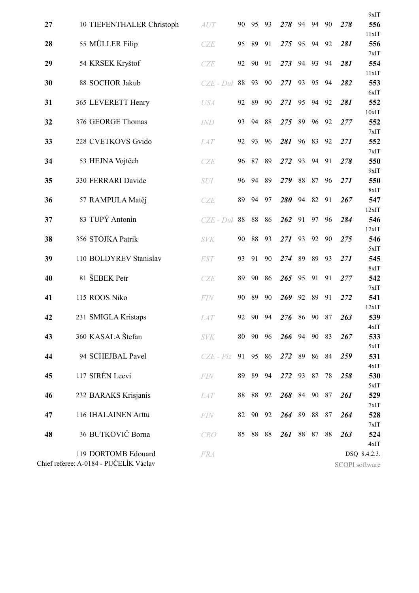|    |                                                               |                                              |    |          |       |              |    |    |    |     | 9xIT                           |
|----|---------------------------------------------------------------|----------------------------------------------|----|----------|-------|--------------|----|----|----|-----|--------------------------------|
| 27 | 10 TIEFENTHALER Christoph                                     | $\boldsymbol{A}\boldsymbol{U}\boldsymbol{T}$ | 90 | 95       | 93    | 278          | 94 | 94 | 90 | 278 | 556                            |
|    |                                                               |                                              |    |          |       |              |    |    |    |     | 11xIT                          |
| 28 | 55 MÜLLER Filip                                               | CZE                                          | 95 | 89       | 91    | 275          | 95 | 94 | 92 | 281 | 556<br>7xIT                    |
| 29 | 54 KRSEK Kryštof                                              | <b>CZE</b>                                   | 92 | 90       | 91    | 273          | 94 | 93 | 94 | 281 | 554                            |
|    |                                                               |                                              |    |          |       |              |    |    |    |     | 11xIT                          |
| 30 | 88 SOCHOR Jakub                                               | $CZE$ - Duk                                  | 88 | 93       | 90    | 271          | 93 | 95 | 94 | 282 | 553<br>6xIT                    |
| 31 | 365 LEVERETT Henry                                            | <b>USA</b>                                   | 92 | 89       | 90    | 271          | 95 | 94 | 92 | 281 | 552                            |
|    |                                                               |                                              |    |          |       |              |    |    |    |     | 10xIT                          |
| 32 | 376 GEORGE Thomas                                             | <b>IND</b>                                   | 93 | 94       | 88    | 275          | 89 | 96 | 92 | 277 | 552<br>7xIT                    |
| 33 | 228 CVETKOVS Gvido                                            | <b>LAT</b>                                   | 92 | 93       | 96    | 281          | 96 | 83 | 92 | 271 | 552                            |
|    |                                                               |                                              |    |          |       |              |    |    |    |     | 7xIT                           |
| 34 | 53 HEJNA Vojtěch                                              | CZE                                          | 96 | 87       | 89    | 272          | 93 | 94 | 91 | 278 | 550                            |
| 35 | 330 FERRARI Davide                                            | <b>SUI</b>                                   | 96 | 94       | 89    | 279          | 88 | 87 | 96 | 271 | 9xIT<br>550                    |
|    |                                                               |                                              |    |          |       |              |    |    |    |     | 8xIT                           |
| 36 | 57 RAMPULA Matěj                                              | CZE                                          | 89 | 94       | 97    | 280          | 94 | 82 | 91 | 267 | 547                            |
|    |                                                               |                                              |    |          |       |              |    |    |    |     | 12xIT                          |
| 37 | 83 TUPÝ Antonín                                               | $CZE$ - Duk                                  | 88 | 88       | 86    | 262          | 91 | 97 | 96 | 284 | 546<br>12xIT                   |
| 38 | 356 STOJKA Patrik                                             | <b>SVK</b>                                   | 90 | 88       | 93    | 271          | 93 | 92 | 90 | 275 | 546                            |
|    |                                                               |                                              |    |          |       |              |    |    |    |     | 5xIT                           |
| 39 | 110 BOLDYREV Stanislav                                        | <b>EST</b>                                   | 93 | 91       | 90    | 274          | 89 | 89 | 93 | 271 | 545                            |
| 40 | 81 ŠEBEK Petr                                                 | <b>CZE</b>                                   | 89 | 90       | 86    | 265          | 95 | 91 | 91 | 277 | 8xIT<br>542                    |
|    |                                                               |                                              |    |          |       |              |    |    |    |     | 7xIT                           |
| 41 | 115 ROOS Niko                                                 | <b>FIN</b>                                   | 90 | 89       | 90    | 269          | 92 | 89 | 91 | 272 | 541                            |
| 42 |                                                               |                                              | 92 | 90       | 94    | 276          | 86 | 90 | 87 | 263 | 12xIT<br>539                   |
|    | 231 SMIGLA Kristaps                                           | <b>LAT</b>                                   |    |          |       |              |    |    |    |     | 4xIT                           |
| 43 | 360 KASALA Štefan                                             | <b>SVK</b>                                   |    | 80 90 96 |       | 266 94 90 83 |    |    |    | 267 | 533                            |
|    |                                                               |                                              |    |          |       |              |    |    |    |     | 5xIT                           |
| 44 | 94 SCHEJBAL Pavel                                             | $CZE - Plz$                                  | 91 |          | 95 86 | 272 89       |    | 86 | 84 | 259 | 531<br>4xIT                    |
| 45 | 117 SIRÉN Leevi                                               | <b>FIN</b>                                   | 89 |          | 89 94 | 272 93 87    |    |    | 78 | 258 | 530                            |
|    |                                                               |                                              |    |          |       |              |    |    |    |     | 5xIT                           |
| 46 | 232 BARAKS Krisjanis                                          | <i>LAT</i>                                   |    | 88 88 92 |       | 268 84 90 87 |    |    |    | 261 | 529                            |
| 47 | 116 IHALAINEN Arttu                                           | <b>FIN</b>                                   | 82 | 90       | 92    | 264 89       |    | 88 | 87 | 264 | 7xIT<br>528                    |
|    |                                                               |                                              |    |          |       |              |    |    |    |     | 7xIT                           |
| 48 | 36 BUTKOVIČ Borna                                             | <b>CRO</b>                                   |    | 85 88 88 |       | 261 88 87    |    |    | 88 | 263 | 524                            |
|    |                                                               |                                              |    |          |       |              |    |    |    |     | 4xIT                           |
|    | 119 DORTOMB Edouard<br>Chief referee: A-0184 - PUČELÍK Václav | <b>FRA</b>                                   |    |          |       |              |    |    |    |     | DSQ 8.4.2.3.<br>SCOPI software |
|    |                                                               |                                              |    |          |       |              |    |    |    |     |                                |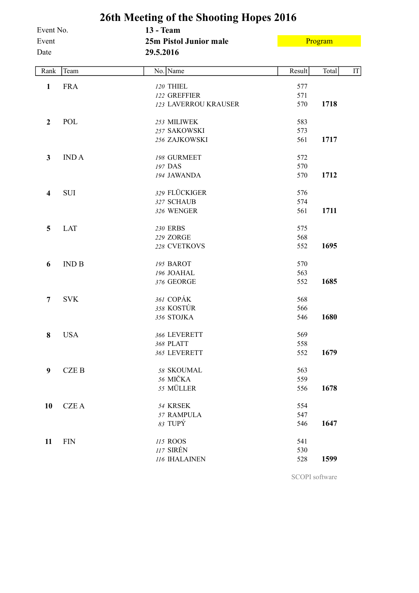| 26th Meeting of the Shooting Hopes 2016 |              |                        |        |         |    |  |  |  |  |  |  |
|-----------------------------------------|--------------|------------------------|--------|---------|----|--|--|--|--|--|--|
| Event No.                               |              | <b>13 - Team</b>       |        |         |    |  |  |  |  |  |  |
| Event                                   |              | 25m Pistol Junior male |        | Program |    |  |  |  |  |  |  |
| Date                                    |              | 29.5.2016              |        |         |    |  |  |  |  |  |  |
| Rank                                    | Team         | No. Name               | Result | Total   | IT |  |  |  |  |  |  |
| 1                                       | <b>FRA</b>   | 120 THIEL              | 577    |         |    |  |  |  |  |  |  |
|                                         |              | 122 GREFFIER           | 571    |         |    |  |  |  |  |  |  |
|                                         |              | 123 LAVERROU KRAUSER   | 570    | 1718    |    |  |  |  |  |  |  |
| $\boldsymbol{2}$                        | POL          | 253 MILIWEK            | 583    |         |    |  |  |  |  |  |  |
|                                         |              | 257 SAKOWSKI           | 573    |         |    |  |  |  |  |  |  |
|                                         |              | 256 ZAJKOWSKI          | 561    | 1717    |    |  |  |  |  |  |  |
| 3                                       | <b>INDA</b>  | 198 GURMEET            | 572    |         |    |  |  |  |  |  |  |
|                                         |              | 197 DAS                | 570    |         |    |  |  |  |  |  |  |
|                                         |              | 194 JAWANDA            | 570    | 1712    |    |  |  |  |  |  |  |
| 4                                       | <b>SUI</b>   | 329 FLÜCKIGER          | 576    |         |    |  |  |  |  |  |  |
|                                         |              | 327 SCHAUB             | 574    |         |    |  |  |  |  |  |  |
|                                         |              | 326 WENGER             | 561    | 1711    |    |  |  |  |  |  |  |
| 5                                       | <b>LAT</b>   | 230 ERBS               | 575    |         |    |  |  |  |  |  |  |
|                                         |              | 229 ZORGE              | 568    |         |    |  |  |  |  |  |  |
|                                         |              | 228 CVETKOVS           | 552    | 1695    |    |  |  |  |  |  |  |
| 6                                       | <b>IND B</b> | 195 BAROT              | 570    |         |    |  |  |  |  |  |  |
|                                         |              | 196 JOAHAL             | 563    |         |    |  |  |  |  |  |  |
|                                         |              | 376 GEORGE             | 552    | 1685    |    |  |  |  |  |  |  |
| 7                                       | <b>SVK</b>   | 361 COPÁK              | 568    |         |    |  |  |  |  |  |  |
|                                         |              | 358 KOSTÚR             | 566    |         |    |  |  |  |  |  |  |
|                                         |              | 356 STOJKA             | 546    | 1680    |    |  |  |  |  |  |  |
| 8                                       | <b>USA</b>   | 366 LEVERETT           | 569    |         |    |  |  |  |  |  |  |
|                                         |              | 368 PLATT              | 558    |         |    |  |  |  |  |  |  |
|                                         |              | 365 LEVERETT           | 552    | 1679    |    |  |  |  |  |  |  |
| 9                                       | <b>CZEB</b>  | 58 SKOUMAL             | 563    |         |    |  |  |  |  |  |  |
|                                         |              | 56 MIČKA               | 559    |         |    |  |  |  |  |  |  |
|                                         |              | 55 MÜLLER              | 556    | 1678    |    |  |  |  |  |  |  |
| 10                                      | <b>CZEA</b>  | 54 KRSEK               | 554    |         |    |  |  |  |  |  |  |
|                                         |              | 57 RAMPULA             | 547    |         |    |  |  |  |  |  |  |
|                                         |              | 83 TUPÝ                | 546    | 1647    |    |  |  |  |  |  |  |
| 11                                      | <b>FIN</b>   | 115 ROOS               | 541    |         |    |  |  |  |  |  |  |
|                                         |              | 117 SIRÉN              | 530    |         |    |  |  |  |  |  |  |
|                                         |              | 116 IHALAINEN          | 528    | 1599    |    |  |  |  |  |  |  |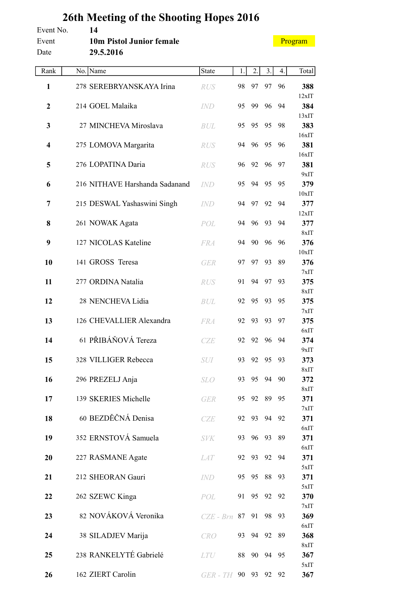| Event No.<br>Event<br>Date | 14<br>10m Pistol Junior female<br>29.5.2016 |                  |    |          |       |    | Program      |
|----------------------------|---------------------------------------------|------------------|----|----------|-------|----|--------------|
| Rank                       | No. Name                                    | <b>State</b>     | 1. | 2.       | 3.    | 4. | Total        |
| $\mathbf{1}$               | 278 SEREBRYANSKAYA Irina                    | <b>RUS</b>       | 98 | 97       | 97    | 96 | 388          |
| $\boldsymbol{2}$           | 214 GOEL Malaika                            | <b>IND</b>       | 95 | 99       | 96    | 94 | 12xIT<br>384 |
| 3                          | 27 MINCHEVA Miroslava                       | <b>BUL</b>       | 95 | 95       | 95    | 98 | 13xIT<br>383 |
| $\overline{\mathbf{4}}$    | 275 LOMOVA Margarita                        | <b>RUS</b>       | 94 | 96       | 95    | 96 | 16xIT<br>381 |
| 5                          | 276 LOPATINA Daria                          | <b>RUS</b>       | 96 | 92       | 96    | 97 | 16xIT<br>381 |
| 6                          | 216 NITHAVE Harshanda Sadanand              | <b>IND</b>       | 95 | 94       | 95    | 95 | 9xIT<br>379  |
| 7                          | 215 DESWAL Yashaswini Singh                 | <b>IND</b>       | 94 | 97       | 92    | 94 | 10xIT<br>377 |
| 8                          | 261 NOWAK Agata                             | POL              | 94 | 96       | 93    | 94 | 12xIT<br>377 |
| 9                          | 127 NICOLAS Kateline                        | <b>FRA</b>       | 94 | 90       | 96    | 96 | 8xIT<br>376  |
| 10                         | 141 GROSS Teresa                            | <b>GER</b>       | 97 | 97       | 93    | 89 | 10xIT<br>376 |
| 11                         | 277 ORDINA Natalia                          | <b>RUS</b>       | 91 | 94       | 97    | 93 | 7xIT<br>375  |
| 12                         | 28 NENCHEVA Lidia                           | <b>BUL</b>       | 92 | 95       | 93    | 95 | 8xIT<br>375  |
| 13                         | 126 CHEVALLIER Alexandra                    | <b>FRA</b>       | 92 | 93       | 93    | 97 | 7xIT<br>375  |
| 14                         | 61 PŘIBÁŇOVÁ Tereza                         |                  | 92 | 92       | 96    | 94 | 6xIT<br>374  |
|                            |                                             | <b>CZE</b>       |    |          |       |    | 9xIT         |
| 15                         | 328 VILLIGER Rebecca                        | SUI              | 93 |          | 92 95 | 93 | 373<br>8xIT  |
| 16                         | 296 PREZELJ Anja                            | <b>SLO</b>       | 93 | 95       | 94    | 90 | 372<br>8xIT  |
| 17                         | 139 SKERIES Michelle                        | <b>GER</b>       | 95 | 92       | 89    | 95 | 371<br>7xIT  |
| 18                         | 60 BEZDĚČNÁ Denisa                          | CZE              | 92 |          | 93 94 | 92 | 371          |
| 19                         | 352 ERNSTOVÁ Samuela                        | <b>SVK</b>       | 93 | 96       | 93    | 89 | 6xIT<br>371  |
| 20                         | 227 RASMANE Agate                           | <i>LAT</i>       | 92 | 93       | 92    | 94 | 6xIT<br>371  |
| 21                         | 212 SHEORAN Gauri                           | IND              | 95 | 95       | 88    | 93 | 5xIT<br>371  |
| 22                         | 262 SZEWC Kinga                             | POL              |    | 91 95 92 |       | 92 | 5xIT<br>370  |
| 23                         | 82 NOVÁKOVÁ Veronika                        | $CZE$ - Brn $87$ |    | 91       | 98    | 93 | 7xIT<br>369  |
| 24                         | 38 SILADJEV Marija                          | CRO              | 93 |          | 94 92 | 89 | 6xIT<br>368  |
| 25                         | 238 RANKELYTÉ Gabrielé                      | <b>LTU</b>       | 88 | 90       | 94    | 95 | 8xIT<br>367  |
| 26                         | 162 ZIERT Carolin                           | GER - TH         | 90 | 93       | 92    | 92 | 5xIT<br>367  |
|                            |                                             |                  |    |          |       |    |              |

## **26th Meeting of the Shooting Hopes 2016**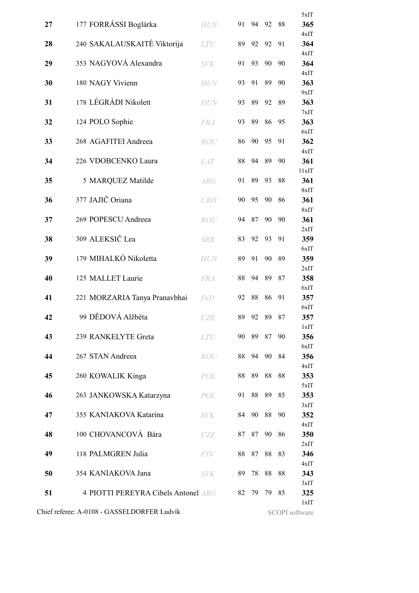|    |                                             |            |    |    |    |                               | 5xIT         |
|----|---------------------------------------------|------------|----|----|----|-------------------------------|--------------|
| 27 | 177 FORRÁSSI Boglárka                       | HUN        | 91 | 94 | 92 | 88                            | 365          |
| 28 | 240 SAKALAUSKAITÉ Viktorija                 | <b>LTU</b> | 89 | 92 | 92 | 91                            | 4xIT<br>364  |
| 29 | 353 NAGYOVÁ Alexandra                       | <b>SVK</b> | 91 | 93 | 90 | 90                            | 4xIT<br>364  |
| 30 | 180 NAGY Vivienn                            | <b>HUN</b> | 93 | 91 | 89 | 90                            | 4xIT<br>363  |
| 31 | 178 LÉGRÁDI Nikolett                        | <b>HUN</b> | 93 | 89 | 92 | 89                            | 9xIT<br>363  |
| 32 | 124 POLO Sophie                             | <b>FRA</b> | 93 | 89 | 86 | 95                            | 7xIT<br>363  |
|    |                                             |            |    |    |    |                               | 6xIT         |
| 33 | 268 AGAFITEI Andreea                        | ROU        | 86 | 90 | 95 | 91                            | 362<br>4xIT  |
| 34 | 226 VDOBCENKO Laura                         | <b>LAT</b> | 88 | 94 | 89 | 90                            | 361          |
| 35 | 5 MARQUEZ Matilde                           | <b>ARG</b> | 91 | 89 | 93 | 88                            | 11xIT<br>361 |
| 36 | 377 JAJIČ Oriana                            | <b>CRO</b> | 90 | 95 | 90 | 86                            | 8xIT<br>361  |
| 37 | 269 POPESCU Andreea                         | <b>ROU</b> | 94 | 87 | 90 | 90                            | 8xIT<br>361  |
|    |                                             |            |    |    |    |                               | 2xIT         |
| 38 | 309 ALEKSIČ Lea                             | <b>SRB</b> | 83 | 92 | 93 | 91                            | 359          |
| 39 | 179 MIHALKÓ Nikoletta                       | <b>HUN</b> | 89 | 91 | 90 | 89                            | 6xIT<br>359  |
|    |                                             |            |    |    |    |                               | 2xIT         |
| 40 | 125 MALLET Laurie                           | <b>FRA</b> | 88 | 94 | 89 | 87                            | 358          |
|    |                                             |            |    |    |    |                               | 6xIT         |
| 41 | 221 MORZARIA Tanya Pranavbhai               | <b>IND</b> | 92 | 88 | 86 | 91                            | 357<br>6xIT  |
| 42 | 99 DĚDOVÁ Alžběta                           | <b>CZE</b> | 89 | 92 | 89 | 87                            | 357          |
|    |                                             |            |    |    |    |                               | 1xIT         |
| 43 | 239 RANKELYTE Greta                         | <i>LTU</i> | 90 | 89 | 87 | 90                            | 356<br>6xIT  |
| 44 | 267 STAN Andreea                            | ROU        | 88 | 94 | 90 | 84                            | 356          |
| 45 |                                             |            |    | 89 | 88 | 88                            | 4xIT         |
|    | 260 KOWALIK Kinga                           | POL        | 88 |    |    |                               | 353<br>5xIT  |
| 46 | 263 JANKOWSKA Katarzyna                     | POL        | 91 | 88 | 89 | 85                            | 353          |
| 47 | 355 KANIAKOVA Katarina                      | <b>SVK</b> | 84 | 90 | 88 | 90                            | 3xIT<br>352  |
|    |                                             |            |    |    |    |                               | 4xIT         |
| 48 | 100 CHOVANCOVÁ Bára                         | CZE        | 87 | 87 | 90 | 86                            | 350<br>2xIT  |
| 49 | 118 PALMGREN Julia                          | <b>FIN</b> | 88 | 87 | 88 | 83                            | 346          |
| 50 | 354 KANIAKOVA Jana                          | <b>SVK</b> | 89 | 78 | 88 | 88                            | 4xIT<br>343  |
|    |                                             |            |    |    |    |                               | 3xIT         |
| 51 | 4 PIOTTI PEREYRA Cibels Antonell ARG        |            | 82 | 79 | 79 | 85                            | 325          |
|    | Chief referee: A-0108 - GASSELDORFER Ludvík |            |    |    |    | 1xIT<br><b>SCOPI</b> software |              |
|    |                                             |            |    |    |    |                               |              |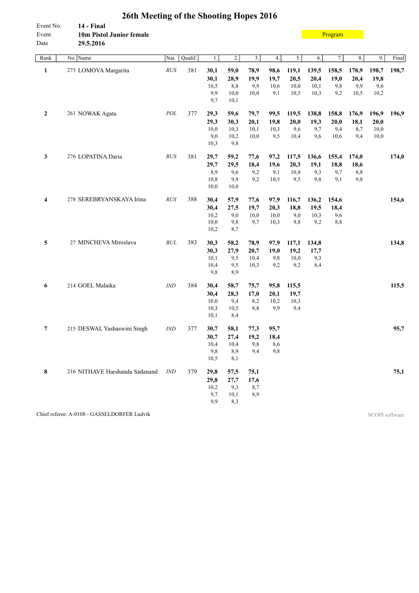| Event No.<br>Event | 14 - Final<br>10m Pistol Junior female | o              |         |              |                  |                  |      |       |       | Program |       |       |       |
|--------------------|----------------------------------------|----------------|---------|--------------|------------------|------------------|------|-------|-------|---------|-------|-------|-------|
| Date<br>Rank       | 29.5.2016<br>No. Name                  | Nat.           | Qualif. | 1.           | $\overline{2}$ . | $\overline{3}$ . | 4.   | 5.    | 6.    | 7.      | 8.    | 9.    | Final |
|                    |                                        |                |         |              |                  |                  |      |       |       |         |       |       |       |
| $\mathbf{1}$       | 275 LOMOVA Margarita                   | $\mathit{RUS}$ | 381     | 30,1         | 59,0             | 78,9             | 98,6 | 119,1 | 139,5 | 158,5   | 178,9 | 198,7 | 198,7 |
|                    |                                        |                |         | 30,1         | 28,9             | 19,9             | 19,7 | 20,5  | 20,4  | 19,0    | 20,4  | 19,8  |       |
|                    |                                        |                |         | 10,5         | 8,8              | 9,9              | 10,6 | 10,0  | 10,1  | 9,8     | 9,9   | 9,6   |       |
|                    |                                        |                |         | 9,9<br>9,7   | 10,0<br>10,1     | 10,0             | 9,1  | 10,5  | 10,3  | 9,2     | 10,5  | 10,2  |       |
| $\mathbf{2}$       | 261 NOWAK Agata                        | $\cal{POL}$    | 377     | 29,3         | 59,6             | 79,7             | 99,5 | 119,5 | 138,8 | 158,8   | 176,9 | 196,9 | 196,9 |
|                    |                                        |                |         | 29,3         | 30,3             | 20,1             | 19,8 | 20,0  | 19,3  | 20,0    | 18,1  | 20,0  |       |
|                    |                                        |                |         | 10,0         | 10,3             | 10,1             | 10,3 | 9,6   | 9,7   | 9,4     | 8,7   | 10,0  |       |
|                    |                                        |                |         | 9,0          | 10,2             | 10,0             | 9,5  | 10,4  | 9,6   | 10,6    | 9,4   | 10,0  |       |
|                    |                                        |                |         | 10,3         | 9,8              |                  |      |       |       |         |       |       |       |
| 3                  | 276 LOPATINA Daria                     | $\mathit{RUS}$ | 381     | 29,7         | 59,2             | 77,6             | 97,2 | 117,5 | 136,6 | 155,4   | 174,0 |       | 174,0 |
|                    |                                        |                |         | 29,7         | 29,5             | 18,4             | 19,6 | 20,3  | 19,1  | 18,8    | 18,6  |       |       |
|                    |                                        |                |         | 8,9          | 9,6              | 9,2              | 9,1  | 10,8  | 9,3   | 9,7     | $8,8$ |       |       |
|                    |                                        |                |         | 10,8         | 9,9              | 9,2              | 10,5 | 9,5   | 9,8   | 9,1     | 9,8   |       |       |
|                    |                                        |                |         | 10,0         | 10,0             |                  |      |       |       |         |       |       |       |
| 4                  | 278 SEREBRYANSKAYA Irina               | $\mathit{RUS}$ | 388     | 30,4         | 57,9             | 77,6             | 97,9 | 116,7 | 136,2 | 154,6   |       |       | 154,6 |
|                    |                                        |                |         | 30,4         | 27,5             | 19,7             | 20,3 | 18,8  | 19,5  | 18,4    |       |       |       |
|                    |                                        |                |         | 10,2         | 9,0              | 10,0             | 10,0 | 9,0   | 10,3  | 9,6     |       |       |       |
|                    |                                        |                |         | 10,0<br>10,2 | 9,8<br>8,7       | 9,7              | 10,3 | 9,8   | 9,2   | 8,8     |       |       |       |
| 5                  | 27 MINCHEVA Miroslava                  | $\cal BUL$     | 383     | 30,3         | 58,2             | 78,9             | 97,9 | 117,1 | 134,8 |         |       |       | 134,8 |
|                    |                                        |                |         | 30,3         | 27,9             | 20,7             | 19,0 | 19,2  | 17,7  |         |       |       |       |
|                    |                                        |                |         | 10,1         | 9,5              | 10,4             | 9,8  | 10,0  | 9,3   |         |       |       |       |
|                    |                                        |                |         | 10,4         | 9,5              | 10,3             | 9,2  | 9,2   | 8,4   |         |       |       |       |
|                    |                                        |                |         | 9,8          | 8,9              |                  |      |       |       |         |       |       |       |
| 6                  | 214 GOEL Malaika                       | IND            | 384     | 30,4         | 58,7             | 75,7             | 95,8 | 115,5 |       |         |       |       | 115,5 |
|                    |                                        |                |         | 30,4         | 28,3             | 17,0             | 20,1 | 19,7  |       |         |       |       |       |
|                    |                                        |                |         | 10,0         | 9,4              | 8,2              | 10,2 | 10,3  |       |         |       |       |       |
|                    |                                        |                |         | 10,3         | 10,5             | 8,8              | 9,9  | 9,4   |       |         |       |       |       |
|                    |                                        |                |         | 10,1         | 8,4              |                  |      |       |       |         |       |       |       |
| $\overline{7}$     | 215 DESWAL Yashaswini Singh            | IND            | 377     | 30,7         | 58,1             | 77,3             | 95,7 |       |       |         |       |       | 95,7  |
|                    |                                        |                |         | 30,7         | 27,4             | 19,2             | 18,4 |       |       |         |       |       |       |
|                    |                                        |                |         | 10,4         | 10,4             | 9,8              | 8,6  |       |       |         |       |       |       |
|                    |                                        |                |         | 9,8<br>10,5  | 8,9<br>8,1       | 9,4              | 9,8  |       |       |         |       |       |       |
|                    |                                        |                |         |              |                  |                  |      |       |       |         |       |       |       |
| 8                  | 216 NITHAVE Harshanda Sadanand         | <b>IND</b>     | 379     | 29,8         | 57,5             | 75,1             |      |       |       |         |       |       | 75,1  |
|                    |                                        |                |         | 29,8         | 27,7             | 17,6             |      |       |       |         |       |       |       |
|                    |                                        |                |         | 10,2<br>9,7  | 9,3<br>10,1      | 8,7<br>8,9       |      |       |       |         |       |       |       |
|                    |                                        |                |         | 9,9          | 8,3              |                  |      |       |       |         |       |       |       |
|                    |                                        |                |         |              |                  |                  |      |       |       |         |       |       |       |

Chief referee: A-0108 - GASSELDORFER Ludvík SCOPI software

## **26th Meeting of the Shooting Hopes 2016**